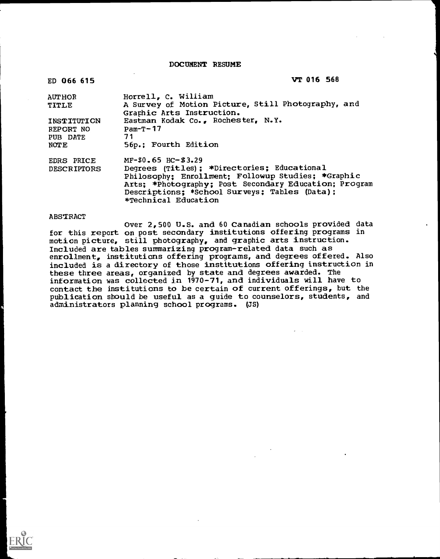DOCUMENT RESUME

| ED 066 615         | VT 016 568                                                                                                                     |
|--------------------|--------------------------------------------------------------------------------------------------------------------------------|
| <b>AUTHOR</b>      | Horrell, C. William                                                                                                            |
| TITLE              | A Survey of Motion Picture, Still Photography, and<br>Graphic Arts Instruction.                                                |
| INSTITUTION        | Eastman Kodak Co., Rochester, N.Y.                                                                                             |
| REPORT NO          | $Pam-T-17$                                                                                                                     |
| PUB DATE           | 71                                                                                                                             |
| NOTE               | 56p.; Fourth Edition                                                                                                           |
| EDRS PRICE         | $MF-50.65$ HC-\$3.29                                                                                                           |
| <b>DESCRIPTORS</b> | Degrees (Titles) ; *Directories; Educational                                                                                   |
|                    | Philosophy; Enrollment; Followup Studies; *Graphic                                                                             |
|                    | Arts; *Photography; Post Secondary Education; Program<br>Descriptions; *School Surveys; Tables (Data);<br>*Technical Education |
|                    |                                                                                                                                |

ABSTRACT<br>Over 2,500 U.S. and 60 Canadian schools provided data for this report on post secondary institutions offering programs in<br>motion picture, still photography, and graphic arts instruction.<br>Included are tables summarizing program-related data such as<br>enrollment, institutions off these three areas, organized by state and degrees awarded. The<br>information was collected in 1970-71, and individuals will have to<br>contact the institutions to be certain of current offerings, but the<br>publication should be u administrators planning school programs. (JS)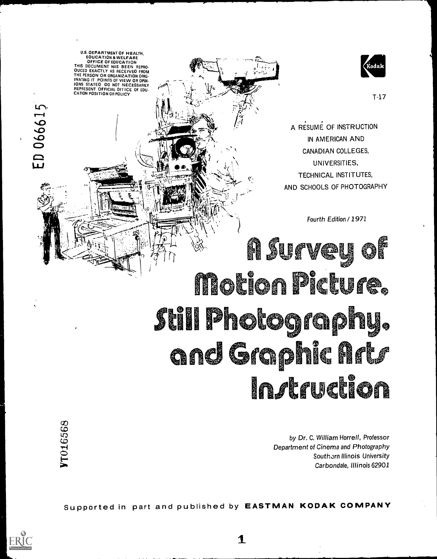U.S. DEPARTMENT OF HEALTH. EQUCATION & WELFARE<br>OFFICE OF EQUCATION THIS DOCUMENT HAS BEEN REPRO<br>THE PERSON OR ORGANIZATION ORIGINAL SEEN REPROSING TO THE PERSON OR ORGANIZATION OR ORGANIZATION OR ORGANIZATION OR ORGANIZATION OR ORGANIZATION OR ORGANIZATION OR ORGANIZATION OR ORGANIZATION

ED 066615



A RESUME OF INSTRUCTION IN AMERICAN AND CANADIAN COLLEGES, UNIVERSITIES, TECHNICAL INSTITUTES, AND SCHOOLS OF PHOTOGRAPHY

Fourth Edition / 1971

<u>A Survey</u> Motion Picture, Still Photography. and Graphic Arts **Instruction** 

> by Dr. C. William Horrell, Professor Department of Cinema and Photography Southorn Illinois University Carbondale, Illinois 62901

Supported in part and published by EASTMAN KODAK COMPANY



 $\mathbf 1$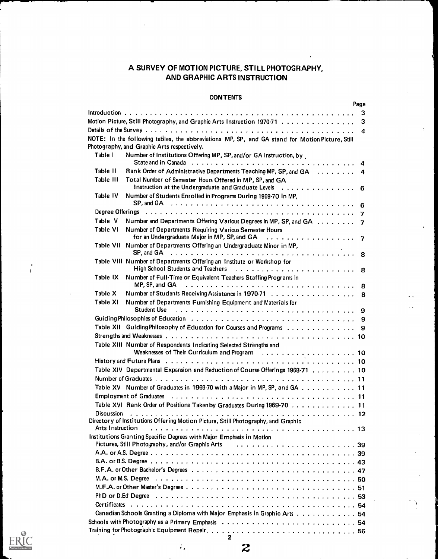# A SURVEY OF MOTION PICTURE, STILL PHOTOGRAPHY, AND GRAPHIC ARTS INSTRUCTION

# **CONTENTS**

|                     |                                                                                                                                                                                                                                | Page |
|---------------------|--------------------------------------------------------------------------------------------------------------------------------------------------------------------------------------------------------------------------------|------|
|                     |                                                                                                                                                                                                                                | 3    |
|                     | Motion Picture, Still Photography, and Graphic Arts Instruction 1970-71                                                                                                                                                        | 3    |
|                     |                                                                                                                                                                                                                                | 4    |
|                     | NOTE: In the following tables, the abbreviations MP, SP, and GA stand for Motion Picture, Still<br>Photography, and Graphic Arts respectively.                                                                                 |      |
| Table I             | Number of Institutions Offering MP, SP, and/or GA Instruction, by                                                                                                                                                              |      |
| Table II            | Rank Order of Administrative Departments Teaching MP, SP, and GA 4                                                                                                                                                             |      |
| Table III           | Total Number of Semester Hours Offered in MP, SP, and GA                                                                                                                                                                       |      |
| Table IV            | Instruction at the Undergraduate and Graduate Levels 6<br>Number of Students Enrolled in Programs During 1969-70 in MP.                                                                                                        |      |
|                     | SP, and GA $\ldots \ldots \ldots \ldots \ldots \ldots \ldots \ldots \ldots \ldots \ldots \ldots \ldots$                                                                                                                        |      |
|                     | Degree Offerings (and all and all and all and all and all and all and all and all and all and all and all and $\tau$                                                                                                           |      |
| Table V<br>Table VI | Number and Departments Offering Various Degrees in MP, SP, and GA 7<br>Number of Departments Requiring Various Semester Hours                                                                                                  |      |
|                     |                                                                                                                                                                                                                                |      |
| Table VII           | Number of Departments Offering an Undergraduate Minor in MP,<br>SP, and GA $\ldots \ldots \ldots \ldots \ldots \ldots \ldots \ldots \ldots \ldots \ldots \ldots \ldots$                                                        |      |
|                     | Table VIII Number of Departments Offering an Institute or Workshop for<br>High School Students and Teachers (Alberta Labourgian Lewis Lewis Laboration Lewis Laboration Alberta B                                              |      |
| Table IX            | Number of Full-Time or Equivalent Teachers Staffing Programs in                                                                                                                                                                |      |
| Table X             |                                                                                                                                                                                                                                |      |
|                     | Number of Students Receiving Assistance in 1970-71 8                                                                                                                                                                           |      |
| Table XI            | Number of Departments Furnishing Equipment and Materials for<br>Student Use                                                                                                                                                    |      |
|                     |                                                                                                                                                                                                                                |      |
|                     | Table XII Guiding Philosophy of Education for Courses and Programs 9                                                                                                                                                           |      |
|                     |                                                                                                                                                                                                                                |      |
|                     | Table XIII Number of Respondents Indicating Selected Strengths and                                                                                                                                                             |      |
|                     |                                                                                                                                                                                                                                |      |
|                     | Table XIV Departmental Expansion and Reduction of Course Offerings 1968-71 10                                                                                                                                                  |      |
|                     |                                                                                                                                                                                                                                |      |
|                     | Table XV Number of Graduates in 1969-70 with a Major in MP, SP, and GA 11                                                                                                                                                      |      |
|                     |                                                                                                                                                                                                                                |      |
|                     | Table XVI Rank Order of Positions Taken by Graduates During 1969-70 11                                                                                                                                                         |      |
| <b>Discussion</b>   |                                                                                                                                                                                                                                |      |
| Arts Instruction    | Directory of Institutions Offering Motion Picture, Still Photography, and Graphic                                                                                                                                              |      |
|                     | Institutions Granting Specific Degrees with Major Emphasis in Motion                                                                                                                                                           |      |
|                     | Pictures, Still Photography, and/or Graphic Arts (Fig. 1, Louis Lines, Lett. 1, Louis Lines, 39                                                                                                                                |      |
|                     |                                                                                                                                                                                                                                |      |
|                     |                                                                                                                                                                                                                                |      |
|                     |                                                                                                                                                                                                                                |      |
|                     |                                                                                                                                                                                                                                |      |
|                     |                                                                                                                                                                                                                                |      |
|                     | PhD or D.Ed Degree (assessment assessment of the contract of the contract of the contract of the contract of the contract of the contract of the contract of the contract of the contract of the contract of the contract of t |      |
|                     |                                                                                                                                                                                                                                |      |
|                     | Canadian Schools Granting a Diploma with Major Emphasis in Graphic Arts 54                                                                                                                                                     |      |
|                     | Schools with Photography as a Primary Emphasis $\ldots \ldots \ldots \ldots \ldots \ldots \ldots \ldots \ldots$                                                                                                                |      |
|                     |                                                                                                                                                                                                                                |      |



 $\overline{\phantom{a}}$  $\overline{1}$ 

> 2 2

 $\hat{E}_\text{f}$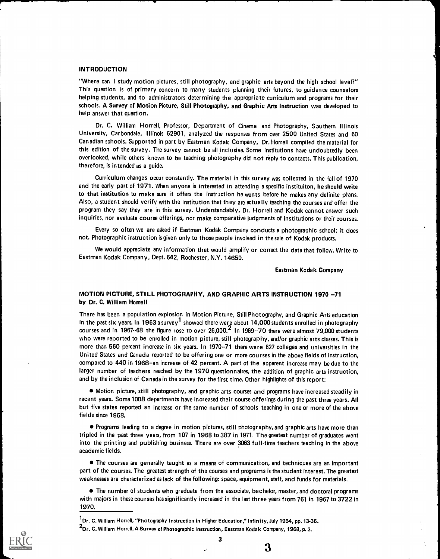### INTRODUCTION

"Where can I study motion pictures, still photography, and graphic arts beyond the high school level?" This question is of primary concern to many students planning their futures, to guidance counselors helping students, and to administrators determining the appropriate curriculum and programs for their schools. A Survey of Motion Picture, Still Photography, and Graphic Arts Instruction was developed to help answer that question.

Dr. C. William Horrell, Professor, Department of Cinema and Photography, Southern Illinois University, Carbondale, Illinois 62901, analyzed the responses from over 2500 United States and 60 Canadian schools. Supported in part by Eastman Kodak Company, Dr. Horrell compiled the material for this edition of the survey. The survey cannot be all inclusive. Some institutions have undoubtedly been overlooked, while others known to be teaching photography did not reply to contacts. This publication, therefore, is intended as a guide.

Curriculum changes occur constantly. The material in this survey was collected in the fall of 1970 and the early part of 1971. When anyone is interested in attending a specific instituiton, he should write to that institution to make sure it offers the instruction he wants before he makes any definite plans. Also, a student should verify with the institution that they are actually teaching the courses and offer the program they say they are in this survey. Understandably, Dr. Horrell and Kodak cannot answer such inquiries, nor evaluate course offerings, nor make comparative judgments of institutions or their courses.

Every so often we are asked if Eastman Kodak Company conducts a photographic school; it does not. Photographic instruction is given only to those people involved in the sale of Kodak products.

We would appreciate any information that would amplify or correct the data that follow. Write to Eastman Kodak Company, Dept. 642, Rochester, N.Y. 14650.

#### Eastman Kodak Company

### MOTION PICTURE, STILL PHOTOGRAPHY, AND GRAPHIC ARTS INSTRUCTION 1970 -71 by Dr. C. William Horrell

There has been a population explosion in Motion Picture, Still Photography, and Graphic Arts education in the past six years. In 1963 a survey<sup>1</sup> showed there were about 14,000 students enrolled in photography courses and in 1967 $-68$  the figure rose to over 26,000.<sup>2</sup> In 1969 $-70$  there were almost 79,000 students who were reported to be enrolled in motion picture, still photography, and/or graphic arts classes. This is more than 560 percent increase in six years. In 1970--71 there were 627 colleges and universities in the United States and Canada reported to be offering one or more courses in the above fields of instruction, compared to 440 in 1968-an increase of 42 percent. A part of the apparent increase may be due to the larger number of teachers reached by the 1970 questionnaires, the addition of graphic arts instruction, and by the inclusion of Canada in the survey for the first time. Other highlights of this report:

Motion picture, still photography, and graphic arts courses and programs have increased steadily in recent years. Some 1008 departments have increased their course offerings during the past three years. All but five states reported an increase or the same number of schools teaching in one or more of the above fields since 1968.

Programs leading to a degree in motion pictures, still photography, and graphic arts have more than tripled in the past three years, from 107 in 1968 to 387 in 1971. The greatest number of graduates went into the printing and publishing business. There are over 3063 full-time teachers teaching in the above academic fields.

The courses are generally taught as a means of communication, and techniques are an important part of the courses. The greatest strength of the courses and programs is the student interest. The greatest weaknesses are characterized as lack of the following: space, equipment, staff, and funds for materials.

The number of students who graduate from the associate, bachelor, master, and doctoral programs with majors in these courses has significantly increased in the last three years from 761 in 1967 to 3722 in 1970.

<sup>&</sup>lt;sup>2</sup>Dr. C. William Horrell, A Survey of Photographic Instruction, Eastman Kodak Company, 1968, p. 3.



 $^{\textsf{1}}$ Dr. C. William Horrell, "Photography Instruction in Higher Education," Infinity, July 1964, pp. 13-36.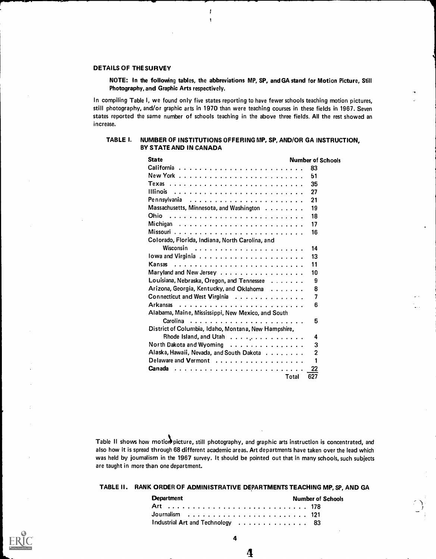# DETAILS OF THE SURVEY

NOTE: In the following tables, the abbreviations MP, SP, and GA stand for Motion Picture, Still Photography, and Graphic Arts respectively.

In compiling Table I, we found only five states reporting to have fewer schools teaching motion pictures, still photography, and/or graphic arts in 1970 than were teaching courses in these fields in 1967. Seven states reported the same number of schools teaching in the above three fields. All the rest showed an increase.

### TABLE I. NUMBER OF INSTITUTIONS OFFERING MP, SP, AND/OR GA INSTRUCTION, BY STATE AND IN CANADA

| <b>State</b>                                         |       | <b>Number of Schools</b> |
|------------------------------------------------------|-------|--------------------------|
|                                                      |       | 83                       |
|                                                      |       | 51                       |
|                                                      |       | 35                       |
|                                                      |       | 27                       |
| Pennsylvania                                         |       | 21                       |
| Massachusetts, Minnesota, and Washington             |       | 19                       |
| <b>Ohio</b>                                          |       | 18                       |
|                                                      |       | 17                       |
|                                                      |       | 16                       |
| Colorado, Florida, Indiana, North Carolina, and      |       |                          |
|                                                      |       | 14                       |
|                                                      |       | 13                       |
| <b>Kansas</b>                                        |       | 11                       |
| Maryland and New Jersey                              |       | 10                       |
| Louisiana, Nebraska, Oregon, and Tennessee           |       | 9                        |
| Arizona, Georgia, Kentucky, and Oklahoma             |       | 8                        |
| Connecticut and West Virginia                        |       | 7                        |
| <b>Arkansas</b>                                      |       | 6                        |
| Alabama, Maine, Mississippi, New Mexico, and South   |       |                          |
| <b>Carolina</b>                                      |       | 5                        |
| District of Columbia, Idaho, Montana, New Hampshire, |       |                          |
| Rhode Island, and Utah                               |       | 4                        |
| North Dakota and Wyoming                             |       | 3                        |
| Alaska, Hawaii, Nevada, and South Dakota             |       | $\overline{2}$           |
| Delaware and Vermont                                 |       | 1                        |
| Canada                                               |       | 22                       |
|                                                      | Total | 627                      |

Table II shows how motion picture, still photography, and graphic arts instruction is concentrated, and also how it is spread through 68 different academic areas. Art departments have taken over the lead which was held by journalism in the 1967 survey. It should be pointed out that in many schools, such subjects are taught in more than one department.

TABLE II. RANK ORDER OF ADMINISTRATIVE DEPARTMENTS TEACHING MP, SP, AND GA

| <b>Department</b>                | <b>Number of Schools</b> |
|----------------------------------|--------------------------|
|                                  |                          |
|                                  |                          |
| Industrial Art and Technology 83 |                          |

4

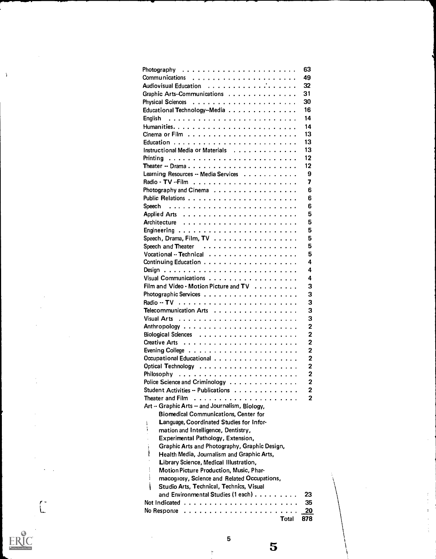|                                                                  | 63                      |
|------------------------------------------------------------------|-------------------------|
|                                                                  | 49                      |
|                                                                  | 32                      |
| Graphic Arts-Communications                                      | 31                      |
|                                                                  | 30                      |
| Educational Technology--Media                                    | 16                      |
|                                                                  | 14                      |
|                                                                  | 14                      |
|                                                                  | 13                      |
|                                                                  | 13                      |
| Instructional Media or Materials                                 | 13                      |
|                                                                  | 12                      |
| Theater -- Drama                                                 | 12                      |
| Learning Resources -- Media Services                             | 9                       |
|                                                                  | 7                       |
| Photography and Cinema                                           | 6                       |
|                                                                  | 6                       |
|                                                                  | 6                       |
|                                                                  | 5                       |
|                                                                  | 5                       |
|                                                                  | 5                       |
| Speech, Drama, Film, TV                                          | 5                       |
|                                                                  | 5                       |
|                                                                  | 5                       |
|                                                                  | 4                       |
|                                                                  | 4                       |
| Visual Communications                                            | 4                       |
| Film and Video - Motion Picture and TV                           | 3                       |
|                                                                  | 3                       |
|                                                                  | 3                       |
| Telecommunication Arts                                           | 3                       |
|                                                                  | 3                       |
|                                                                  | $\mathbf 2$             |
|                                                                  | $\mathbf 2$             |
|                                                                  | $\mathbf 2$             |
|                                                                  | $\overline{2}$          |
| Occupational Educational                                         | $\overline{2}$          |
| <b>Optical Technology</b><br>.                                   | 2                       |
| Philosophy                                                       | $\overline{\mathbf{c}}$ |
| Police Science and Criminology                                   | $\overline{\mathbf{c}}$ |
| Student Activities -- Publications                               | $\overline{\mathbf{c}}$ |
| Theater and Film                                                 | $\overline{2}$          |
| Art -- Graphic Arts -- and Journalism, Biology,                  |                         |
| <b>Biomedical Communications, Center for</b>                     |                         |
| Language, Coordinated Studies for Infor-<br>ï                    |                         |
| ţ<br>mation and Intelligence, Dentistry,                         |                         |
| Experimental Pathology, Extension,                               |                         |
| Ì<br>Graphic Arts and Photography, Graphic Design,               |                         |
| Health Media, Journalism and Graphic Arts,                       |                         |
| Library Science, Medical Illustration,                           |                         |
| Í<br>Motion Picture Production, Music, Phar-<br>i                |                         |
| macognosy, Science and Related Occupations,                      |                         |
| Studio Arts, Technical, Technics, Visual                         |                         |
| and Environmental Studies (1 each)                               | 23                      |
|                                                                  | 35<br>20                |
| No Response $\ldots \ldots \ldots \ldots \ldots$<br><b>Total</b> | 878                     |
|                                                                  |                         |

# $\label{eq:ex1} \underset{\overbrace{\mathbf{F} \text{full Test Proof of by EBC}}}{\mathbf{E} \times \mathbf{C}}$

 $\begin{pmatrix} 1 \\ 1 \end{pmatrix}$ 

 $\bar{\alpha}$ 

 $\frac{5}{5}$ 

 $\frac{1}{2}$  $\sim$ 

 $\begin{array}{c} 3 \\ 1 \\ 2 \\ 3 \\ 4 \end{array}$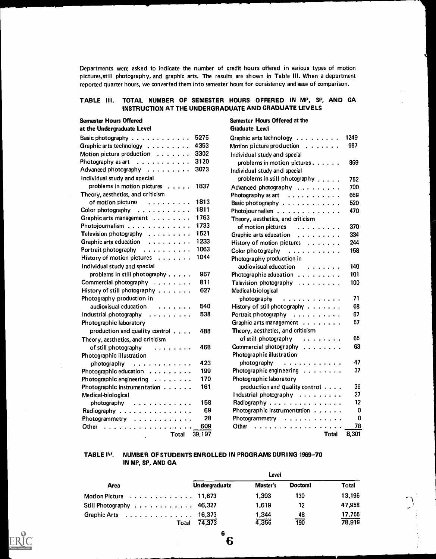Departments were asked to indicate the number of credit hours offered in various types of motion pictures,still photography, and graphic arts. The results are shown in Table III. When a department reported quarter hours, we converted them into semester hours for consistency and ease of comparison.

# TABLE III. TOTAL NUMBER OF SEMESTER HOURS OFFERED IN MP, SP, AND GA INSTRUCTION AT THE UNDERGRADUATE AND GRADUATE LEVELS

# Semester Hours Offered

### at the Undergraduate Level

| Basic photography $\;\ldots\; \ldots\; \ldots\; \ldots\;$ . | 5275   | Graphic arts technology $\dots \dots \dots$ | 1249  |
|-------------------------------------------------------------|--------|---------------------------------------------|-------|
| Graphic arts technology $\dots \dots \dots$                 | 4353   | Motion picture production $\ldots \ldots$   | 987   |
| Motion picture production $\ldots \ldots$                   | 3302   | Individual study and special                |       |
| Photography as art $\ldots \ldots \ldots$                   | 3120   | problems in motion pictures                 | 869   |
| Advanced photography $\dots \dots \dots$                    | 3073   | Individual study and special                |       |
| Individual study and special                                |        | problems in still photography               | 752   |
| problems in motion pictures                                 | 1837   | Advanced photography                        | 700   |
| Theory, aesthetics, and criticism                           |        | Photography as art $\dots \dots \dots$      | 669   |
| of motion pictures                                          | 1813   | Basic photography                           | 520   |
| Color photography $\ldots \ldots \ldots \ldots$             | 1811   | Photojournalism                             | 470   |
| Graphic arts management                                     | 1763   | Theory, aesthetics, and criticism           |       |
| Photojournalism                                             | 1733   | of motion pictures<br>.                     | 370   |
| Television photography                                      | 1521   | Graphic arts education                      | 334   |
| Graphic arts education                                      | 1233   | History of motion pictures                  | 244   |
| Portrait photography                                        | 1063   | Color photography<br>.                      | 158   |
| History of motion pictures $\dots \dots$                    | 1044   | Photography production in                   |       |
| Individual study and special                                |        | audiovisual education<br>.                  | 140   |
| problems in still photography $\dots$ .                     | 967    | Photographic education                      | 101   |
| Commercial photography                                      | 811    | Television photography                      | 100   |
| History of still photography $\ldots \ldots$                | 627    | Medical-biological                          |       |
| Photography production in                                   |        | photography<br>.                            | 71    |
| audiovisual education<br>.                                  | 540    | History of still photography                | 68    |
| Industrial photography                                      | 538    | Portrait photography                        | 67    |
| Photographic laboratory                                     |        | Graphic arts management                     | 67    |
| production and quality control                              | 488    | Theory, aesthetics, and criticism           |       |
| Theory, aesthetics, and criticism                           |        | of still photography<br>.                   | 65    |
| of still photography<br>.                                   | 468    | Commercial photography                      | 63    |
| Photographic illustration                                   |        | Photographic illustration                   |       |
| photography<br>.                                            | 423    | photography<br>.                            | 47    |
| Photographic education                                      | 199    | Photographic engineering                    | 37    |
| Photographic engineering                                    | 170    | Photographic laboratory                     |       |
| Photographic instrumentation                                | 161    | production and quality control              | 36    |
| Medical-biological                                          |        | Industrial photography                      | 27    |
| photography<br>. <b>.</b>                                   | 158    | Radiography                                 | 12    |
| Radiography                                                 | 69     | Photographic instrumentation                | 0     |
| Photogrammetry                                              | 28     | Photogrammetry                              | 0     |
| Other<br>.                                                  | 609    | Other<br>.                                  | 78    |
| Total<br>$\bullet$                                          | 39,197 | <b>Total</b>                                | 8,301 |

# Semester Hours Offered at the Graduate Level

| Basic photography $\ldots \ldots \ldots \ldots$ | 5275   | Graphic arts technology                                                                           | 1249  |
|-------------------------------------------------|--------|---------------------------------------------------------------------------------------------------|-------|
| Graphic arts technology $\dots \dots \dots$     | 4353   | Motion picture production $\ldots \ldots$                                                         | 987   |
| Motion picture production $\ldots \ldots$       | 3302   | Individual study and special                                                                      |       |
| Photography as art $\ldots \ldots \ldots$       | 3120   | problems in motion pictures                                                                       | 869   |
| Advanced photography $\dots \dots \dots$        | 3073   | Individual study and special                                                                      |       |
| Individual study and special                    |        | problems in still photography                                                                     | 752   |
| problems in motion pictures                     | 1837   | Advanced photography                                                                              | 700   |
| Theory, aesthetics, and criticism               |        | Photography as art<br>. The second contract is the second contract of $\mathcal{A}$               | 669   |
| of motion pictures<br>.                         | 1813   | Basic photography                                                                                 | 520   |
| Color photography $\ldots \ldots \ldots \ldots$ | 1811   | Photojournalism                                                                                   | 470   |
| Graphic arts management                         | 1763   | Theory, aesthetics, and criticism                                                                 |       |
| Photojournalism                                 | 1733   | of motion pictures<br>.                                                                           | 370   |
| Television photography                          | 1521   | Graphic arts education                                                                            | 334   |
| Graphic arts education                          | 1233   | History of motion pictures                                                                        | 244   |
| Portrait photography                            | 1063   | Color photography                                                                                 | 158   |
| History of motion pictures $\dots \dots$        | 1044   | Photography production in                                                                         |       |
| Individual study and special                    |        | audiovisual education<br>.                                                                        | 140   |
| problems in still photography                   | 967    | Photographic education                                                                            | 101   |
| Commercial photography                          | 811    | Television photography $\ldots \ldots \ldots$                                                     | 100   |
| History of still photography                    | 627    | Medical-biological                                                                                |       |
| Photography production in                       |        | photography<br>.                                                                                  | 71    |
| audiovisual education<br>.                      | 540    | History of still photography                                                                      | 68    |
| Industrial photography<br>$\ldots$              | 538    | Portrait photography                                                                              | 67    |
| Photographic laboratory                         |        | Graphic arts management                                                                           | 67    |
| production and quality control                  | 488    | Theory, aesthetics, and criticism                                                                 |       |
| Theory, aesthetics, and criticism               |        | of still photography<br>$\begin{array}{cccccccccccccc} . & . & . & . & . & . & . & . \end{array}$ | 65    |
| of still photography<br>.                       | 468    | Commercial photography                                                                            | 63    |
| Photographic illustration                       |        | Photographic illustration                                                                         |       |
| photography<br>. <b>.</b>                       | 423    | photography<br>.                                                                                  | 47    |
| Photographic education                          | 199    | Photographic engineering                                                                          | 37    |
| Photographic engineering                        | 170    | Photographic laboratory                                                                           |       |
| Photographic instrumentation                    | 161    | production and quality control $\cdots$ .                                                         | 36    |
| Medical-biological                              |        | Industrial photography                                                                            | 27    |
| photography<br>. <b>.</b>                       | 158    | Radiography                                                                                       | 12    |
| Radiography                                     | 69     | Photographic instrumentation                                                                      | 0     |
| Photogrammetry                                  | 28     | Photogrammetry                                                                                    | 0     |
| Other                                           | 609    | Other<br>.                                                                                        | 78    |
| Total<br>$\sim$                                 | 39,197 | <b>Total</b>                                                                                      | 8,301 |

# TABLE ly. NUMBER OF STUDENTS ENROLLED IN PROGRAMS DURING 1969-70 IN MP, SP, AND GA

|                                                          | Level                |          |                 |              |  |  |  |  |  |  |  |
|----------------------------------------------------------|----------------------|----------|-----------------|--------------|--|--|--|--|--|--|--|
| <b>Area</b>                                              | <b>Undergraduate</b> | Master's | <b>Doctoral</b> | <b>Total</b> |  |  |  |  |  |  |  |
| Motion Picture $\dots \dots \dots \dots \dots 11,673$    |                      | 1.393    | 130             | 13,196       |  |  |  |  |  |  |  |
| Still Photography $\ldots \ldots \ldots \ldots$ 46,327   |                      | 1.619    | 12              | 47,958       |  |  |  |  |  |  |  |
| Graphic Arts $\ldots \ldots \ldots \ldots \ldots$ 16,373 |                      | 1,344    | 48              | 17,765       |  |  |  |  |  |  |  |
| Total                                                    | 74,373               | 4,356    | 190             | 78,919       |  |  |  |  |  |  |  |



6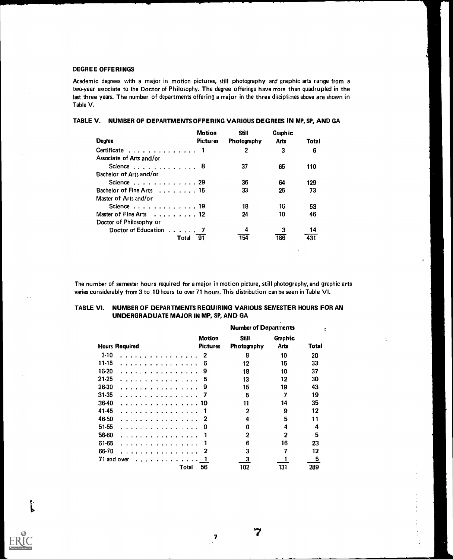### DEGREE OFFERINGS

Academic degrees with a major in motion pictures, still photography and graphic arts range from a two-year associate to the Doctor of Philosophy. The degree offerings have more than quadrupled in the last three years. The number of departments offering a major in the three disciplines above are shown in Table V.

# TABLE V. NUMBER OF DEPARTMENTS OFFERING VARIOUS DEGREES IN MP, SP, AND GA

|                                                        | <b>Motion</b>   | <b>Still</b> | Graph ic    |       |
|--------------------------------------------------------|-----------------|--------------|-------------|-------|
| <b>Degree</b>                                          | <b>Pictures</b> | Photography  | <b>Arts</b> | Total |
| Certificate $\ldots$ , $\ldots$ , $\ldots$ , $\ldots$  |                 | 2            | 3           | 6     |
| Associate of Arts and/or                               |                 |              |             |       |
| Science $\ldots$ , $\ldots$ , $\ldots$ , 8             |                 | 37           | 65          | 110   |
| Bachelor of Arts and/or                                |                 |              |             |       |
| Science $\ldots$ , $\ldots$ , $\ldots$ , $\ldots$ , 29 |                 | 36           | 64          | 129   |
| Bachelor of Fine Arts 15                               |                 | 33           | 25          | 73    |
| Master of Arts and/or                                  |                 |              |             |       |
| Science $\ldots$ , $\ldots$ , $\ldots$ , $\ldots$ , 19 |                 | 18           | 16          | 53    |
| Master of Fine Arts 12                                 |                 | 24           | 10          | 46    |
| Doctor of Philosophy or                                |                 |              |             |       |
| Doctor of Education 7                                  |                 | 4            | з           | 14    |
| Total                                                  | 91              |              | 186         |       |

The number of semester hours required for a major in motion picture, still photography, and graphic arts varies considerably from 3 to 10 hours to over 71 hours. This distribution can be seen in Table VI.

 $\ddot{ }$ 

 $\mathcal{L}^{\mathcal{L}}$ 

# TABLE VI. NUMBER OF DEPARTMENTS REQUIRING VARIOUS SEMESTER HOURS FOR AN UNDERGRADUATE MAJOR IN MP, SP, AND GA

|                                                                                                                                                                                      |                                  | <b>Number of Departments</b> |                 |       |
|--------------------------------------------------------------------------------------------------------------------------------------------------------------------------------------|----------------------------------|------------------------------|-----------------|-------|
| <b>Hours Required</b>                                                                                                                                                                | <b>Motion</b><br><b>Pictures</b> | Still<br>Photography         | Graphic<br>Arts | Total |
| $3-10$<br>$\mathbf{a} \cdot \mathbf{b} \cdot \mathbf{c} \cdot \mathbf{a} \cdot \mathbf{a} \cdot \mathbf{b} \cdot \mathbf{c} \cdot \mathbf{a} \cdot \mathbf{a} \cdot \mathbf{a}$      | 2                                | 8                            | 10              | 20    |
| 11-15<br>and a series and a series                                                                                                                                                   | 6                                | 12                           | 15              | 33    |
| $16-20$                                                                                                                                                                              | 9                                | 18                           | 10              | 37    |
| 21-25                                                                                                                                                                                | 5                                | 13                           | 12              | 30    |
| 26-30                                                                                                                                                                                | 9                                | 15                           | 19              | 43    |
| 31-35                                                                                                                                                                                |                                  | 5                            | 7               | 19    |
| 36-40                                                                                                                                                                                | 10                               | 11                           | 14              | 35    |
| 41-45                                                                                                                                                                                |                                  | $\mathbf{2}$                 | 9               | 12    |
| 46-50                                                                                                                                                                                | 2                                | 4                            | 5               | 11    |
| 51-55                                                                                                                                                                                | 0                                | Ω                            | 4               | 4     |
| 56-60                                                                                                                                                                                |                                  | 2                            | 2               | 5     |
| 61-65                                                                                                                                                                                |                                  | 6                            | 16              | 23    |
| 66-70                                                                                                                                                                                | 2                                | 3                            | 7               | 12    |
| 71 and over<br>$\mathbf{a} \cdot \mathbf{a} \cdot \mathbf{a} \cdot \mathbf{a} \cdot \mathbf{a} \cdot \mathbf{a} \cdot \mathbf{a} \cdot \mathbf{a} \cdot \mathbf{a} \cdot \mathbf{a}$ |                                  | 3                            |                 | 5     |
| Total                                                                                                                                                                                | 56                               | 102                          | 131             | 289   |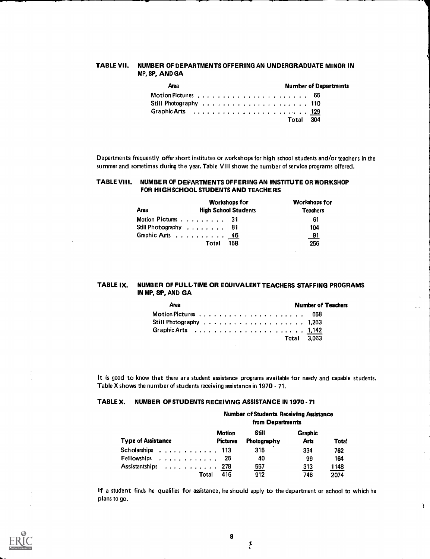### TABLE VII. NUMBER OF DEPARTMENTS OFFERING AN UNDERGRADUATE MINOR IN MP, SP, AND GA

| <b>Area</b>                                            |  |  |  |  |  |  | <b>Number of Departments</b> |  |  |  |  |  |  |  |  |  |  |           |  |  |  |  |  |
|--------------------------------------------------------|--|--|--|--|--|--|------------------------------|--|--|--|--|--|--|--|--|--|--|-----------|--|--|--|--|--|
| Still Photography  110                                 |  |  |  |  |  |  |                              |  |  |  |  |  |  |  |  |  |  |           |  |  |  |  |  |
| Graphic Arts (a.g., a.g., a.g., a.g., a.g., a.g., 129) |  |  |  |  |  |  |                              |  |  |  |  |  |  |  |  |  |  | Total 304 |  |  |  |  |  |

Departments frequently offer short institutes or workshops for high school students and/or teachers in the summer and sometimes during the year. Table VIII shows the number of service programs offered.

# TABLE VIII. NUMBER OF DEPARTMENTS OFFERING AN INSTITUTE OR WORKSHOP FOR HIGH SCHOOL STUDENTS AND TEACHERS

|      | <b>Workshops for</b>        | <b>Workshops for</b> |
|------|-----------------------------|----------------------|
| Area | <b>High School Students</b> | <b>Teachers</b>      |
|      | Motion Pictures 31          | 61                   |
|      | Still Photography 81        | 104                  |
|      | Graphic Arts 46             | <u>91</u>            |
|      | 158<br>Total                | 256                  |

### TABLE IX. NUMBER OF FULL-TIME OR EQUIVALENT TEACHERS STAFFING PROGRAMS IN MP, SP, AND GA

| <b>Area</b>                                                                         |  |  |  |  |  |  |  |  |  |  | <b>Number of Teachers</b> |  |  |  |  |
|-------------------------------------------------------------------------------------|--|--|--|--|--|--|--|--|--|--|---------------------------|--|--|--|--|
|                                                                                     |  |  |  |  |  |  |  |  |  |  |                           |  |  |  |  |
| Still Photography $\ldots \ldots \ldots \ldots \ldots \ldots \ldots \ldots$ 1,263   |  |  |  |  |  |  |  |  |  |  |                           |  |  |  |  |
| Graphic Arts $\ldots \ldots \ldots \ldots \ldots \ldots \ldots \ldots \ldots 1,142$ |  |  |  |  |  |  |  |  |  |  |                           |  |  |  |  |
|                                                                                     |  |  |  |  |  |  |  |  |  |  | <b>Total 3.063</b>        |  |  |  |  |

It is good to know that there are student assistance programs available for needy and capable students. Table X shows the number of students receiving assistance in 1970 - 71.

# TABLE X. NUMBER OF STUDENTS RECEIVING ASSISTANCE IN 1970 - 71

| <b>Number of Students Receiving Assistance</b><br>from Departments |                                  |                             |                               |              |  |  |
|--------------------------------------------------------------------|----------------------------------|-----------------------------|-------------------------------|--------------|--|--|
| <b>Type of Assistance</b>                                          | <b>Motion</b><br><b>Pictures</b> | Still<br><b>Photography</b> | <b>Graphic</b><br><b>Arts</b> | <b>Total</b> |  |  |
| Scholarships 113                                                   |                                  | 315                         | 334                           | 762          |  |  |
|                                                                    |                                  | 40                          | 99                            | 164          |  |  |
| Assistantships 278                                                 |                                  | 557                         | 313                           | 1148         |  |  |
| Total                                                              | 416                              | 912                         | 746                           | 2074         |  |  |

If a student finds he qualifies for assistance, he should apply to the department or school to which he plans to go.



 $\sum_{i=1}^{n}$ 

 $\mathcal{Y}$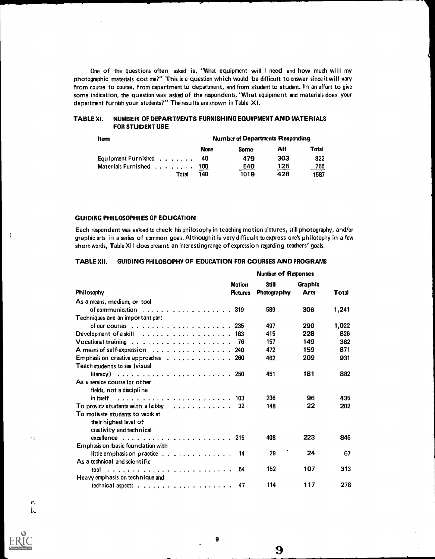One of the questions often asked is, "What equipment will <sup>I</sup> need and how much will my photographic materials cost me?" This is a question which would be difficult to answer since it will vary from course to course, from department to department, and from student to student. In an effort to give some indication, the question was asked of the respondents, "What equipment and materials does your department furnish your students?" The results are shown in Table X I.

# TABLE XI. NUMBER OF DEPARTMENTS FURNISHING EQUIPMENT AND MATERIALS FOR STUDENT USE

| <b>Item</b>                  | <b>Number of Departments Responding</b> |             |     |       |  |  |  |  |  |
|------------------------------|-----------------------------------------|-------------|-----|-------|--|--|--|--|--|
|                              | <b>None</b>                             | <b>Some</b> | All | Total |  |  |  |  |  |
| Equipment Furnished $\ldots$ | 40                                      | 479         | 303 | 822   |  |  |  |  |  |
| Materials Furnished 100      |                                         | 540         | 125 | 765   |  |  |  |  |  |
| Total                        | 140                                     | 1019        | 428 | 1587  |  |  |  |  |  |

#### GUIDING PHILOSOPHIES OF EDUCATION

 $\frac{1}{2}$ 

 $\pm$ 

Each respondent was asked to check his philosophy in teaching motion pictures, still photography, and/or graphic arts in a series of common goals. Although it is very difficult to express one's philosophy in a few short words, Table XII does present an interesting range of expression regarding teachers' goals.

### TABLE XII. GUIDING PHILOSOPHY OF EDUCATION FOR COURSES AND PROGRAMS

|                                                                                   |                                  | <b>Number of Responses</b>  |                        |       |
|-----------------------------------------------------------------------------------|----------------------------------|-----------------------------|------------------------|-------|
| <b>Philosophy</b>                                                                 | <b>Motion</b><br><b>Pictures</b> | <b>Still</b><br>Photography | Graphic<br><b>Arts</b> | Total |
|                                                                                   |                                  |                             |                        |       |
| As a means, medium, or tool                                                       |                                  |                             |                        |       |
| of communication 319                                                              |                                  | 589                         | 306                    | 1,241 |
| Techniques are an important part                                                  |                                  |                             |                        |       |
| of our courses $\ldots$ 235                                                       |                                  | 497                         | 290                    | 1,022 |
| Development of a skill $\ldots$ , $\ldots$ , $\ldots$ , $\ldots$ , $\ldots$ , 183 |                                  | 415                         | 228                    | 826   |
| Vocational training $\ldots \ldots \ldots \ldots \ldots \ldots \ldots$ 76         |                                  | 157                         | 149                    | 382   |
| A means of self-expression 240                                                    |                                  | 472                         | 159                    | 871   |
| Emphasis on creative approaches 260                                               |                                  | 462                         | 209                    | 931   |
| Teach students to see (visual                                                     |                                  |                             |                        |       |
|                                                                                   |                                  | 451                         | 181                    | 882   |
| As a service course for other                                                     |                                  |                             |                        |       |
| fields, not a discipline                                                          |                                  |                             |                        |       |
| in itself                                                                         |                                  | 236                         | 96                     | 435   |
| To provide students with a hobby                                                  | -32                              | 148                         | 22                     | 202   |
| To motivate students to work at                                                   |                                  |                             |                        |       |
|                                                                                   |                                  |                             |                        |       |
| their highest level of                                                            |                                  |                             |                        |       |
| creativity and technical                                                          |                                  |                             |                        |       |
|                                                                                   |                                  | 408                         | 223                    | 846   |
| <b>Emphasis on basic foundation with</b>                                          |                                  | ٠                           |                        |       |
| little emphasis on practice $\ldots$ ,                                            | 14                               | 29                          | 24                     | 67    |
| As a technical and scientific                                                     |                                  |                             |                        |       |
|                                                                                   | 54                               | 152                         | 107                    | 313   |
| Heavy emphasis on technique and                                                   |                                  |                             |                        |       |
| technical aspects $\ldots \ldots \ldots \ldots \ldots \ldots$                     | 47                               | 114                         | 117                    | 278   |

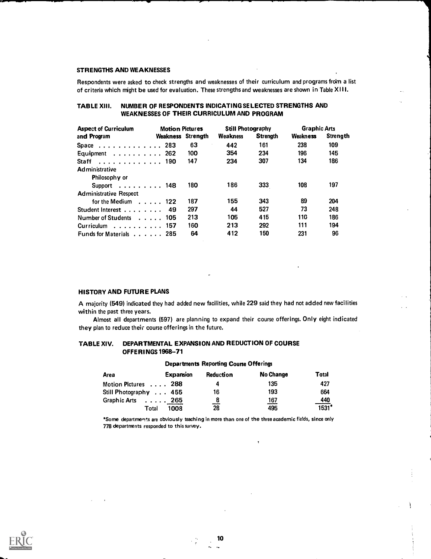### STRENGTHS AND WEAKNESSES

Respondents were asked to check strengths and weaknesses of their curriculum and programs from a list of criteria which might be used for evaluation. These strengths and weaknesses are shown in Table XI II.

# TABLE XIII. NUMBER OF RESPONDENTS INDICATING SELECTED STRENGTHS AND WEAKNESSES OF THEIR CURRICULUM AND PROGRAM

| <b>Aspect of Curriculum</b>                | <b>Motion Pictures</b> |          | <b>Still Photography</b> |                 | <b>Graphic Arts</b> |                 |  |  |
|--------------------------------------------|------------------------|----------|--------------------------|-----------------|---------------------|-----------------|--|--|
| and Program                                | Weakness               | Strenath | <b>Weakness</b>          | <b>Strenath</b> | Weakness            | <b>Strength</b> |  |  |
| Space $\ldots$ , $\ldots$ , $\ldots$ , 283 |                        | 63       | 442                      | 161             | 238                 | 109             |  |  |
| Equipment $\ldots \ldots \ldots$ 262       |                        | 100      | 354                      | 234             | 196                 | 145             |  |  |
| Staff $\ldots$ ,  190                      |                        | 147      | 234                      | 307             | 134                 | 186             |  |  |
| <b>Administrative</b>                      |                        |          |                          |                 |                     |                 |  |  |
| Philosophy or                              |                        |          |                          |                 |                     |                 |  |  |
| Support 148                                |                        | 180      | 186                      | 333             | 108                 | 197             |  |  |
| <b>Administrative Respect</b>              |                        |          |                          |                 |                     |                 |  |  |
| for the Medium $\ldots$ 122                |                        | 187      | 155                      | 343             | 89                  | 204             |  |  |
| Student Interest 49                        |                        | 297      | 44                       | 527             | 73                  | 248             |  |  |
| Number of Students 105                     |                        | 213      | 105                      | 415             | 110                 | 186             |  |  |
| Curriculum 157                             |                        | 160      | 213                      | 292             | 111                 | 194             |  |  |
| Funds for Materials 285                    |                        | 64       | 412                      | 150             | 231                 | 96              |  |  |

# HISTORY AND FUTURE PLANS

A majority (549) indicated they had added new facilities, while 229 said they had not added new facilities within the past three years.

Almost all departments (597) are planning to expand their course offerings. Only eight indicated they plan to reduce their course offerings in the future.

# TABLE XIV. DEPARTMENTAL EXPANSION AND REDUCTION OF COURSE OFFE RI NGS 1968-71

| Area                   | <b>Expansion</b> | Reduction | No Change       | Total   |
|------------------------|------------------|-----------|-----------------|---------|
| Motion Pictures 288    |                  | д         | 135             | 427     |
| Still Photography  455 |                  | 16        | 193             | 664     |
| Graphic Arts 265       |                  | 8         | 167<br><u>—</u> | 440     |
| Total                  | 1008             | --<br>28  | 495             | $1531*$ |

Departments Reporting Course Offerings

"Some departments are obviously teaching in more than one of the three academic fields, since only 778 departments responded to this survey.

:

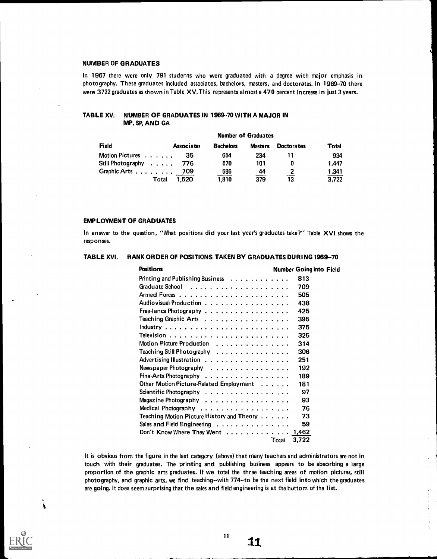#### NUMBER OF GRADUATES

In 1967 there were only 791 students who were graduated with a degree with major emphasis in photography. These graduates included associates, bachelors, masters, and doctorates. In 1969-70 there were 3722 graduates as shown in Table XV. This represents almost a 470 percent increase in just 3 years.

#### TABLE XV. NUMBER OF GRADUATES IN 1969-70 WITH A MAJOR IN MP, SP, AND GA

| <b>Number of Graduates</b> |                   |                  |                |                   |              |
|----------------------------|-------------------|------------------|----------------|-------------------|--------------|
| Field                      | <b>Associates</b> | <b>Bachelors</b> | <b>Masters</b> | <b>Doctorates</b> | <b>Total</b> |
| Motion Pictures            | 35                | 654              | 234            |                   | 934          |
| Still Photography          | -776              | 570              | 101            |                   | 1.447        |
| Graphic Arts 709           |                   | 586              | 44             |                   | <u>1,341</u> |
| Total                      | 1.520             | 1,810            | 379            | 13                | 3.722        |

### EMPLOYMENT OF GRADUATES

Á

In answer to the question, "What positions did your last year's graduates take?" Table XVI shows the responses.

# TABLE XVI. RANK ORDER OF POSITIONS TAKEN BY GRADUATES DURING 1969-70

| <b>Positions</b>                                                      | <b>Number Going into Field</b> |
|-----------------------------------------------------------------------|--------------------------------|
| Printing and Publishing Business                                      | 813                            |
|                                                                       | 709                            |
|                                                                       | 505                            |
| Audiovisual Production                                                | 438                            |
| Free-lance Photography                                                | 425                            |
| Teaching Graphic Arts $\ldots \ldots \ldots \ldots \ldots$            | 395                            |
|                                                                       | 375                            |
|                                                                       | 325                            |
| Motion Picture Production                                             | 314                            |
| Teaching Still Photography                                            | 306                            |
| Advertising Illustration                                              | 251                            |
| Newspaper Photography                                                 | 192                            |
| Fine-Arts Photography                                                 | 189                            |
| Other Motion Picture-Related Employment                               | 181                            |
| Scientific Photography $\ldots \ldots \ldots \ldots \ldots$           | 97                             |
| Magazine Photography                                                  | 93                             |
| Medical Photography $\ldots \ldots \ldots \ldots \ldots$              | 76                             |
| Teaching Motion Picture History and Theory                            | 73                             |
| Sales and Field Engineering                                           | 59                             |
| Don't Know Where They Went $\ldots \ldots \ldots \ldots \ldots$ 1,462 |                                |
|                                                                       | 3,722<br>Total                 |

It is obvious from the figure in the last category (above) that many teachers and administrators are not in touch with their graduates. The printing and publishing business appears to be absorbing a large proportion of the graphic arts graduates. If we total the three teaching areas of motion pictures, still photography, and graphic arts, we find teaching--with 774--to be the next field into which the graduates are going. It does seem surprising that the sales and field engineering is at the bottom of the list.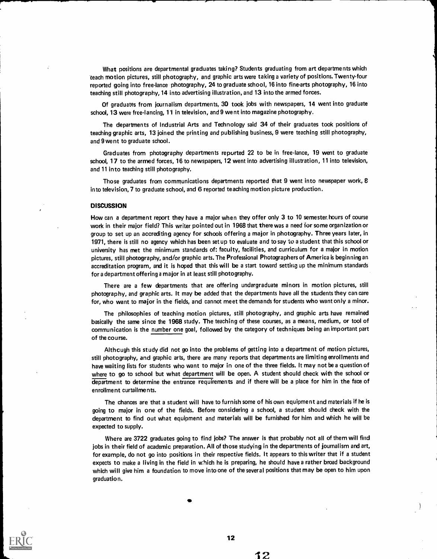What positions are departmental graduates taking? Students graduating from art departments which teach motion pictures, still photography, and graphic arts were taking a variety of positions. Twenty-four reported going into free-lance photography, 24 to graduate school, 16 into fine-arts photography, 16 into teaching still photography, 14 into advertising illustration, and 13 into the armed forces.

Of graduates from journalism departments, 30 took jobs with newspapers, 14 went into graduate school, 13 were free-lancing, 11 in television, and 9 went into magazine photography.

The departments of Industrial Arts and Technology said 34 of their graduates took positions of teaching graphic arts, 13 joined the printing and publishing business, 9 were teaching still photography, and 9 went to graduate school.

Graduates from photography departments repurted 22 to be in free-lance, 19 went to graduate school, 17 to the armed forces, 16 to newspapers, 12 went into advertising illustration, 11 into television, and 11 into teaching still photography.

Those graduates from communications departments reported that 9 went into newspaper work, 8 into television, 7 to graduate school, and 6 reported teaching motion picture production.

#### **DISCUSSION**

How can a department report they have a major when they offer only 3 to 10 semester hours of course work in their major field? This writer pointed out in 1968 that there was a need for some organization or group to set up an accrediting agency for schools offering a major in photography. Three years later, in 1971, there is still no agency which has been set up to evaluate and to say to a student that this school or university has met the minimum standards of: faculty, facilities, and curriculum for a major in motion pictures, still photography, and/or graphic arts. The Professional Photographers of America is beginning an accreditation program, and it is hoped that this will be a start toward setting up the minimum standards for a department offering a major in at least still photography.

There are a few departments that are offering undergraduate minors in motion pictures, still photography, and graphic arts. It may be added that the departments have all the students they can care for, who want to major in the fields, and cannot meet the demands for students who want only a minor.

The philosophies of teaching motion pictures, still photography, and graphic arts have remained basically the same since the 1968 study. The teaching of these courses, as a means, medium, or tool of communication is the number one goal, followed by the category of techniques being an important part of the course.

Although this study did not go into the problems of getting into a department of motion pictures, still photography, and graphic arts, there are many reports that departments are limiting enrollments and have waiting lists for students who want to major in one of the three fields. It may not be a question of where to go to school but what department will be open. A student should check with the school or department to determine the entrance requirements and if there will be a place for him in the face of enrollment curtailments.

The chances are that a student will have to furnish some of his own equipment and materials if he is going to major in one of the fields. Before considering a school, a student should check with the department to find out what equipment and materials will be furnished for him and which he will be expected to supply.

Where are 3722 graduates going to find jobs? The answer is that probably not all of them will find jobs in their field of academic preparation. All of those studying in the departments of journalism and art, for example, do not go into positions in their respective fields. It appears to this writer that if a student expects to make a living in the field in which he is preparing, he should have a rather broad background which will give him a foundation to move into one of the several positions that may be open to him upon graduatio n.

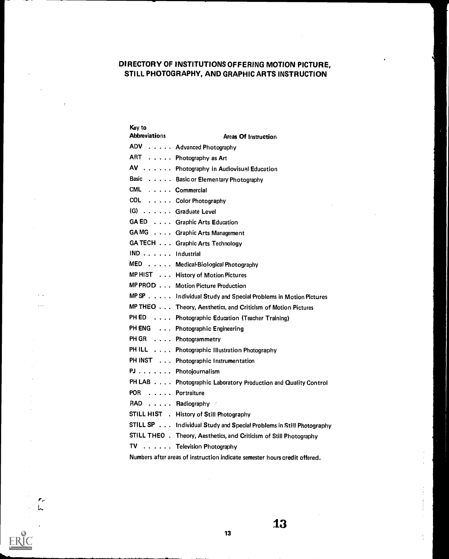# DIRECTORY OF INSTITUTIONS OFFERING MOTION PICTURE, STILL PHOTOGRAPHY, AND GRAPHIC ARTS INSTRUCTION

| Key to<br><b>Abbreviations</b> | Areas Of Instruction                                                |
|--------------------------------|---------------------------------------------------------------------|
|                                | ADV Advanced Photography                                            |
|                                | ART Photography as Art                                              |
|                                | AV Photography in Audiovisual Education                             |
|                                | Basic Basic or Elementary Photography                               |
| CML Commercial                 |                                                                     |
|                                | COL Color Photography                                               |
| (G) Graduate Level             |                                                                     |
|                                | GA ED Graphic Arts Education                                        |
|                                | GAMG Graphic Arts Management                                        |
|                                | GA TECH Graphic Arts Technology                                     |
| IND Industrial                 |                                                                     |
|                                | MED Medical Biological Photography                                  |
|                                | MP HIST History of Motion Pictures                                  |
|                                | MP PROD Motion Picture Production                                   |
|                                | MP SP Individual Study and Special Problems in Motion Pictures      |
|                                | MP THEO Theory, Aesthetics, and Criticism of Motion Pictures        |
|                                | PH ED Photographic Education (Teacher Training)                     |
|                                | PH ENG Photographic Engineering                                     |
|                                | PH GR Photogrammetry                                                |
|                                | PH ILL Photographic Illustration Photography                        |
|                                | PH INST Photographic Instrumentation                                |
|                                | PJ Photojournalism                                                  |
|                                | PH LAB Photographic Laboratory Production and Quality Control       |
| POR Portraiture                |                                                                     |
| RAD Radiography                |                                                                     |
|                                | STILL HIST . History of Still Photography                           |
|                                | STILL SP Individual Study and Special Problems in Still Photography |
|                                | STILL THEO . Theory, Aesthetics, and Criticism of Still Photography |
|                                | TV Television Photography                                           |

 $\ddotsc$ 

 $\mathcal{F}_{\phi^*}$  $\mathbf{I}_{\mathbf{m}}$ 

 $\overline{a}$ 

Numbers after areas of instruction indicate semester hours credit offered.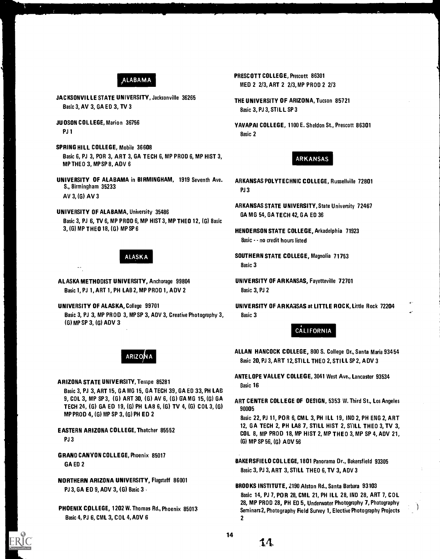# ALABAMA

- JACKSONVILLE STATE UNIVERSITY, Jacksonville 36265<br>Basic 3, AV 3, GA ED 3, TV 3<br>Pasic 3, PL3, STU, LSB 3
- PJ 1 Basic 2
- SPRING HILL COLLEGE, Mobile 36608 Basic 6, PJ 3, POR 3, ART 3, GA TECH 6, MP PROD 6, MP HIST 3, ARKANSAS MP THEO 3, MP SP 8, ADV 6
- UNIVERSITY OF ALABAMA in BIRMINGHAM, 1919 Seventh Ave. ARKANSAS POLYTECHNIC COLLEGE, Russellville 72801 S., Birmingham 35233 AV 3, (G) AV 3
- UNIVERSITY OF ALABAMA, University 35486 GA MG 54, GA TECH 42, GA ED 36 Basic 3, PJ 6, TV 6, MP PROD 6, MP HIST 3, MP THEO 12, (G) Basic 3, (G) MP THEO 18, (G) MP SP 6 HENDERSON STATE COLLEGE, Arkadelphia 71923

ALASKA METHODIST UNIVERSITY, Anchorage 99804 UNIVERSITY OF ARKANSAS, Fayetteville 72701 Basic 1, PJ 1, ART 1, PH LAB 2, MP PROD 1, ADV 2 Basic 3, PJ 2

UNIVERSITY OF ALASKA, College 99701 UNIVERSITY OF ARKANSAS at LITTLE ROCK, Little Rock 72204 Basic 3, PJ 3, MP PROD 3, MP SP 3, ADV 3, Creative Photography 3, Basic 3 (G) MP SP 3, (G) ADV 3

ARIZO

ARIZONA STATE UNIVERSITY, Tempe 85281

Basic 3, PJ 3, ART 15, GA MG 15, GA TECH 39, GA ED 33, PH LAB 9, COL 3, MP SP 3, (G) ART 30, (G) AV 6, (G) GA MG 15, (G) GA TECH 24, (G) GA ED 19, (G) PH LAB 6, (G) TV 4, (G) COL 3, (G) MP PROD 4, (G) MP SP 3, (G) PH ED 2

EASTERN ARIZONA COLLEGE, Thatcher 85552 PJ 3

GRAND CANYON COLLEGE, Phoenix 85017 GA ED 2

NORTHERN ARIZONA UNIVERSITY, Flagstaff 86001 PJ 3, GA ED 9, ADV 3, (G) Basic 3

PHOENIX COLLEGE, 1202 W. Thomas Rd., Phoenix 85013 Basic 4, PJ 6, CML 3, COL 4, ADV 6

- PRESCOTT COLLEGE, Prescott 86301 MED 2 2/3, ART 2 2/3,MP PROD 2 2/3
- Basic 3, PJ 3, STILL SP 3
- JU OSON COLLEGE, Marion 36756 YAVAPAI COLLEGE, 1100 E. Sheldon St., Prescott 86301<br>PJ 1

- PJ 3
- ARKANSAS STATE UNIVERSITY, State University 72467
- Basic - no credit hours listed
- ALASKA SOUTHERN STATE COLLEGE, Magnolia 71753 Basic 3
	-

# **CALIFORNIA**

ALLAN HANCOCK COLLEGE, 800 S. College Dr., Santa Maria 93454 Basic 20, PJ 3, ART 12,STILL THEO 2, STI LL SP 2, A DV 3

ANTELOPE VALLEY COLLEGE, 3041 West Ave., Lancaster 93534 Basic 16

ART CENTER COLLEGE OF DESIGN, 5353 W. Third St., Los Angeles 90005

Basic 22, PJ 11, POR 6, CM L 3, PH ILL 19, IND 2, PH ENG 2, ART 12, GA TECH 2, PH LAB 7, STILL HIST 2, STILL THEO 3, TV 3, COL 8, MP PROD 18, MP HIST 2, MP THEO 3, MP SP 4, ADV 21, (G) MP SP 56, (G) ADV 56

- BAKERSFIELD COLLEGE, 1801 Panorama Dr., Bakersfield 93305 Basic 3, PJ 3, ART 3, STILL THEO 6, TV 3, ADV 3
- BROOKS INSTITUTE, 2190 Alston Rd., Santa Barbara 93103 Basic 14, PJ 7, PO R 28, CML 21, PH ILL 28, IND 28, ART 7, COL 28, MP PROD 28, PH ED 5, Underwater Photography 7, Photography Seminars2, Photography Field Survey 1, Elective Photography Projects  $\overline{\phantom{a}}$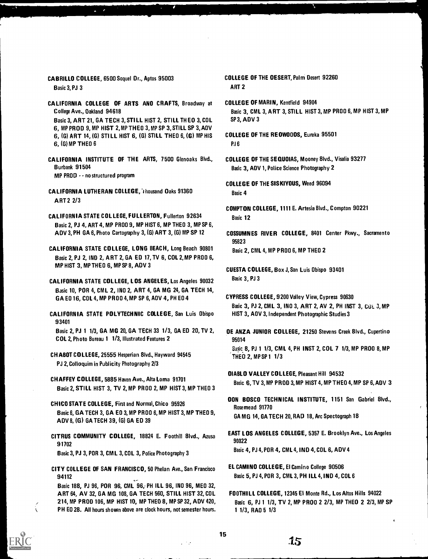CABRILLO COLLEGE, 6500 Soquel Dr., Aptos 95003

Basic 3, PJ 3

- CALIFORNIA COLLEGE OF ARTS AND CRAFTS, Broadway at College Ave., Oakland 94618 Basic 3, ART 21, GA TECH 3, STILL HIST 2, STILL THEO 3, COL 6, MP PROD 9, MP HIST 2,MP THEO 3, MP SP 3, STILL SP 3, A01/ 6, (G) ART 14, (G) STI LL HIST 6, (G) STILL THEO 6, (G) MP HIS 6, (G) MP THEO 6
- CALIFORNIA INSTITUTE OF THE ARTS, 7500 Glenoaks Blvd., Burbank 91504 MP PROD - - no structured program
- CALIFORNIA LUTHERAN COLLEGE, Thousand Oaks 91360 ART 2 2/3
- CALIFORNIA STATE COLLEGE, FULLERTON, Fullerton 92634 Basic 2, PJ 4, ART 4, MP PROO 9, MP HIST 6, MP THEO 3, MP SP 6, ADV 3, PH GA 6, Photo Cartography 3, (G) ART 3, (G) MP SP 12
- CALIFORNIA STATE COLLEGE, LONG BEACH, Long Beach 90801 Basic 2, PJ 2, IND 2, ART 2, GA ED 17, TV 6, COL 2, MP PROO 6, MP HIST 3, MP THEO 6, MP SP 8, ADV 3
- CALIFORNIA STATE COLLEGE, L OS ANGELES, Los Angeles 90032 Basic 10, POR 4, CML 2, INO 2, ART 4, GA MG 24, GA TECH 14, GA E0 16, COL 4, MP PR 00 4, MP SP 6, A0V 4, PH E0 4
- CALIFORNIA STATE POLYTECHNIC COLLEGE, San Luis Obispo 93401

Basic 2, PJ 1 1/3, GA MG 20, GA TECH 33 1/3, GA ED 20, TV 2, COL 2, Photo Bureau 1 1/3, Illustrated Features 2

- CHABOT COLLEGE, 25555 Hesperian Blvd., Hayward 94545 PJ 2, Colloquim in Publicity Photography 2/3
- CHAFFEY COLLEGE, 5885 Haven Ave., Alta Loma 91701 Basic 2, STILL HIST 3, TV 2, MP PR 00 2, MP HIST 3, MP THEO 3
- CHICO STATE COLLEGE, First and Normal, Chico 95926 Basic 6, GA TECH 3, GA EO 3, MP PR 00 6, MP HIST 3, MP THEO 9, ADV 8, (G) GA TECH 39, (G) GA ED 39
- CITRUS COMMUNITY COLLEGE, 18824 E. Foothill Blvd., Azusa 91702 Basic 3, PJ 3, POR 3, CM L 3, COL 3, Police Photography 3
- CITY COLLEGE OF SAN FRANCISCO, 50 Phelan Ave., San Francisco 94112

Basic 188, PJ 96, POR 96, CML 96, PH ILL 96, INO 96, MEO 32, ART 64, AV 32, GA MG 108, GA TECH 560, STILL HIST 32, COL 214, MP PROD 106, MP HIST 10, MP THEO 8, MP SP 32, ADV 420, PH EO 28. All hours shown above are clock hours, not semester hours.

- COLLEGE OF THE DESERT, Palm Desert 92260 ART 2
- COLLEGE OF MARIN, Kentfield 94904 Basic 3, CML 3, ART 3, STILL HIST 3, MP PROO 6, MP HIST 3, MP SP 3, ADV 3
- COLLEGE OF THE REDWOODS, Eureka 95501 P.I<sub>6</sub>
- COLLEGE OF THE SEQUOIAS, Mooney Blvd., Visalia 93277 Basic 3, ADV 1, Police Science Photography 2

COLLEGE OF THE SISKIYOUS, Weed 96094 Basic 4

- COMPTON COLLEGE, 1111 E. Artesia Blvd., Compton 90221 Basic 12
- COSSUMNES RIVER COLLEGE, 8401 Center Pkwy., Sacramento 95823 Basic 2, CML 4, MP PROO 6, MP THEO 2
- CUESTA COLLEGE, Box J, San Luis Obispo 93401 Basic 3, PJ 3
- CYPRESS COLLEGE, 9200 Valley View, Cypress 90630 Basic 3, PJ 2, CML 3, 1NO 3, ART 2, AV 2, PH INST 3, CUL 3, MP HIST 3, AOV 3, Independent Photographic Studies 3
- DE ANZA JUNIOR COLLEGE, 21250 Stevens Creek Blvd., Cupertino 95014 Saft. 8, PJ 1 1/3, CML 4, PH INST 2, COL 7 1/3, MP PROO 8, MP THEO 2, MP SP 1 1/3
- DIABLO VALLEY COLLEGE, Pleasant Hill 94532 Basic 6, TV 3, MP PROD 3, MP HIST 4, MP THEO 4, MP SP 6, ADV 3
- DON BOSCO TECHNICAL INSTITUTE, 1151 San Gabriel Blvd., Rosemead 91770 GA MG 14, GA TECH 20, RAD 18, Arc Spectograph 18
- EAST LOS ANGELES COLLEGE, 5357 E. Brooklyn Ave., Los Angeles 90022 Basic 4, PJ 4, POR 4, CML 4, IND 4, COL 6, ADV 4
- EL CAMINO COLLEGE, El Camino College 90506 Basic 5, PJ 4, POR 3, CML 3, PH ILL 4, IND 4, COL 6
- FOOTHILL COLLEGE, 12345 El Monte Rd., Los Altos Hills 94022 Basic 6, PJ 1 1/3, TV 2, MP PROO 2 2/3, MP THEO 2 2/3, MP SP 1 1/3, RAO 5 1/3

والمنازل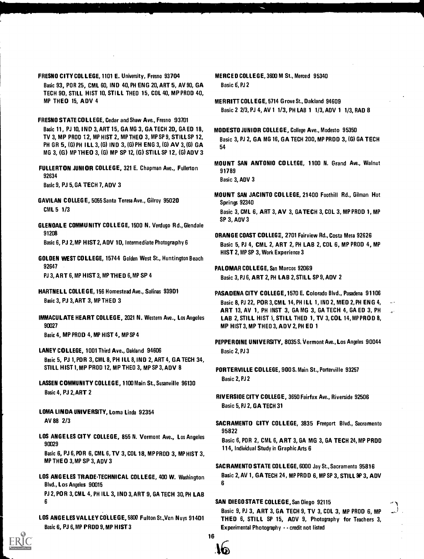- FRESNO CITY COL LEGE, 1101 E. University, Fresno 93704 Basic 93, POR 25, CML 60, IND 40, PH ENG 20, ART 5, AV 90, GA TECH 90, STILL HIST 10, STILL THEO 15, COL 40, MP PROD 40, MP THEO 15, ADV 4
- FRESNO STATE COLLEGE, Cedar and Shaw Ave., Fresno 93701 Basic 11, PJ 10, IND 3, ART 15, GA MG 3, GA TECH 20, GA ED 18, TV 3, MP PROD 12, MP HIST 2, MP THEO 3, MP SP 9, STILL SP 12, PH GR 5, (G) PH ILL 3, (G) IND 3, (G) PH ENG 3, (G) AV 3, (G) GA MG 3, (G) MP THEO 3, (G) MP SP 12, (G) STILL SP 12, (G) ADV 3
- FULLERTON ,JUNI OR COLLEGE, 321 E. Chapman Ave., Fullerton 92634

Basic 9, PJ 5, GA TECH 7, ADV 3

- GAVILAN COLLEGE, 5055 Santa Teresa Ave., Gilroy 95020 CML 5 1/3
- GLENDALE COMMUNITY COLLEGE, 1500 N. Verdugo Rd., Glendale 91208 Basic 6, PJ 2,MP HIST 2, ADV 10, Intermediate Photography 6
- GOLDEN WEST COLLEGE, 15744 Golden West St., Huntington Beach 92647 PJ 3, ART 6, MP HIST 3, MP THEO 6,MP SP 4
- HARTNELL COLLEGE, 156 Homestead Ave., Salinas 93901 Basic 3, PJ 3, ART 3, MP THEO 3
- IMMACULATE HEART COLLEGE, 2021 N. Western Ave., Los Angeles 90027 Basic 4, MP PROD 4, MP HIST 4, MP SP 4
- LANEY COLLEGE, 1001 Third Ave., Oakland 94606 Basic 5, PJ 1, POR 3, CML 8, PH ILL 8, IND 2, ART 4, GA TECH 34, STILL HIST 1,MP PROD 12, MP THEO 3, MP SP 3, ADV 8
- LASSEN COMMUNITY COLLEGE, 1100 Main St., Susanville 96130 Basic 4, PJ 2, ART 2
- LOMA LINDA UNIVERSITY, Loma Linda 92354 AV 88 2/3
- LOS ANGELES CITY COLLEGE, 855 N. Vermont Ave., Los Angeles 90029

Basic 6, PJ 6, POR 6, CML 6, TV 3, COL 18, MP PROD 3, MP HIST 3. MP THEO 3,MP SP 3, ADV 3

- LOS ANGELES TRADE-TECHNICAL COLLEGE, 400 W. Washington B Blvd., Los Angeles 90015 PJ 2, POR 3, CML 4, PH ILL 3, IND 3, ART 9, GA TECH 30, PH LAB 6
- LOS ANGELES VALLEY COLLEGE, 5800 Fulton St.,Ven Nuys 91401 Basic 6, PJ 6,MP PROD 9,MP HIST 3
- MERCED COLLEGE, 3600 M St., Merced 95340 Basic 6, PJ 2
- MERRITT COLLEGE, 5714 Grove St., Oakland 94609 Basic 2 2/3, PJ 4, AV 1 1/3, PH LAB 1 1/3, ADV 1 1/3, RAD 8
- MODESTO JUNIOR COLLEGE, College Ave., Modesto 95350 Basic 3, PJ 2, GA MG 16, GA TECH 200, MP PROD 3, (G) GA TECH 54
- MOUNT SAN ANTONIO COLLEGE, 1100 N. Grand Ave., Walnut 91789 Basic 3, ADV 3
- MOUNT SAN JACINTO COL LEGE, 21400 Foothill Rd., Gilman Hot Springs 92340 Basic 3, CML 6, ART 3, AV 3, GATECH 3, COL 3, MP PROD 1, MP SP 3, ADV 3
- ORANGE COAST COLLEGE, 2701 Fairview Rd., Costa Mesa 92626 Basic 5, PJ 4, CML 2, ART 2, PH LAB 2, COL 6, MP PROD 4, MP HIST 2, MP SP 3, Work Experience 3

PALOMAR COLLEGE, San Marcos 92069 Basic 3, PJ 6, ART 2, PH LAB 2, STILL SP 9, ADV 2

- PASADENA CITY COLLEGE,1570 E. Colorado Blvd., Pasadena 91106 Basic 8, PJ 22, POR 3, CML 14, PH ILL 1, IND 2, MED 2, PH ENG 4, ART 13, AV 1, PH INST 3, GA MG 3, GA TECH 4, GA ED 3, PH LAB 2, STILL HIST 1, STILL THED 1, TV 3, COL 14, MPPROD 8, MP HIST 3, MP THEO 3, ADV 2, PH ED 1
- PEPPERDINE UNIVERSITY, 8035 S. Vermont Ave., Los Angeles 90044 Basic 2, PJ 3
- PORTERVILLE COLLEGE, 900 S. Main St., Porterville 93257 Basic 2, PJ 2
- RIVERSIOE CITY COLLEGE, 3650 Fairfax Ave., Riverside 92506 Basic 5, PJ 2, GA TECH 31
- SACRAMENTO CITY COLLEGE, 3835 Freeport Blvd., Sacramento 95822
	- Basic 6, POR 2, CML 6, ART 3, GA MG 3, GA TECH 24, MP PROD 114, Individual Study in Graphic Arts 6
- SACRAMENTO STATE COL LEGE, 6000 Jay St., Sacramento 95816 Basic 2, AV 1, GA TECH 24, MP PROD 6, MP SP 3, STILL 9P 3, ADV 6

# SAN DIEGO STATE COLLEGE, San Diego 92115

Basic 9, PJ 3, ART 3, GA TECH 9, TV 3, COL 3, MP PROD 6, MP THEO 6, STILL SP 15, ADV 9, Photography for Teachers 3, Experimental Photography - - credit not listed

16

(Q)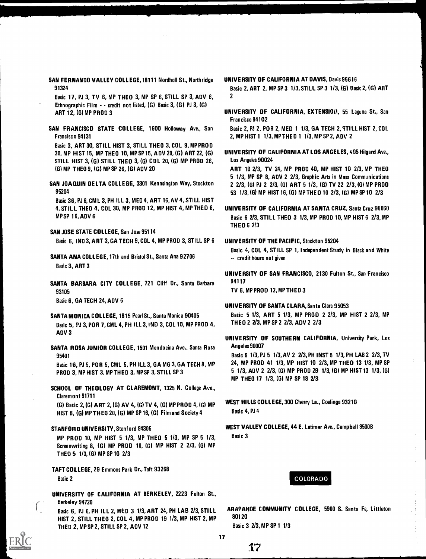SAN FERNANDO VALLEY COLLEGE, 18111 Nordholl St., Northridge 91324

Basic 17, PJ 3, TV 6, MP THEO 3, MP SP 6, STILL SP 3, ADV 6, Ethnographic Film - - credit not listed, (G) Basic 3, (G) PJ 3, (G) ART 12, (G) MP PROD 3

SAN FRANCISCO STATE COLLEGE, 1600 Holloway Ave., San Francisco 94131

Basic 3, ART 30, STILL HIST 3, STILL THEO 3, COL 9, MP PROD 30, MP HIST 15, MP THEO 10, MP SP 15, A DV 20, (G) ART 22, (G) STILL HIST 3, (G) STILL THEO 3, (6) CDL 20, (6) MP PROD 26, (6) MP THEO 9, (G) MP SP 26,(G) ADV 20

SAN JOAQUIN DELTA COLLEGE, 3301 Kennsington Way, Stockton 95204

Basic 36, PJ 6, CM L 3, PH ILL 3, MED 4, ART 16,AV 4, STILL HIST 4, STILL THEO 4, COL 30, MP PROD 12, MP HIST 4, MP THEO 6, MP SP 16, ADV 6

# SAN JOSE STATE COLLEGE, San Jose 95114 Basic 6, IND 3, ART 3, GA TECH 9, COL 4, MP PROD 3, STILL SP 6

SANTA ANA COLLEGE, 17th and Bristol St., Santa Ana 92706 Basic 3, ART 3

SANTA BARBARA CITY COLLEGE, 721 Cliff Dr., Santa Barbara 93105

Basic 6, GA TECH 24, ADV 6

- SANTA MONICA COLLEGE, 1815 Pearl St., Santa Monica 90405 Basic 5, PJ 3, POR 7, CML 4, PH ILL 3, IND 3, COL 10, MP PROD 4, ADV 3
- SANTA ROSA JUNIOR COLLEGE, 1501 Mendocina Ave., Santa Rosa 95401

Basic 16, PJ 5, PO R 5, CML 5, PH ILL 3, GA MG 3, GA TECH 8, MP PROD 3, MP HIST 3, MP THED 3, MP SP 3, STILL SP 3

SCHOOL OF THEOLOGY AT CLAREMONT, 1325 N. College Ave., Claremont 91711

(G) Basic 2, (G) ART 2, (G) AV 4, (G) TV 4, (G) MP PROD 4, (G) MP HIST 8, (G) MP THEO 20, (G) MP SP 16, (G) Film and Society 4

STANFORD UNIVERSITY, Stanford 94305

MP PROD 10, MP HIST 5 1/3, MP THEO 5 1/3, MP SP 5 1/3, Screenwriting 8, (G) MP PROD 10, (G) MP HIST 2 2/3, (6) MP THEO 5 1/3, (G) MP SP 10 2/3

TAFT COLLEGE, 29 Emmons Park Dr., Taft 93268 Basic 2

UNIVERSITY OF CALIFORNIA AT BERKELEY, 2223 Fulton St., Berkeley 94720

Basic 6, PJ 6, PH ILL 2, MED 3 1/3, ART 24, PH LAB 2/3, STILL HIST 2, STILL THEO 2, COL 4, MP PROD 19 1/3, MP HIST 2, MP THEO 2, MP SP 2, STILL SP 2, ADV 12

UNIVERSITY OF CALIFORNIA AT DAVIS, Davis 95616

Basic 2, ART 2, MP SP 3 1/3, STILL SP 3 113, (G) Basic 2, (G) ART 2

UNIVERSITY OF CALIFORNIA, EXTENSIOLI, 55 Laguna St., San Francisco 94102

Basic 2, PJ 2, POR 2, MED 1 1/3, GA TECH 2, STILL HIST 2, COL 2, MP HIST 1 1/3, MP THE D 1 1/3, MP SP 2, ADV 2

UNIVERSITY OF CALIFORNIA AT LOS ANGELES, 405 Hilgard Ave., Los Angeles 90024

ART 10 2/3, TV 24, MP PROD 40, MP HIST 10 2/3, MP THEO 5 1/3, MP SP 8, ADV 2 2/3, Graphic Arts in Mass Communications 2 2/3, (6) PJ 2 2/3, (6) ART 5 1/3, (G) TV 22 2/3, (6) MP PROD 53 1/3, (G) MP HIST 16, (G) MP THEO 10 2/3, (G) MP SP 10 2/3

UNIVERSITY OF CALIFORNIA AT SANTA CRUZ, Santa Cruz 95060 Basic 6 2/3, STILL THEO 3 1/3, MP PROD 10, MP HIST 6 2/3, MP THEO 6 2/3

# UNIVERSITY OF THE PACIFIC, Stockton 95204

Basic 4, COL 4, STILL SP 1, Independent Study in Black and White -- credit hours not given

UNIVERSITY OF SAN FRANCISCO, 2130 Fulton St., San Francisco 94117

TV 6, MP PROD 12,MP THED 3

# UNIVERSITY OF SANTA CLARA, Santa Clara 95053

Basic 5 1/3, ART 5 1/3, MP PROD 2 2/3, MP HIST 2 2/3, MP THEO 2 2/3, MP SP 2 213, ADV 2 2/3

UNIVERSITY OF SOUTHERN CALIFORNIA, University Park, Los Angeles 90007

Basic 5 1/3, PJ 5 1/3, AV 2 2/3, PH INST 5 1/3, PH LAB 2 2/3, TV 24, MP PROD 41 1/3, MP HIST 10 2/3, MP THEO 13 1/3, MP SP 5 1/3, ADV 2 2/3, (6) MP PROD 29 1/3, (G) MP HIST 13 1/3, (6) MP THEO 17 1/3, (G) MP SP 18 2/3

- WEST HILLS COLLEGE, 300 Cherry La., Coalinga 93210 Basic 4, PJ 4
- WEST VALLEY COLLEGE, 44 E. Latimer Ave., Campbell 95008 Basic 3

# COLORADO

ARAPAHOE COMMUNITY COLLEGE, 5900 S. Santa Fe, Littleton 80120

Basic 3 2/3, MP SP 1 1/3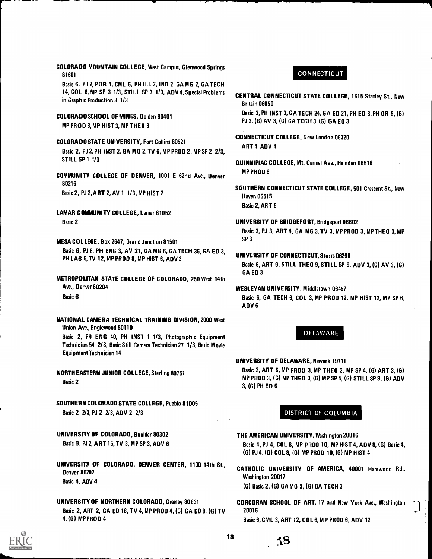COLORADO MOUNTAIN COLLEGE, West Campus, Glenwood Springs 81601 Basic 6, PJ 2, POR 4, CML 6, PH ILL 2, IND 2, GA MG 2, GA TECH 14, COL 6, MP SP 3 1/3, STILL SP 3 1/3, ADV 4, Special Problems in Graphic Production 3 1/3 COLORADO SCHOOL OF MINES, Golden 80401 MP PROD 3,MP HIST 3, MP THEO 3 COLORADO STATE UNIVERSITY, Fort Collins 80521 Basic 2, PJ 2, PH INST 2, GA MG 2,TV 6, MP PROD 2, MP SP 2 2/3, **STILL SP 1 1/3** COMMUNITY COLLEGE OF DENVER, 1001 E 62nd Ave., Denver 80216 Basic 2, PJ 2, ART 2, AV 1 1/3, MP HIST 2 LAMAR COMMUNITY COLLEGE, Lamar 81052 Basic 2 MESA COLLEGE, Box 2647, Grand Junction 81501 Basic 6, PJ 6, PH ENG 3, AV 21, GA MG 6, GA TECH 36, GA ED 3, PH LAB 6, TV 12, MP PROD 8, MP HIST 6, ADV 3 METROPOLITAN STATE COLLEGE OF COLORADO, 250 West 14th Ave., Denver 80204 Basic 6 NATIONAL CAMERA TECHNICAL TRAINING DIVISION, 2000 West Union Ave., Englewood 80110 Basic 2, PH ENG 40, PH INST 1 1/3, Photographic Equipment Technician 54 2/3, Basic Still Camera Technician 27 1/3, Basic M ovie Equipment Technician 14 NORTHEASTERN JUNIOR COLLEGE, Sterling 80751 Basic 2 SOUTHERN COLORADO STATE COLLEGE, Pueblo 81005 Basic 2 2/3, PJ 2 2/3, ADV 2 2/3 UNIVERSITY OF COLORADO, Boulder 80302 Basic 9, PJ 2, ART 15, TV 3, MP SP 3, ADV 6 UNIVERSITY OF COLORADO, DENVER CENTER, 1100 14th St.,

Denver 80202 Basic 4, ADV 4

UNIVERSITY OF NORTHERN COLORADO, Greeley 80631 Basic 2, ART 2, GA ED 16, TV 4, MP PROD 4,(G) GA ED 8, (6) TV 4, (G) MP PROD 4

# **CONNECTICUT**

CENTRAL CONNECTICUT STATE COLLEGE, 1615 Stanley St., New Street Lines Britain 06050 Basic 3, PH INST 3, GA TECH 24, GA ED 21, PH ED 3, PH GR 6, (G)

PJ 3, (G) AV 3, (G) GA TECH 3, (G) GA EO 3

CONNECTICUT COLLEGE, New London 06320

ART 4, ADV 4

- QUINNIPIAC COLLEGE, Mt. Carmel Ave., Hamden 06518 MP PROD 6
- SGUTHERN CONNECTICUT STATE COLLEGE, 501 Crescent St., New Same Connecticut Haven 06515 Basic 2, ART 5

UNIVERSITY OF BRIDGEPORT, Bridgeport 06602 Basic 3, PJ 3, ART 4, GA MG 3, TV 3, MP PROD 3, MP THEO 3, MP  $\qquad \qquad \blacksquare$ SP 3

- UNIVERSITY OF CONNECTICUT, Storrs 06268 Basic 6, ART 9, STILL THEO 9, STILL SP 6, ADV 3, (G) AV 3, (G) GA ED 3
- WESLEYAN UNIVERSITY, Middletown 06457 Basic 6, GA TECH 6, COL 3, MP PROD 12, MP HIST 12, MP SP 6, ADV 6

# DELAWARE

UNIVERSITY OF DELAWARE, Newark 19711 Basic 3, ART 6, MP PROO 3, MP THEO 3, MP SP 4, (G) ART 3, (G) MP PROD 3, (G) MP THEO 3, (G) MP SP 4, (G) STILL SP 9, (G) ADV THEO 3,(G) PH ED 6

# DISTRICT OF COLUMBIA

THE AMERICAN UNIVERSITY, Washington 20016 Basic 4, PJ 4, COL 8, MP PROO 10, MP HIST 4, ADV 8, (G) Basic 4, (G) PJ 4, (G) COL 8, (G) MP PROD 10, (G) MP HIST 4

- CATHOLIC UNIVERSITY OF AMERICA, 40001 Harewood Rd., Washington 20017 (G) Basic 2, (G) GA MG 3, (G) GA TECH 3
- CORCORAN SCHOOL OF ART, 17 and New York Ave., Washington  $\gamma$ 20016

Basic 6, CML 3, ART 12, COL 6, MP PROD 6, ADV 12



18

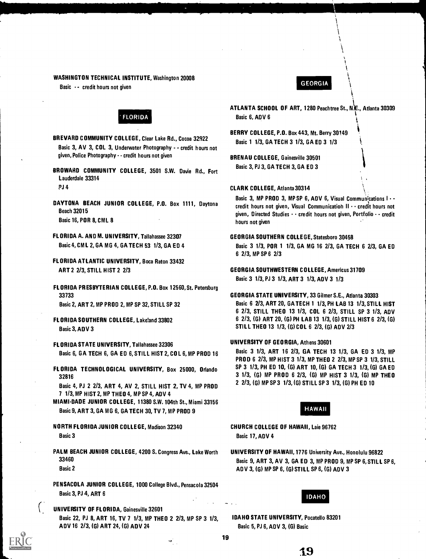#### WASHINGTON TECHNICAL INSTITUTE, Washington 20008

Basic -- credit hours not given GEORGIA<br>Basic -- credit hours not given

# FLORIDA

- BREVARD COMMUNITY COLLEGE, Clear Lake Rd., Cocoa 32922 Basic 1 1/3, GA TECH 3 1/3, GA ED 3 1/3 Basic 3, AV 3, COL 3, Underwater Photography - credit hours not given, Police Photography - - credit hours not given BRENAU COLLEGE, Gainesville 30501
- BROWARD COMMUNITY COLLEGE, 3501 S.W. Davie Rd., Fort Lauderdale 33314
- Basic 16, POR 8, CML 8 hours not given
- FLORIDA A. AND M. UNIVERSITY, Tallahassee 32307 GEORGIA SOUTHERN COLLEGE, Statesboro 30458
- FLORIDA ATLANTIC UNIVERSITY, Boca Raton 33432 ART 2 2/3, STILL HIST 2 2/3 GEORGIA SOUTHWESTERN COLLEGE, Americus 31709
- FLORIDA PRESBYTERIAN COLLEGE, P.O. Box 12560, St. Petersburg 33733 GEORGIA STATE UNIVERSITY, 33 Gilmer S.E., Atlanta 30303
- 
- FLORIDA STATE UNIVERSITY, Tallahassee 32306 UNIVERSITY OF GEORGIA, Athens 30601 Basic 6, GA TECH 6, GA ED 6, STILL HIST 2, COL 6, MP PROD 16
- 

Basic 4, PJ 2 2/3, ART 4, AV 2, STILL HIST 2, TV 4, MP PROD 7 1/3, MP HIST 2, MP THEO 4, MP SP 4, ADV 4

- MIAMIDADE JUNIOR COLLEGE, 11380 S.W. 104th St., Miami 33156 Basic 9, ART 3, GA MG 6, GA TECH 30, TV 7, MP PROD 9 HAWAII
- NORTH FLORIDA JUNIOR COLLEGE, Madison 32340 CHURCH COLLEGE OF HAWAII, Laie 96762 Basic 3 Basic 3 Basic 17, ADV 4
- PALM BEACH JUNIOR COLLEGE, 4200 S. Congress Ave., Lake Worth UNIVERSITY OF HAWAII, 1776 University Ave., Honolulu 96822
- PENSACOLA JUNIOR COLLEGE, 1000 College Blvd., Pensacola 32504 Basic 3, PJ 4, ART 6 IDAHO

ক্,্

UNIVERSITY OF FLORIDA, Gainesville 32601 Basic 22, PJ 8, ART 16, TV 7 1/3, MP THEO 2 2/3, MP SP 3 1/3, IDAHO STATE UNIVERSITY, Pocatello 83201 A DV 16 2/3, (G) ART 24, (G) ADV 24 Basic 5, PJ 6, ADV 3, (G) Basic

- ATLANTA SCHOOL OF ART, 1280 Peachtree St., N\E., Atlanta 30309 Basic 6, ADV 6
- BERRY COLLEGE, P.O. Box 443, Mt. Berry 30149
- Basic 3, PJ 3, GA TECH 3, GA ED 3
- PJ 4 CLARK COLLEGE, Atlanta 30314

Basic 3, MP PROD 3, MP SP 6, ADV 6, Visual Communications I -<br>Credit hours not given, Visual Communication II credit hours not given 32015 given, Directed Studies  $\cdots$  credit hours not given, Portfolio  $\cdots$  credit

Basic 4, CM L 2, GA MG 4, GA TECH 53 1/3, GA ED 4 Basic 3 1/3, POR 1 1/3, GA MG 16 2/3, GA TECH 6 2/3, GA ED 6 2/3, MP SP 6 2/3

Basic 3 1/3, PJ 3 1/3, ART 3 1/3, ADV 3 1/3

Basic 2, ART 2. MP PROD 2. MP SP 32. STILL SP 32 Basic 6 2/3, ART 20, GA TECH 1 1/3, PH LAB 13 1/3, STILL HIST 6 2/3, STILL THEO 13 1/3, COL 6 2/3, STILL SP 3 1/3, ADV FLORIDA SOUTHERN COLLEGE, Lake!and 33802 6 2/3, (G) ART 20, (G) PH LAB 13 1/3, (G) STILL HIST 6 2/3, (G) Basic 3, ADV 3 STILL THEO 13 1/3, (G) COL 6 2/3, (G) ADV 2/3

PROD 6 2/3, MP HIST 3 1/3, MP THEO 2 2/3, MP SP 3 1/3, STILL FLORIDA TECHNOLOGICAL UNIVERSITY, Box 25000, Orlando SP 3 1/3, PH ED 10, (G) ART 10, (G) GA TECH 3 1/3, (G) GA ED 32816<br>Besie A, BL 2, 2/2, A DT A, AV, 2, STULL WIST 2, TV A, NB BRAD 3 2/3, (G) MP SP 3 1/3, (G) STILL SP 3 1/3, (G) PH ED 10

33460 Basic 9, ART 3, AV 3, GA ED 3, MP PROD 9, MP SP 6, STILL SP 6, Basic 2 **ADV 3, (G) MP SP 6, (G) STILL SP 6, (G) ADV 3** 

19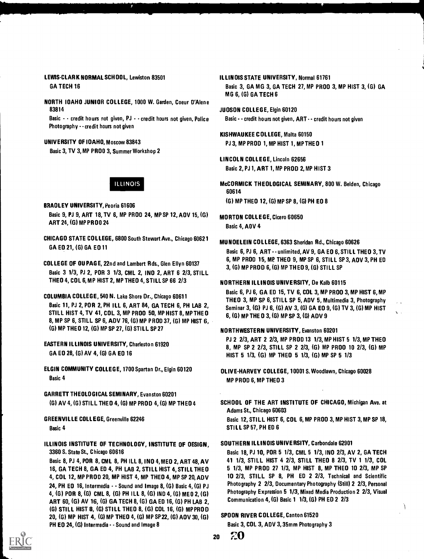# LEW1S-CLARK NORMAL SCHOOL, Lewiston 83501 GA TECH 16

NORTH IDAHO JUNIOR COLLEGE, 1000 W. Garden, Coeur D'Alene 83814

Basic - credit hours not given, PJ - credit hours not given, Police Photography - - credit hours not given

### UNIVERSITY OF IDAHO, Moscow 83843

Basic 3, TV 3, MP PROD 3, Summer Workshop 2

ILLINOIS

- BRADLEY UNIVERSITY, Peoria 61606 Basic 9, PJ 9, ART 18, TV 6, MP PROD 24, MP SP 12, ADV 15, (G) ART 24, (G) MP PROD 24
- CHICAGO STATE COLLEGE, 6800 South Stewart Ave., Chicago 60621 GA ED 21, (G) GA ED 11
- COLLEGE OF DU PAGE, 22nd and Lambert Rds., Glen Ellyn 60137 Basic 3 1/3, PJ 2, POR 3 1/3, CML 2, IND 2, ART 6 2/3, STILL THEO 4, COL 6, MP HIST 2, MP THEO 4, STILL SP 66 2/3
- COLUMBIA COLLEGE, 540 N. Lake Shore Dr., Chicago 60611 Basic 11, PJ 2, POR 2, PH ILL 6, ART 84, GA TECH 6, PH LAB 2, STILL HIST 4, TV 41, COL 3, MP PROD 50, MP HIST 8, MP THEO 8, MP SP 6, STILL SP 6, ADV 76, (G) MP PROD 37, (G) MP HIST 6, (G) MP THEO 12, (G) MP SP 27,(6) STILL SP 27
- EASTERN ILLINOIS UNIVERSITY, Charleston 61920 GA ED 28, (G) AV 4, (G) GA ED 16
- ELGIN COMMUNITY COLLEGE, 1700 Spartan Dr., Elgin 60120 Basic 4
- GARRETT THEOLOGICAL SEMINARY, Evanston 60201 (G) AV 4, (G) STILL THEO 4, (G) MP PROD 4,(6) MP THEO 4
- GREENVILLE COLLEGE, Greenville 62246

Basic 4

ILLINOIS INSTITUTE OF TECHNOLOGY, INSTITUTE OF DESIGN, 3360 S. State St., Chicago 60616

Basic 8, PJ 4, POR 8, CML 8, PH ILL 8, IND 4, MED 2, ART 48, AV 16, GA TECH 8, GA ED 4, PH LAB 2, STILL HIST 4, STILL THEO 4, COL 12, MP PROD 20, MP HIST 4, MP THEO 4, MP SP 20, ADV 24, PH ED 16, Intermedia - - Sound and Image 8, (G) Basic 4,(6) PJ 4, (G) POR 8, (G) CML 8, (G) PH ILL 8, (G) IND 4, (G) MED 2, (G) ART 60, (G) AV 16, (G) GA TECH 8, (G) GA ED 16, (G) PH LAB 2, (G) STILL HIST 8, (G) STILL THEO 8, (G) COL 16, (G) MP PROD 20, (G) MP HIST 4, (G) MP THEO 4, (G) MP SP 22, (G) ADV 30,(G) PH EO 24, (G) Intermedia - - Sound and Image 8

- ILLINOIS STATE UNIVERSITY, Normal 61761 Basic 3, GA MG 3, GA TECH 27, MP PROD 3, MP HIST 3, (G) GA MG 6, (G) GA TECH 6
- JUDSON COLLEGE, Elgin 60120 Basic - - credit hours not given, ART - - credit hours not given
- KISHWAU KEE COLLEGE, Malta 60150 PJ 3, MP PROD 1, MP HIST 1, MP THEO 1
- LINCOLN COLLEGE, Lincoln 62656 Basic 2, PJ 1, ART 1, MP PROD 2, MP HIST 3
- McCORMICK THEOLOGICAL SEMINARY, 800 W. Belden, Chicago 60614 (G) MP THEO 12, (G) MP SP 8, (G) PH ED 8

MORTON COLLEGE, Cicero 60650 Basic 4, ADV 4

### MUNDELEIN COLLEGE, 6363 Sheridan Rd., Chicago 60626

Basic 6, PJ 6, ART - - unlimited, AV 9, GA ED 6, STILL THEO 3, TV 6, MP PROD 15, MP THEO 9, MP SP 6, STILL SP 3, ADV 3, PH ED 3, (G) MP PROD 6,(6) MP THEO 9, (G) STILL SP

### NORTHERN ILLINOIS UNIVERSITY, De Kalb 60115

Basic 6, PJ 6, GA ED 15, TV 6, COL 3, MP PROD 3, MP HIST 6, MP THEO 3, MP SP 6, STILL SP 5, ADV 5, Multimedia 3, Photography Seminar 3, (G) PJ 6, (G) AV 3, (G) GA ED 9, (G) TV 3, (G) MP HIST 6, (G) MP THE 0 3,(6) MP SP 3, (G) ADV 9

### NORTHWESTERN UNIVERSITY, Evanston 60201

PJ 2 2/3, ART 2 2/3, MP PROD 13 1/3, MP HIST 5 1/3, MP THEO 8, MP SP 2 2/3, STILL SP 2 2/3, (G) MP PROD 10 2/3, (G) MP HIST 5 1/3, (G) MP THEO 5 1/3, (G) MP SP 5 1/3

- OLIVE-HARVEY COLLEGE, 10001 S. Woodlawn, Chicago 60028 MP PROD 6, MP THEO 3
- SCHOOL OF THE ART INSTITUTE OF CHICAGO, Michigan Ave. at Adams St., Chicago 60603

Basic 12, STILL HIST 6, COL 6, MP PROD 3, MP HIST 3, MP SP 18, STILL SP 57, PH ED 6

### SOUTHERN ILLINOIS UNIVERSITY, Carbondale 62901

Basic 18, PJ 10, POR 5 1/3, CML 5 1/3, IND 2/3, AV 2, GA TECH 41 1/3, STILL HIST 4 2/3, STILL THEO 8 2/3, TV 1 1/3, COL 5 1/3, MP PROD 27 1/3, MP HIST 8, MP THEO 10 2/3, MP SP 10 2/3, STILL SP 8, PH ED 2 2/3, Technical and Scientific Photography 2 2/3, Documentary Photography (Still) 2 2/3, Personal Photography Expression 5 1/3, Mixed Media Production 2 2/3, Visual Communication 4,(6) Basic 1 1/3,(6) PH ED 2 2/3

### SPOON RIVER COLLEGE, Canton 61520

Basic 3, COL 3, ADV 3, 35mm Photography 3

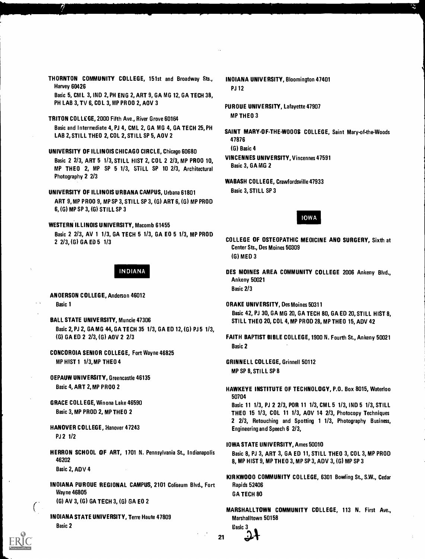- THORNTON COMMUNITY COLLEGE, 151st and Broadway Sts., INDIANA UNIVERSITY, Bloomington 47401 Harvey 60426 PJ 12 Basic 5, CM L 3, IND 2, PH ENG 2, ART 9, GA MG 12, GA TECH 38,
- MP THEO 3 TRITON COLLEGE, 2000 Fifth Ave., River Grove 60164 Basic and Intermediate 4, PJ 4, CML 2, GA MG 4, GA TECH 25, PH
- UNIVERSITY OF ILLINOIS CHICAGO CIRCLE, Chicago 60680 (G) Basic 4<br>Pasic 2.2/2. APT 5.1/2. STILL LIST 2. COLL2.2/2. AID RROO 10 VINCENNES UNIVERSITY, Vincennes 47591 Basic 2 2/3, ART 5 1/3, STILL HIST 2, COL 2 2/3, MP PROD 10, VINCENNES UNIVERSITY OF THE COLOR STILL HIST 2, COL 2 2/3, MP PROD 10, STILL BASic 3, GAMG 2 MP THEO 2, MP SP 5 1/3, STILL SP 10 2/3, Architectural Photography 2 2/3
- UNIVERSITY OF ILLINOIS URBANA CAMPUS, Urbana 61801 Basic 3, STILL SP 3 ART 9, MP PROD 9, MP SP 3, STILL SP 3, (G) ART 6, (G) MP PROD 6, (G) MP SP 3, (G) STILL SP 3
- WESTERN ILLINOIS UNIVERSITY, Macomb 61455 Basic 2 2/3, AV 1 1/3, GA TECH 5 1/3, GA ED 5 1/3, MP PROD

- ANDERSON COLLEGE, Anderson 46012
- BALL STATE UNIVERSITY, Muncie 47306 STILL THEO 20, COL 4, MP PROD 28, MP THEO 15, ADV 42 Basic 2, PJ 2, GA MG 44, GA TECH 35 1/3, GA ED 12, (G) PJ 5 1/3,
- CONCORDIA SENIOR COLLEGE, Fort Wayne 46825 MP HIST 1 1/3,MP THEO 4 GRINNELL COLLEGE, Grinnell 50112
- DEPAUW UNIVERSITY, Greencastle 46135
- 
- HANOVER COLLEGE, Hanover 47243 **Engineering and Speech 6** 2/3, PJ 2 1/2
- HERRON SCHOOL OF ART, 1701 N. Pennsylvania St., Indianapolis Basic 8, PJ 3, ART 3, GA ED 11, STILL THEO 3, COL 3, MP PROD<br>A MP HIST 9. MP THEO 3. MP SP 3. ADV 3. (G) MP SP 3.

Basic 2, ADV 4

- INOIANA PUROUE REGIONAL CAMPUS, 2101 Coliseum Blvd., Fort Rapids 52406 Wayne 46805 GA TECH 80 (G) AV 3, (G) GA TECH 3, (G) GA ED 2
- INOIANA STATE UNIVERSITY, Terre Haute 47809 Marshalltown 50158 Basic 2 and 2 Basic 3 and 2 Basic 3 and 2 Basic 3 and 2 Basic 3 and 2 Basic 3 and 2 Basic 3 and 2 Basic 3 and 2
- 
- PH LAB 3, TV 6, COL 3, MP PROO 2, AOV 3 PUROUE UNIVERSITY, Lafayette 47907
- SAINT MARY-OF-THE-WOODS COLLEGE, Saint Mary-of-the-Woods<br>LAB 2, STILL THEO 2, COL 2, STILL SP 5, AOV 2 47876
	-
	-
	- WABASH COLLEGE, Crawfordsville 47933

# IOWA

- 2 2/3, (G) GA ED 5 1/3 2/3, (G) GA ED 5 1/3 Center Sts., Des Moines 50309 (G) MED 3
	- INDIANA DES MOINES AREA COMMUNITY COLLEGE 2006 Ankeny Blvd., Ankeny 50021 Basic 2/3
- Basic 1 **Basic 1 DRAKE UNIVERSITY, Des Moines 50311** Basic 42, PJ 30, GA MG 20, GA TECH 80, GA ED 20, STILL HIST 8,
- (G) GA ED 2 2/3, (G) AOV 2 2/3 FAITH BAPTIST BIBLE COLLEGE, 1900 N. Fourth St., Ankeny 50021 Basic 2
	- MP SP 8, STILL SP 8
- Basic 4, ART 2, MP PROC 2 **HAWKEYE INSTITUTE OF TECHNOLOGY, P.O. Box 8015, Waterloo** 50704
- GRACE COLLEGE, Winona Lake 46590 Basic 11 1/3, PJ 2 2/3, POR 11 1/3, CML 5 1/3, IND 5 1/3, STILL Basic 3, MP PROD 2, MP THEO 2 THEO 15 1/3, COL 11 1/3, AOV 14 2/3, Photocopy Techniques 2 2/3, Retouching and Spotting <sup>1</sup> 1/3, Photography Business,
	- IOWA STATE UNIVERSITY, Ames 50010
	- 8, MP HIST 9, MP THEO 3, MP SP 3, ADV 3, (G) MP SP 3
	- KIRKWOOD COMMUNITY COLLEGE, 6301 Bowling St., S.W., Cedar
	- MARSHALLTOWN COMMUNITY COLLEGE, 113 N. First Ave.,

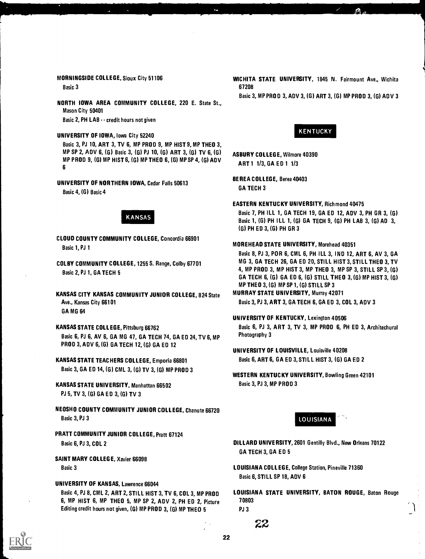NORTH IOWA AREA COMMUNITY COLLEGE, 220 E. State St., Mason City 50401 Basic 2, PH LAB - - credit hours not given

# UNIVERSITY OF IOWA, Iowa City 52240 KENTUCKY

Basic 3, PJ 10, ART 3, TV 6, MP PROD 9, MP HIST 9, MP THEO 3, MP SP 2, ADV 6, (G) Basic 3, (G) PJ 10, (G) ART 3, (G) TV 6, (G) ASBURY COLLEGE, Wilmore 40390 MP PROD 9, (G) MP HIST 6, (G) MP THEO 6, (G) MP SP 4, (G) ADV 6

BEREA COLLEGE, Berea 40403 UNIVERSITY OF NORTHERN IOWA, Cedar Falls 50613 Basic 4, (G) Basic 4

- CLOUD COUNTY COMMUNITY COLLEGE, Concordia 66901 Basic 1, PJ 1 MOREHEAD STATE UNIVERSITY, Morehead 40351
- 
- KANSAS CITY KANSAS COMMUNITY JUNIOR COLLEGE, 824 State MURRAY STATE UNIVERSITY, Murray 42071 Ave., Kansas City 66101 **Basic 3, PJ 3, ART 3, GA TECH 6, GA ED 3, COL 3, ADV 3** GA MG 64
- 

Basic 6, PJ 6, AV 6, GA MG 47, GA TECH 74, GA ED 24, TV 6, MP Photography 3 PROD 3, ADV 6, (G) GA TECH 12, (G) GA ED 12

- Basic 3, GA ED 14, (G) CML 3, (G) TV 3, (G) MP PROD 3
- KANSAS STATE UNIVERSITY. Manhattan 66502 Basic 3, PJ 3, MP PROD 3 PJ 5, TV 3, (G) GA ED 3, (G) TV 3
- NEOSHO COUNTY COMMUNITY JUNIOR COLLEGE, Chanute 66720 Basic 3, PJ 3 LOUISIANA
- PRATT COMMUNITY JUNIOR COLLEGE, Pratt 67124 Basic 6, PJ 3, COL 2 **DILLARD UNIVERSITY, 2601 Gentilly Blvd., New Orleans 70122**
- SAINT MARY COLLEGE, Xavier 66098

### UNIVERSITY OF KANSAS, Lawrence 66044

6, MP HIST 6, MP THEO 5, MP SP 2, ADV 2, PH ED 2, Picture 70803 Editing credit hours not given, (G) MP PROD 3, (G) MP THEO 5 PJ 3

MORNINGSIDE COLLEGE, Sioux City 51106 WICHITA STATE UNIVERSITY, 1845 N. Fairmount Ave., Wichita Basic 3 67208

Basic 3, MP PROD 3, ADV 3, (G) ART 3, (G) MP PROD 3, (G) ADV 3

ART 1 1/3, GA ED 1 1/3

GA TECH 3

EASTERN KENTUCKY UNIVERSITY, Richmond 40475

Easic 7, PH ILL 1, GA TECH 19, GA ED 12, ADV 3, PH GR 3, (G) REARSAS Basic 1, (G) PH ILL 1, (G) GA TECH 9, (G) PH LAB 3, (G) AD 3, (G) PH ED 3, (G) PH GR 3

Basic 8, PJ 3, POR 6, CML 6, PH ILL 3, IND 12, ART 6, AV 3, GA COLBY COMMUNITY COLLEGE, 1255 S. Range, Colby 67701 MG 3, GA TECH 26, GA ED 20, STILL HIST 3, STILL THEO 3, TV editions and the community of the control of the control of the control of the control of the control of the control of the control of the control of the control of the control of the control of the control of the control GA TECH 6, (G) GA ED 6, (G) STILL THEO 3, (G) MP HIST 3, (G) MP THEO 3, (G) MP SP 1, (G) STILL SP 3

# UNIVERSITY OF KENTUCKY, Lexington 40506

KANSAS STATE COLLEGE, Pittsburg 66762 Basic 6, PJ 3, ART 3, TV 3, MP PROD 6, PH ED 3, Architechural

- UNIVERSITY OF LOUISVILLE, Louisville 40208 KANSAS STATE TEACHERS COLLEGE, Emporia 66801 Basic 6, ART 6, GA ED 3, STILL HIST 3, (G) GA ED 2
	- WESTERN KENTUCKY UNIVERSITY, Bowling Green 42101



- GA TECH 3, GA ED 5
- Basic 3 **LOUISIANA COLLEGE, College Station, Pineville 71360** Basic 6, STILL SP 18, ADV 6
- Basic 4, PJ 8, CML 2, ART 2, STILL HIST 3, TV 6, COL 3, MP PROD LOUISIANA STATE UNIVERSITY, BATON ROUGE, Baton Rouge

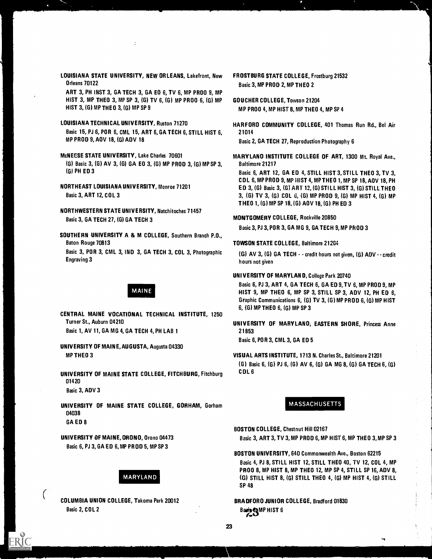LOUISIANA STATE UNIVERSITY, NEW ORLEANS, Lakefront, New FROSTBURG STATE COLLEGE, Frostburg 21532 Orleans 70122 **Basic 3, MP PROD 2, MP THEO 2** 

ART 3, PH INST 3, GA TECH 3, GA ED 6, TV 6, MP PROD 9, MP HIST 3, MP THEO 3, MP SP 3, (G) TV 6, (G) MP PROD 6, (G) MP GOUCHER COLLEGE, Towson 21204 HIST 3, (G) MP THEO 3, (G) MP SP 9 MP PROD 4, MP HIST 8, MP THEO 4, MP SP 4

- LOUISIANA TECHNICAL UNIVERSITY, Ruston 71270 HARFORO COMMUNITY COLLEGE, 401 Thomas Run Rd., Bel Air Basic 15, PJ 6, POR 6, CML 15, ART 6, GA TECH 6, STILL HIST 6, 21014 MP PROD 9, AOV 18, (G) ADV 18 Basic 2, GA TECH 27, Reproduction Photography 6
- McNEESE STATE UNIVERSITY, Lake Charles 70601 MARYLANO INSTITUTE COLLEGE OF ART, 1300 Mt. Royal Ave., (G) Basic 3, (G) AV 3, (G) GA ED 3, (G) MP PROD 3, (G) MP SP 3, Baltimore 21217 (G) PH ED 3 Basic 6, ART 12, GA ED 4, STILL HIST 3, STILL THEO 3, TV 3,
- 
- NORTHWESTERN STATE UNIVERSITY, Natchitoches 71457 Basic 3, GA TECH 27, (G) GA TECH 3 MONTGOMERY COLLEGE, Rockville 20850

SOUTHERN UNIVERSITY A & M COLLEGE, Southern Branch P.D., Baton Rouge 70813 **Baton Rouge 70813** TOWSON STATE COLLEGE, Baltimore 21204 Basic 3, POR 3, CML 3, IND 3, GA TECH 3, COL 3, Photographic (G) AV 3, (G) GA TECH  $\cdot$  - credit hours not given, (G) ADV  $\cdot$  credit Engraving 3

CENTRAL MAINE VOCATIONAL TECHNICAL INSTITUTE, 1250 Turner St., Auburn 04210 UNIVERSITY OF MARYLAND, EASTERN SHORE, Princess Anne Basic 1, AV 11, GA MG 4, GA TECH 4, PH LAB 1 21853

UNIVERSITY OF MAINE, AUGUSTA, Augusta 04330

UNIVERSITY OF MAINE STATE COLLEGE, FITCHBURG, Fitchburg COL 6 01420

Basic 3, ADV 3

UNIVERSITY OF MAINE STATE COLLEGE, GORHAM, Gorham MASSACHUSETTS 04038 GA ED 8

UNIVERSITY OF MAINE, ORONO, Drono 04473 Basic 6, PJ 3, GA ED 6,MP PROD 5, MP SP 3

# MARYLAND

COLUMBIA UNION COLLEGE, Takoma Park 20012 Basic 2, COL 2

- 
- 
- 

COL 6, MP PROD 9, MP HIST 4, MP THED 1, MP SP 18, ADV 18, PH NORTHEAST LOUISIANA UNIVERSITY, Monroe 71201 ED 3, (G) Basic 3, (G) ART 12, (G) STILL HIST 3, (G) STILL THEO Basic 3, ART 12, COL 3 3, (G) TV 3, (G) COL 6, (G) MP PROD 9, (G) MP HIST 4. (G) MP THEO 1, (G) MP SP 18, (G) ADV 18, (G) PH ED 3

Basic 3, PJ 3, POR 3, GA MG 9, GA TECH 9, MP PR OD 3

hours not given

# UNI VERSITY OF MARYLAND, College Park 20740

Basic 6, PJ 3, ART 4, GA TECH 6, GA ED 9,TV 6, MP PROD 9, MP MAINE MAINE HIST 9, MP THEO 6, MP SP 3, STILL SP 3, ADV 12, PH ED 6. Graphic Communications 6, (G) TV 3, (G) MP PROD 6, (G) MP HIST 6, (G) MP THED 6, (G) MP SP 3

Basic 6, PDR 3, CML 3, GA ED 5

MP THEO 3 VISUAL ARTS INSTITUTE, 1713 N. Charles St., Baltimore 21201

(G) Basic 6, (G) PJ 6, (G) AV 6, (G) GA MG 8, (G) GA TECH 6, (G)

- BOSTON COLLEGE, Chestnut Hill 02167 Basic 3, ART 3, TV 3, MP PROD 6, MP HIST 6, MP THEO 3,MP SP 3
- BOSTON UNIVERSITY, 640 Commonwealth Ave., Boston 62215 Basic 4, PJ 8, STILL HIST 12, STILL THEO 40, TV 12, COL 4, MP PRDD 8, MP HIST 8, MP THEO 12, MP SP 4, STILL SP 16, ADV 8, (G) STILL HIST 8, (G) STILL THED 4, (G) MP HIST 4, (G) STILL SP 48
- BRADFORD JUNIOR COLLEGE, Bradford 01830 Basi**s & MP** HIST 6  $\sim$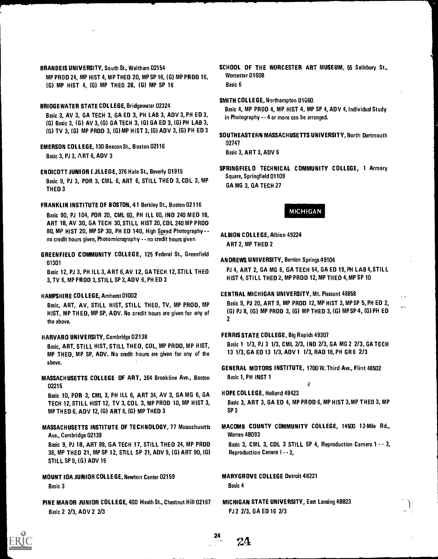# BRANDEIS UNIVERSITY, South St., Waltham 02154

MP PROD 24, MP HIST 4, MP THEO 20, MP SP 16, (G) MP PROD 16, (G) MP HIST 4, (G) MP THEO 28, (G) MP SP 16

# BRIDGEWATER STATE COLLEGE, Bridgewater 02324

Basic 3, AV 3, GA TECH 3, GA ED 3, PH LAB 3, ADV 3, PH ED 3, (5) Basic 3, (G) AV 3, (G) GA TECH 3, (G) GA ED 3, (G) PH LAB 3, (G) TV 3, (G) MP PROD 3, (G) MP HIST 3, (G) ADV 3, (G) PH ED 3

# EMERSON COLLEGE, 130 Beacon St., Boston 02116 Basic 3, PJ 3, ART 6, ADV 3

ENDICOTT JUNIOR (.3LLEGE, 376 Hale St., Beverly 01915 Basic 9, PJ 3, POR 3, CML 6, ART 6, STILL THEO 3, COL 3, MP THEO 3

# FRANKLIN INSTITUTE OF BOSTON, 4 1 Berkley St., Boston 02116

Basic 90, PJ 1 04, POR 20, CML 60, PH ILL 60, IND 240 MED 18, ART 18, AV 30, GA TECH 30, STILL HIST 20, COL 240 MP PROD 80, MP HIST 20, MP SP 30, PH ED 140, High Speed Photography - no credit hours given, Photomicrography - - no credit hours given

GREENFIELD COMMUNITY COLLEGE, 125 Federal St., Greenfield 01301

Basic 12, PJ 3, PH ILL 3, ART 6,AV 12, GA TECH 12, STILL THEO 3, TV 6, MP PROD 3, STILL SP 3, ADV 6, PH ED 3

# HAMPSHIRE COLLEGE, Amherst 01002

Basic, ART, AV, STILL HIST, STILL THEO, TV, MP PROD, MP HIST, MP THEO, MP SP, ADV. No credit hours are given for any of the above.

# HARVARO UNIVERSITY, Cambridge 02138

Basic, ART, STILL HIST, STILL THEO, COL, MP PROD, MP HIST, MP THEO, MP SP, ADV. No credit hours are given for any of the above.

MASSACHUSETTS COLLEGE OF ART, 364 Brookline Ave., Boston 02215

Basic 10, POR 3, CML 3, PH ILL 6, ART 34, AV 3, GA MG 6, GA TECH 12, STILL HIST 12, TV 3, COL 3, MP PROD 10, MP HIST 3, MP THEO 6, ADV 12, (G) ART 6, (G) MP THEO 3

# MASSACHUSETTS INSTITUTE OF TECHNOLOGY, 77 Massachusetts Ave., Cambridge 02139

Basic 9, PJ 18, ART 99, GA TECH 17, STILL THEO 24, MP PROD 36, MP THEO 21, MP SP 12, STILL SP 21, ADV 9, (G) ART 90, (G) STILL SP 9, (G) AOV 15

MOUNT IDA JUNIOR COLLEGE, Newton Center 02159 Basic 3

PINE MANOR JUNIOR COLLEGE, 400 Heath St., Chestnut Hill 02167 Basic 2 2/3, ADV 2 2/3

### SCHOOL OF THE WORCESTER ART MUSEUM, 55 Salisbury St., Worcester 01608 Basic 6

# SMITH COLLEGE, Northampton 01560

Basic 4, MP PROD 4, MP.HIST 4, MP SP 4, ADV 4, Individual Study in Photography - - 4 or more can be arranged.

SOUTHEASTERN MASSACHUSETTS UNIVERSITY, North Dartmouth 1)2747

Basic 3, ART 3, ADV 6

SPRINGFIELD TECHNICAL COMMUNITY COLLEGE, 1 Armory Square, Springfield 01109 GA MG 3, GA TECH 27

MICHIGAN

ALBION COLLEGE, Albion 49224 ART 2, MP THEO 2

#### ANDREWS UNIVERSITY, Berrien Springs 49104

PJ 4, ART 2, GA MG 6, GA TECH 54, GA ED 19, PH LAB 4,STILL HIST 4, STILL THEO 2, MP PROD 12, MP THEO 4,MP SP 10

#### CENTRAL MICHIGAN UNIVERSITY, Mt. Pleasant 48858

Basic 9, PJ 20, ART 9, MP PROD 12, MP HIST 3, MP SP 5, PH ED 2, (5) PJ 8, (G) MP PROD 3, (G) MP THEO 3, (G) MPSP 4, (G) PH ED  $\mathbf{v}$ 

#### FERRIS STATE COLLEGE, Big Rapids 49307

Basic 1 1/3, PJ 3 1/3, CML 2/3, IND 2/3, GA MG 2 2/3, GA TECH 13 1/3, GA ED 13 1/3, ADV 1 1/3, RAD 18, PH GR 6 2/3

GENERAL MOTORS INSTITUTE, 1700 W. Third Ave., Flint 48502 Basic 1, PH INST 1

- HOPE COLLEGE, Holland 49423 Basic 3, ART 3, GA ED 4, MP PROD 6, MP HIST 3,MP THEO 3, MP SP 3
- MACOMB COUNTY COMMUNITY COLLEGE, 14500 1 2-Mile Rd., Warren 48093

Basic 3, CML 3, CDL 3 STILL SP 4, Reproduction Camera 1 - - 3, Reproduction Camera I - - 3,

MARYGROVE COLLEGE Detroit 48221 Basic 4

24

24

MICHIGAN STATE UNIVERSITY, East Lansing 48823 PJ 2 2/3, GA ED 16 2/3

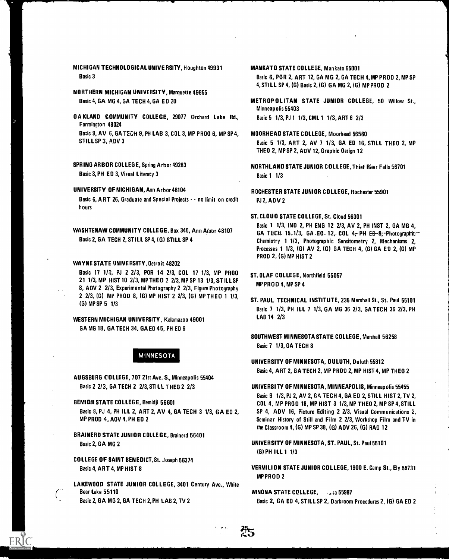- NORTHERN MICHIGAN UNIVERSITY, Marquette 49855
- OA KLAND COMMUNITY COLLEGE, 29077 Orchard Lake Rd., Basic 5 1/3, PJ 1 1/3, CML 1 1/3, ART 6 2/3 Farmington 48024 Basic 9, AV 6, GA TECH 9, PH LAB 3, COL 3, MP PROD 6, MP SP 4, STILL SP 3, ADV 3
- SPRING ARBOR COLLEGE, Spring Arbor 49283 NORTHLAND STATE JUNIOR COLLEGE, Thief River Falls 56701 Basic 3, PH ED 3, Visual Literacy 3 Basic 1 1/3

- Basic 6, A RT 26, Graduate and Special Projects - no limit on credit hours
- 

#### WAYNE STATE UNIVERSITY, Detroit 48202

- Basic 17 1/3, PJ 2 2/3, POR 14 2/3, COL 17 1/3, MP PROO ST. OLAF COLLEGE, Northfield 55057<br>21 1/3, MP IIIST 10 2/3, MP THEO 2 2/3, MP SP 13 1/3. STILL SP<br>12 11/3, MP IIIST 10 2/3, MP THEO 2 2/3, MP SP 13 1/3. STILL SP 21 1/3, MP HIST 10 2/3, MP THEO 2 2/3, MP SP 13 1/3, STILL SP MPPROD 4, MP SP 4 8, AOV 2 2/3, Experimental Photography 2 2/3, Figure Photography 2 2/3, (G) MP PROD 8, (G) MP HIST 2 2/3, (G) MP THEO 1 1/3,
- WESTERN MICHIGAN UNIVERSITY, Kalamazoo 49001 LAB 14 2/3 GA MG 18, GA TECH 34, GA ED 45, PH ED 6

# MINNESOTA

AUGSBURG COLLEGE, 707 21st Ave. S., Minneapolis 55404

- Basic 8, PJ 4, PH ILL 2, ART 2, AV 4, GA TECH 3 1/3, GA ED 2, MP PROD 4, AOV 4, PH ED 2
- BRAINERD STATE JUNIOR COLLEGE, Brainerd 56401 Basic 2, GA MG 2 UNIVERSITY OF MINNESOTA, ST. PAUL, St. Paul 55101
- COLLEGE OF SAINT BENEDICT, St. Joseph 56374
- LAKEWOOD STATE JUNIOR COLLEGE, 3401 Century Ave., White Bear Lake 55110 **Bear Lake 55110** WINONA STATE COLLEGE. 55987

# MANKATO STATE COLLEGE, Mankato 65001

Basic 6, POR 2, ART 12, GA MG 2, GA TECH 4, MP PROD 2, MP SP 4,STILL SP 4, (G) Basic 2, (G) GA MG 2, (G) MP PROD 2

Basic 4, GA MG 4, GA TECH 4, GA ED 20 METROPOLITAN STATE JUNIOR COLLEGE, 50 Willow St., Minneapolis 55403

#### MOORHEAD STATE COLLEGE, Moorhead 56560

Basic 5 1/3, ART 2, AV 7 1/3, GA ED 16, STILL THEO 2, MP THEO 2, MP SP 2, ADV 12, Graphic Oesign 12

- 
- UNIVERSITY OF MICHIGAN, Ann Arbor 48104 ROCHESTER STATE JUNIOR COLLEGE, Rochester 55901 PJ 2, ADV 2

### ST. CLOUD STATE COLLEGE, St. Cloud 56301

Basic 1 1/3, IND 2, PH ENG 12 2/3, AV 2, PH INST 2, GA MG 4, WASHTENAW COMMUNITY COLLEGE, Box 345, Ann Arbor 48107 GA TECH 15.1/3, GA . EO 12, COL 4, PH ED-8; Photographic --<br>Chemistry 1 1/3. Photographic Sensitometry 2. Mechanisms 2. Chemistry 1 1/3, Photographic Sensitometry 2, Mechanisms 2, Processes 1 1/3, (G) AV 2, (G) GA TECH 4, (G) GA ED 2, (G) MP PROD 2, (G) MP HIST 2

- 
- C E.C. (G) MP SP 5 1/3<br>(G) MP SP 5 1/3 Basic 7 1/3, PH ILL 7 1/3, GA MG 36 2/3, GA TECH 36 2/3, PH

SOUTHWEST MINNESOTA STATE COLLEGE, Marshall 56258 Basic 7 1/3, GA TECH 8

- UNIVERSITY OF MINNESOTA, DULUTH, Duluth 55812 Basic 4, ART 2, GA TECH 2, MP PROD 2, MP HIST 4, MP THEO 2
- Basic 2 2/3, GA TECH 2 2/3, STILL THEO 2 2/3 UNIVERSITY OF MINNESOTA, MINNEAPOLIS, Minneapolis 55455 Basic 9 1/3, PJ 2, AV 2, GA TECH 4, GA ED 2, STILL HIST 2, TV 2, BEMIDJI STATE COLLEGE, Bemidji 56601 COL 4, MP PROD 18, MP HIST 3 1/3, MP THEO 2, MP SP 4, STILL SP 4, ADV 16, Picture Editing 2 2/3, Visual Communications 2, Seminar History of Still and Film 2 2/3, Workshop Film and TV in the Classroom 4, (G) MP SP 38, (G) AOV 26, (G) RAD 12
	- (G) PH ILL 1 1/3

60

Basic 4, ART 4, MP HIST 8 CHARGES AND RESIDENCE ASSOCIATE SUNIOR COLLEGE, 1900 E. Camp St., Ely 55731 MPPROD 2

Basic 2, GA MG 2, GA TECH 2, PH LAB 2, TV 2 Basic 2, GA ED 4, STILL SP 2, Darkroom Procedures 2, (G) GA ED 2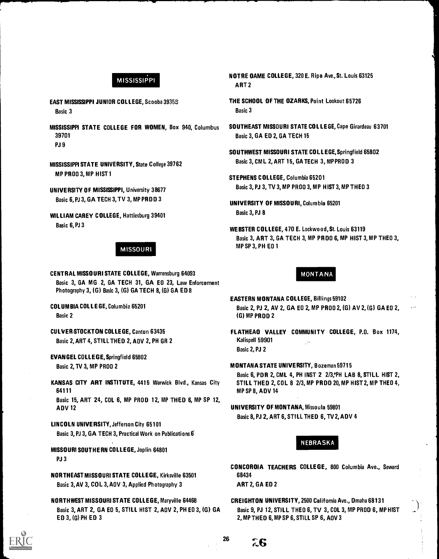# **MISSISSIPPI**

- EAST MISSISSIPPI JUNIOR COLLEGE, Scooba 39358 Basic 3
- MISSISSIPPI STATE COLLEGE FOR WOMEN, Box 940, Columbus 39701 PJ 9
- MISSISSIPPI STATE UNIVERSITY, State College 39762 MP PROD 3, MP HIST I
- UNIVERSITY OF MISSISSIPPI, University 38677 Basic 6, PJ 3, GA TECH 3,TV 3, MP PROD 3
- WILLIAM CAREY COLLEGE, Hattiesburg 39401 Basic 6, PJ 3

# MISSOURI

CENTRAL MISSOURI STATE COLLEGE, Warrensburg 64093 Basic 3, GA MG 2, GA TECH 31, GA ED 23, Law Enforcement Photography 3, (G) Basic 3, (G) GA TECH 8, (G) GA ED 8

- COLUMBIA COL LEGE, Columbia 65201 Basic 2
- CULVER-STOCKTON COLLEGE, Canton 63435 Basic 2, ART 4, STILL THEO 2, ADV 2, PH GR 2
- EVANGEL COLLEGE, Springfield 65802 Basic 2, TV 3, MP PROD 2
- KANSAS CITY ART INSTITUTE, 4415 Warwick Blvd., Kansas City 64111

Basic 15, ART 24, COL 6, MP PROD 12, MP THEO 6, MP SP 12, ADV 12

- LINCOLN UNIVERSITY, Jefferson City 65101 Basic 3, PJ 3, GA TECH 3, Practical Work on Publications 6
- MISSOURI SOUTHERN COLLEGE, Joplin 64801 PJ 3
- NORTHEAST MISSOURI STATE COLLEGE, Kirksville 63501 Basic 3,AV 3, COL 3, ADV 3, Applied Photography 3
- NORTHWEST MISSOURI STATE COLLEGE, Maryville 64468 Basic 3, ART 2, GA ED 5, STILL HIST 2, ADV 2, PH ED 3, (6) GA ED 3, (G) PH ED 3
- NOTRE DAME COLLEGE, 320 E. Ripa Ave.,St. Louis 63125 ART 2
- THE SCHOOL OF THE OZARKS, Point Lookout 65726 Basic 3
- SOUTHEAST MISSOURI STATE COL LEGE, Cape Girardeau 63701 Basic 3, GA ED 2, GA TECH 15
- SOUTHWEST MISSOURI STATE COLL EGE, Springfield 65802 Basic 3, CM L 2, ART 15, GA TECH 3, MP PROD 3
- STEPHENS COLLEGE, Columbia 65201 Basic 3, PJ 3, TV 3, MP PROD 3, MP HIST 3, MP THEO 3
- UNIVERSITY OF MISSOURI, Columbia 65201 Basic 3, PJ 8
- WEBSTER COLLEGE, 470 E. Lockwo od, St. Louis 63119 Basic 3, ART 3, GA TECH 3, MP PROD 6, MP HIST 3, MP THEO 3, MP SP 3, PH ED 1

# MONTANA

- EASTERN MONTANA COLLEGE, Billings 59102 Basic 2, PJ 2, AV 2, GA ED 2, MP PROD 2, (G) AV 2, (G) GA ED 2, (G) MP PROD 2
- FLATHEAD VALLEY COMMUNITY COLLEGE, P.O. Box 1174, Kalispell 59901 Basic 2, PJ 2
- MONTANA STATE UNIVERSITY, Bozeman 59715 Basic 6, PDR 2, CML 4, PH INST 2 2/3, PH LAB 8, STILL HIST 2, STILL THEO 2, COL 8 2/3, MP PROD 20, MP HIST 2, MP THEO 4, MP SP 8, ADV 14
- UNIVERSITY OF MONTANA, Missoula 59801 Basic 8, PJ 2, ART 6, STILL THEO 6, TV 2, ADV 4

# NEBRASKA

CONCORDIA TEACHERS COLLEGE, 800 Columbia Ave., Seward 68434

ART 2, GA ED 2

CREIGHTON UNIVERSITY, 2500 California Ave., Omaha 68131 Basic 9, PJ 12, STILL THEO 6, TV 3, COL 3, MP PROD 6, MP HIST 2, MP THEO 6, MP SP 6, STILL SP 6, ADV 3



 $26 \t\t 56$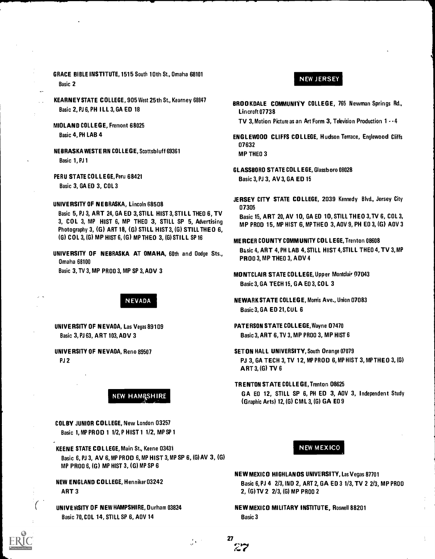- GRACE BIBLE INSTITUTE, 1515 South 10th St., Omaha 68101 Basic 2
- KEARNEY STATE COLLEGE, 905 West 25th St., Kearney 68847 Basic 2, PJ 6, PH ILL 3, GA ED 18
- MIDLAND COLLEGE, Fremont 6 8025 Basic 4, PH LAB 4
- NEBRASKA WESTE RN COLLEGE, Scottsbluff 69361 Basic 1, PJ 1
- PERU STATE COLLEGE, Peru 68421 Basic 3, GA ED 3, COL 3
- UNIVERSITY OF NEBRASKA, Lincoln 68508
	- Basic 5, PJ 3, ART 24, GA ED 3, STILL HIST 3, STILL THEO 6, TV 3, COL 3, MP HIST 6, MP THEO 3, STILL SP 5, Advertising Photography 3, (G) ART 18, (G) STILL HIST 3, (G) STILL THEO 6, (G) COL 3, (G) MP HIST 6, (G) MP THEO 3, (G) STILL SP 16

UNIVERSITY OF NEBRASKA AT OMAHA, 60th and Dodge Sts., Omaha 68100 Basic 3, TV 3, MP PROD 3, MP SP 3, ADV 3

NEVADA

UNIVERSITY OF NEVADA, Las Vegas 89109 Basic 3, PJ 63, ART 103, ADV 3

UNIVERSITY OF NEVADA, Reno 89507 PJ 2

**NEW HAMRSHIRE** 

COLBY JUNIOR COLLEGE, New London 03257 Basic 1, MP PR OD 1 1/2, P HIST 1 1/2, MP SP 1

KEENE STATE COLLEGE, Main St., Keene 03431 Basic 6, PJ 3, AV 6, MP PROD 6, MP HIST 3, MP SP 6, (G) AV 3, (G) MP PROD 6, (G) MP HIST 3, (G) MP SP 6

NEW ENGLAND COLLEGE, Henniker 03242 ART 3

UNIVERSITY OF NEW HAMPSHIRE, Durham 03824 Basic 70, COL 14, STILL SP 6, AOV 14

# NEW JERSEY

BROOKDALE COMMUNITY COLLEGE, 765 Newman Springs Rd., Lincroft 07738

TV 3, Motion Picture as an Art Form 3, Television Production  $1 - 4$ 

- ENGLEWOOD CLIFFS COLLEGE, Hudson Terrace, Englewood Cliffs 07 632 MP THEO 3
- GLASSBORO STATE COLLEGE, Glassboro 08028 Basic 3, PJ 3, AV 3, GA ED 15
- JERSEY CITY STATE COLLEGE, 2039 Kennedy Blvd., Jersey City 07 305

Basic 15, ART 20, AV 10, GA ED 10, STILL THEO 3,TV 6, COL 3, MP PROD 15, MP HIST 6, MP THEO 3, AOV 9, PH EO 3, (G) AOV 3

- MERCER COUNTY COMMUNITY COLLEGE, Trenton 08608 Basic 4, ART 4, PH LAB 4, STILL HIST 4,STILL THEO 4, TV 3,MP PROD 3, MP THEO 3, A DV 4
- MONTCLAIR STATE COLLEGE, Upper Montclair 97 043 Basic 3, GA TECH 15, GA ED 3, COL 3
- NEWARK STATE COLLEGE, Morris Ave., Union 07083 Basic 3, GA ED 21, CUL 6
- PATERSON STATE COLLEGE, Wayne 07470 Basic 3, ART 6, TV 3, MP PROD 3, MP HIST 6
- SETON HALL UNIVERSITY, South Orange 07079 PJ 3, GA TECH 3, TV 12, MP PROD 6, MP HIST 3, MP THEO 3, (G) ART 3, (G) TV 6
- TRENTON STATE COLLEGE, Trenton 08625 GA ED 12, STILL SP 6, PH ED 3, AOV 3, Independent Study (Graphic Arts) 12, (G) CML 3, (G) GA ED 9

# NEW MEXICO

- NEW MEXICO HIGHLANDS UNIVERSITY, Las Vegas 87701 Basic 6, PJ 4 2/3, IND 2, ART 2, GA ED 3 1/3, TV 2 2/3, MP PROD 2, (G) TV 2 2/3, (G) MP PROD 2
- NEW MEXICO MILITARY INSTITUTE, Roswell 88201 Basic 3

27

 $\mathcal{L}^{\mathcal{A}}$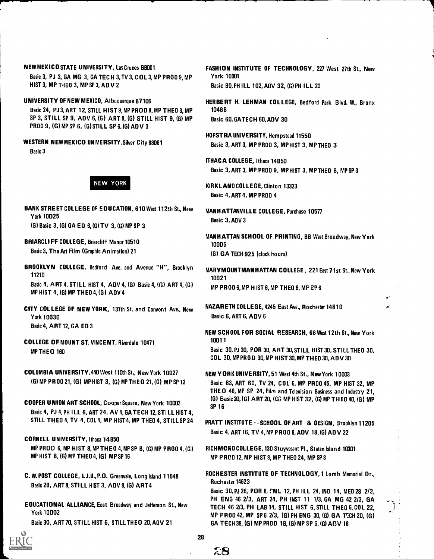# NEW MEXICO STATE UNIVERSITY, Las Cruces 88001

Basic 3, PJ 3, GA MG 3, GA TECH 3,TV 3, COL 3, MP PROD 9, MP HIST 3, MP THEO 3, MP SP 3, ADV 2

UNIVERSITY OF NEW MEXICO, Albuquerque 87106

Basic 24, PJ 3, ART 12, STILL HIST 9,MP PROD 9, MP THEO 3, MP SP 3, STILL SP 9, ADV 6, (6) ART 9, (6) STILL HIST 9, (G) MP PROO 9, (G) MP SP 6, (6) STILL SP 6, (G) ADV 3

Basic 3



BANK STREET COLLEGE OF EDUCATION, 610 West 112th St., New MANHATTANVILLE COLLEGE, Purchase 10577 York 10025

(G) Basic 3, (G) GA ED 6, (G) TV 3, (G) MP SP 3

BRIARCLIFF COLLEGE, Briarcliff Manor 10510 10005 Basic 3, The Art Film (Graphic Animation) 21 (6) GA TECH 925 (clock hours)

BROOKLYN COLLEGE, Bedford Ave. and Avenue "H", Brooklyn 11210

Basic 4, ART 4, STILL HIST 4, ADV 4, (G) Basic 4, (G) ART 4, (G) MP HIST 4, (G) MP THEO 4, (6) ADV 4

- York 10030 **Basic 6, ART 6, ADV 6** Basic 4, ART 12, GA ED 3
- COLLEGE OF MOUNT ST. VINCENT, Riverdale 10471 MP THEO 160

COLUMBIA UNIVERSITY, 440 West 110th St., New York 10027 NEW YORK UNIVERSITY, 51 West 4th St., New York 10003

- Basic 4, PJ 4, PH ILL 6, ART 24, AV 4, GA TECH 12, STILL HIST 4, STILL THEO 4, TV 4, COL 4, MP HIST 4, MP THEO 4, STILL SP 24 PRATT INSTITUTE - - SCHOOL OF ART & OESIGN, Brooklyn 11205
- CORNELL UNIVERSITY, Ithaca 14850 MP PROD 6, MP HIST 8,MP THEO 4, MP SP 8, (G) MP PROO 4, (G) RICHMOND COLLEGE, 130 Stuyvesant Pl., Staten Island 10301 MP HIST B, (G) MP THEO 4, (G) MP SP 16 MP SP 16 MP PROD 12, MP HIST 8, MP THEO 24, MP SP 8

C. W. POST COLLEGE, L.I.U., P.O. Greenvale, Long Island 1 1548 Basic 28, ART 8, STILL HIST 3, ADV 8, (6) ART 4

EDUCATIONAL ALLIANCE, East Broadway and Jefferson St., New York 10002

FASHION INSTITUTE OF TECHNOLOGY, 227 West 27th St., New York 10001

Basic BO, PH ILL 102, AOV 32, (G) PH ILL 20

HERBERT H. LEHMAN COL LEGE, Bedford Park Blvd. W., Bronx 1046B

Basic 60, GA TECH 60, ADV 30

HOFSTRA UNIVERSITY, Hempstead 11550 WESTERN NEW MEXICO UNIVERSITY, Silver City 88061 Basic 3, ART 3, MP PROO 3, MP HIST 3, MP THEO 3

> ITHACA COLLEGE, Ithaca 14 850 Basic 3, ART 3, MP PROO 9, MP HIST 3, MP THEO 8, MP SP 3

NEW YORK KIRKLAND COLLEGE, Clinton 13323 Basic 4, ART 4, MP PROO 4

Basic 3, AOV 3

MANHATTAN SCHOOL OF PRINTING, BB West Broadway, New York

MARYMOUNT MANHATTAN COLLEGE , 221 East 7 1st St., New York 10021 MP PROD 6, MP HIST 6, MP THEO 6, MP SP 6

Ä.

CITY COLLEGE OF NEW YORK, 137th St. and Convent Ave., New NAZARETH COLLEGE, 4245 East Ave., Rochester 14610

NEW SCHOOL FOR SOCIAL RESEARCH, 66 West 12th St., New York 1001 1

Basic 30, PJ 30, POR 30, ART 30, STILL HIST 30, STILL THEO 30, COL 30, MP PRO D 30, MP HIST 30, MP THEO 30, ADV 30

(G) MP PR 00 21, (G) MP HIST 3, (6) MP THEO 21, (6) MP SP 12 Basic 63, ART 6 0, TV 24, COL 6, MP PROO 45, MP HIST 32, MP THE 0 46, MP SP 24, Film and Television Business and Industry 2 1, (G) Basic 20, (G) ART 20, (G) MP HIST 32, (G) MP THEO 40, (G) MP MP COOPER UNION ART SCHOOL, Cooper Square, New York 10003

Basic 4. ART 16, TV 4, MP PROD 8, ADV 18,(6) ADV 22

ROCHESTER INSTITUTE OF TECHNOLOGY, 1 Lomb Memorial Dr., Rochester 14623

Basic 30, PJ 26, POR 8, CML 12, PH ILL 24, IND 14, MED 28 2/3, PH ENG 46 2/3, ART 24, PH INST 11 1/3, GA MG 42 2/3, GA TECH 46 2/3, PH LAB 14, STILL HIST 6, STILL THEO 6, COL 22, MP PR00 42, MP SP 6 2/3, (G) PH ENG 30, (G) GA TECH 20, (G) Basic 30, ART 70, STILL HIST 6, STILL THEO 20, AOV 21 GA TECH 38, (G) MP PROD 1B, (G) MP SP 6, (G) ADV 18



28

2S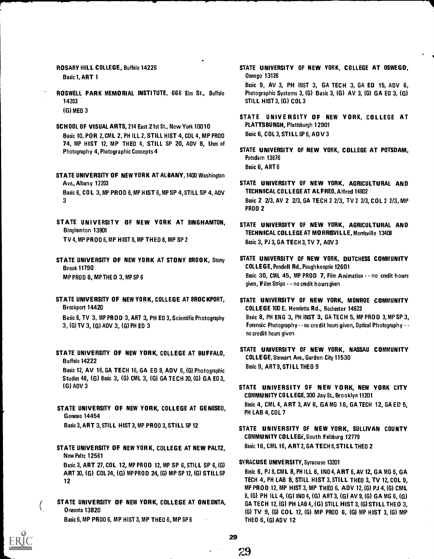ROSARY HILL COLLEGE, Buffalo 14226 Basic 1, ART 1

- ROSWELL PARK MEMORIAL INSTITUTE, 666 Elm St., Buffalo 14203 (6) MED 3
- SCHOOL OF VISUAL ARTS, 214 East 21st St., New York 10010 Basic 10, POR 2, CML 2, PH ILL 2, STILL HIST 4, COL 4, MP PROD 74, MP HIST 12, MP THEO 4, STILL SP 20, A0V 8, Uses of Photography 4, Photographic Concepts 4

STATE UNIVERSITY OF NEW YORK AT ALBANY, 1400 Washington Ave., Albany 12203 Basic 6, COL 3, MP PROD 6, MP HIST 6, MP SP 4, STILL SP 4, A0V 3

- STATE UNIVERSITY OF NEW YORK AT BINGHAMTON, Binghamton 13901 TV 4, MP PROD 6,MP HIST 8, MP THEO 8, MP SP 2
- STATE UNIVERSITY OF NEW YORK AT STONY BROOK, Stony Brook 11790 MP PROD 6, MP THEO 3, MP SP 6
- STATE UNIVERSITY OF NEW YORK, COLLEGE AT BROCKPORT, Brockport 14420

Basic 6, TV 3, MP PROD 3, ART 3, PH E0 3, Scientific Photography 3, (G) TV 3, (G) A0V 3, (6) PH ED 3

- STATE UNIVERSITY OF NEW YORK, COLLEGE AT BUFFALO, Buffalo 14222 Basic 12, AV 16, GA TECH 16, GA ED 9, ADV 6, (G) Photographic Studies 48, (G) Basic 3, (G) CML 3, (G) GA TECH 20, (G) GA E0 3,  $(G)$  ADV 3
- STATE UNIVERSITY OF NEW YORK, COLLEGE AT GENESEO, Geneseo 14454 Basic 3, ART 3, STILL HIST 3, MP PROD 3, STILL SP 12
- STATE UNIVERSITY OF NEW YORK, COLLEGE AT NEW PALTZ, New Paltz 12561 Basic 3, ART 27, COL 12, MP PROD 12, MP SP 6, STILL SP 6, (G) ART 30, (G) COL 24, (6) MP PROD 24, (G) MP SP 12, (G) STILL SP 12
- STATE UNIVERSITY OF NEW YORK, COLLEGE AT ONEONTA, Oneonta 13820

Basic 6, MP PROO 6, MP HIST 3, MP THEO 6, MP SP 6

STATE UNIVERSITY OF NEW YORK, COLLEGE AT OSWEGO, Oswego 13126

Basic 9, AV 3, PH INST 3, GA TECH 3, GA ED 15, ADV 6, Photographic Systems 3, (G) Basic 3, (G) AV 3, (G) GA E0 3, (G) STILL HIST 3, (G) COL 3

- STATE UNIVE RSITY OF NEW YORK, COLLEGE AT PLATTSBURGH, Plattsburgh 12901 Basic 6, COL 3, STILL SP 6, ADV 3
- STATE UNIVERSITY OF NEW YORK, COLLEGE AT POTSDAM, Potsdam 13676 Basic 6, ART 6

STATE UNIVERSITY OF NEW YORK, AGRICULTURAL AND TECHNICAL COLLEGE AT ALFRED, Alfred 14802 Basic 2 2/3, AV 2 2/3, GA TECH 2 2/3, TV 2 2/3, COL 2 2/3, MP PROD 2

- STATE UNIVERSITY OF NEW YORK, AGRICULTURAL AND TECHNICAL COLLEGE AT MORRISVILLE, Morrisville 13408 Basic 3, PJ 3, GA TECH 3, TV 7, A0V 3
- STATE UNIVERSITY OF NEW YORK, OUTCHESS COMMUNITY COLLEGE, Pendell Rd., Poughkeepsie 12601 Basic 30, CML 45, MP PROD 7, Film Animation - - no credit hours given, Film Strips - - no credit hours given
- STATE UNIVERSITY OF NEW YORK, MONROE COMMUNITY COLLEGE 100 E. Henrietta Rd., Rochester 14623 Basic 8, PH ENG 3, PH INST 3, GA TECH 5, MP PROD 3,MP SP 3, Forensic Photography  $\cdots$  no credit hours given, Optical Photography  $\cdots$ no credit hours given
- STATE UNIVERSITY OF NEW YORK, NASSAU COMMUNITY COLLEGE, Stewart Ave., Garden City 11530 Basic 9, ART 9, STILL THEO 9
- STATE UNIVERSITY OF NEW YORK, NEW YORK CITY COMMUNITY COLLEGE, 300 Jay St., Brooklyn 11201 Basic 4, CML 4, ART 3, AV 6, GA MG 16, GA TECH 12, GA ED 5, PH LAB 4, COL 7
- STATE UNIVERSITY OF NEW YORK, SULLIVAN COUNTY COMMUNITY COLL EGE, South Fallsburg 12779 Basic 16, CML 16, ART 2, GA TECH 6,STILL THEO 2

#### SYRACUSE UNIVERSITY, Syracuse 13201

Basic 6, PJ 8, CML 8, PH ILL 6, INO 4, ART 6, AV 12, GA MG 6, GA TECH 4, PH LAB 8, STILL HIST 3, STILL THEO 3, TV 12, COL 9, MP PROD 12, MP HIST 3, MP THEO 6, ADV 12, (6) PJ 4, (G) CML 8, (G) PH ILL 4, (G) !NO 4, (G) ART 3, (G) AV 9, (6) GA MG 6, (G) GA TECH 12, (G) PH LAB 4, (G) STILL HIST 3, (G) STILL THEO 3, (G) TV 9, (G) COL 12, (G) MP PROD 6, (G) MP HIST 3, (G) MP THEO 6, (G) ADV 12

29

29

 $\left($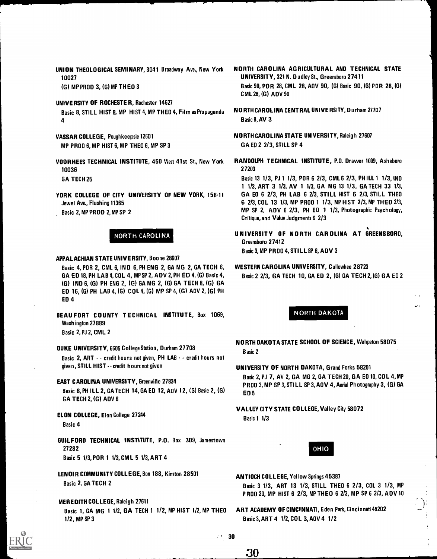UNION THEOLOGICAL SEMINARY, 3041 Broadway Ave., New York 10027

(G) MP PROD 3, (G) MP THEO 3

UNIVERSITY OF ROCHESTER, Rochester 14627 Basic 8, STILL HIST 8, MP HIST 4, MP THEO 4, Film as Propaganda 4

VASSAR COLLEGE, Poughkeepsie 12601 MP PROD 6, MP HIST 6, MP THEO 6, MP SP 3

VOORHEES TECHNICAL INSTITUTE, 450 West 41st St., New York 10036 GA TECH 25

YORK COLLEGE OF CITY UNIVERSITY OF NEW YORK, 158-11 Jewel Ave., Flushing 11365 Basic 2, MP PROD 2, MP SP 2

# NORTH CAROLINA

# APPALACHIAN STATE UNIVERSITY, Boone 28607

Basic 4, POR 2, CML 6, IND 6, PH ENG 2, GA MG 2, GA TECH 6, GA ED 18, PH LAB 4, COL 4, MP SP 2, ADV 2, PH ED 4, (G) Basic 4, (G) IND 6, (G) PH ENG 2, (C) GA MG 2, (G) GA TECH 8, (G) GA ED 16, (G) PH LAB 4, (G) COL 4, (G) MP SP 4, (G) ADV 2, (G) PH ED 4

BEAUFORT COUNTY TECHNICAL INSTITUTE, Box 1069, Washington 27889 Basic 2, PJ 2, CML 2

DUKE UNIVERSITY, 6605 College Station, Durham 27708

Basic 2, ART - - credit hours not given, PH LAB - - credit hours not given, STILL HIST - - credit hours not given

# EAST CAROLINA UNIVERSITY, Greenville 27834

Basic 8, PH ILL 2, GA TECH 14, GA ED 12, ADV 12, (G) Basic 2, (G) GA TECH 2, (G) ADV 6

- ELON COLLEGE, Elon College 27244 Basic 4
- GUILFORD TECHNICAL INSTITUTE, P.O. Box 309, Jamestown 27282 Basic 5 1/3, POR 1 1/3, CM L 5 1/3, ART 4

LENOIR COMMUNITY COLLEGE, Box 188, Kinston 28501 Basic 2, GA TECH 2

# MEREDITH COLLEGE, Raleigh 27611

Basic 1, GA MG 1 1/2, GA TECH 1 1/2, MP HIST 1/2, MP THEO 1/2, MP SP 3

- NORTH CAROLINA AGRICULTURAL AND TECHNICAL STATE UNIVERSITY, 321 N. Dudley St., Greensboro 27411 Basic 90, POR 28, CML 28, AOV 90, (G) Basic 90, (G) POR 28, (G) CML 28, (G) ADV 90
- NORTH CAROLINA CENTRAL UNIVERSITY, Durham 27707 Basic 9, AV 3

NORTH CAROLINA STATE UNIVERSITY, Raleigh 27607 GA ED 2 2/3, STILL SP 4

RANDOLPH TECHNICAL INSTITUTE, P.O. Drawer 1009, Asheboro 27203

Basic 13 1/3, PJ 1 1/3, PDR 6 2/3, CML 6 2/3, PH ILL 1 1/3, IND <sup>1</sup> 1/3, ART 3 1/3, AV 1 1/3, GA MG 13 1/3, GA TECH 33 1/3, GA ED 6 2/3, PH LAB 6 2/3, STILL HIST 6 2/3, STILL THEO 6 2/3, COL 13 1/3, MP PROD 1 1/3, MP HIST 2/3, MP THEO 2/3, MP SP 2, ADV 6 2/3, PH ED 1 1/3, Photographic Psychology, Critique, and Value Judgments 6 2/3

UNIVERSITY OF NORTH CAROLINA AT GREENSBORO, Greensboro 27412 Basic 3, MP PROD 4, STILL SP 6, ADV 3

# WESTERN CAROLINA UNIVERSITY, Cullowhee 28723

Basic 2 2/3, GA TECH 10, GA ED 2, (G) GA TECH 2, (G) GA ED 2

# NORTH DAKOTA

NORTH DAKOTA STATE SCHOOL OF SCIENCE, Wahpeton 58075 Basic 2

# UNIVERSITY OF NORTH DAKOTA, Grand Forks 58201

Basic 2, PJ 7, AV 2, GA MG 2, GA TECH 20, GA ED 10, COL 4, MP PROD 3, MP SP 3, STILL SP 3, AOV 4, Aerial Photography 3, (G) GA ED 5

# VALLEY CITY STATE COLLEGE, Valley City 58072 Basic 1 1/3

OHIO

- ANTIOCH COLLEGE, Yellow Springs 45387 Basic 3 1/3, ART 13 1/3, STILL THEO 6 2/3, COL 3 1/3, MP PROD 20, MP HIST 6 2/3, MP THEO 6 2/3, MP SP 6 2/3, ADV 10
- ART ACADEMY OF CINCINNATI, Eden Park, Cincinnati 45202 Basic 3, ART 4 1/2, COL 3, ADV 4 1/2



-30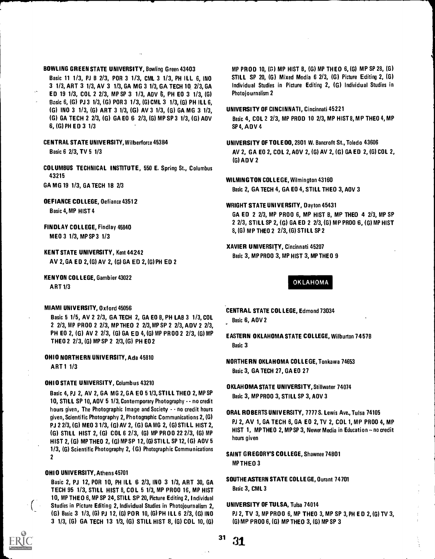# BOWLING GREEN STATE UNIVERSITY, Bowling Green 43403

Basic 11 1/3, PJ 8 2/3, POR 3 1/3, CML 3 1/3, PH ILL 6, IND 3 1/3, ART 3 1/3, AV 3 1/3, GA MG 3 1/3, GA TECH 19 2/3, GA ED 19 1/3, COL 2 2/3, MP SP 3 1/3, AM/ 6, PH ED 3 1/3, (G) Basic 6, (6) PJ 3 1/3, (6) POR 3 1/3, (G) CML 3 1/3, (G) PH ILL 6, 161 IND 3 1/3, (G) ART 3 1/3, (G) AV 3 1/3, (G) GA MG 3 1/3, (6) GA TECH 2 2/3, (G) GA ED 6 2/3, (G) MP SP 3 1/3, (G) ADV 6, (G) PH ED 3 1/3

CENTRAL STATE UNIVERSITY, Wilberforce 45384

Basic 6 2/3, TV 5 1/3

COLUMBUS TECHNICAL INSTITUTE, 550 E. Spring St., Columbus 43215

GA MG 19 1/3, GA TECH 18 2/3

DEFIANCE COLLEGE, Defiance 43512

Basic 4, MP HIST 4

- FINDLAY COLLEGE, Findlay 45840 MED 3 1/3, MP SP 3 1/3
- KENT STATE UNIVERSITY, Kent 44242 AV 2, GA ED 2, (G) AV 2, (G) GA ED 2, (G) PH ED 2
- KENYON COLLEGE, Gambier 43022 ART 1/3

#### MIAMI UNIVERSITY, Oxford 45056

Basic 5 1/5, AV 2 2/3, GA TECH 2, GA ED 8, PH LAB 3 1/3, COL 2 2/3, MP PROD 2 2/3, MP THEO 2 2/3, MP SP 2 2/3, ADV 2 2/3, PH ED 2, (6) AV 2 2/3, (G) GA ED 4, (G) MP PROD 2 2/3, (G) MP THEO 2 2/3, (G) MP SP 2 2/3, (G) PH ED 2

OHIO NORTHERN UNIVERSITY, Ada 45810

ART 1 1/3

#### OHIO STATE UNIVERSITY, Columbus 43210

Basic 4, PJ 2, AV 2, GA MG 2, GA ED 51/3, STILL THEO 2, MP SP 10, STILL SP 10, ADV 5 1/3, Contemporary Photography - - no credit hours given, The Photographic Image and Society - - no credit hours given, Scientific Photography 2, Photographic Communications 2, (G) PJ 2 2/3, (G) MED 3 1/3, (G) AV 2, (G) GA MG 2, (G) STILL HIST 2, (G) STILL HIST 2, (G) COL 6 2/3, (G) MP PR OD 22 2/3, (G) MP HIST 2, (G) MP THEO 2, (G) MP SP 12, (G) STILL SP 12, (G) ADV 5 1/3, (G) Scientific Photography 2, (G) Photographic Communications 2

### OHI 0 UNIVERSITY, Athens 45701

Basic 2, PJ 12, POR 10, PH ILL 6 2/3, IND 3 1/3, ART 30, GA TECH 95 1/3, STILL HIST 8, COL 5 1/3, MP PROD 16, MP HIST 10, MP THEO 6, MP SP 24, STILL SP 20, Picture Editing 2, Individual Studies in Picture Editing 2, Individual Studies in Photojournalism 2, (G) Basic 3 1/3, (G) PJ 12, (G) POR 10, (G) PH ILL 6 2/3, (G) INO 3 1/3, (G) GA TECH 13 1/3, (G) STILL HIST 8, (G) COL 10, (G) MP PROD 10, (G) MP HIST 8, (6) MP THEO 6, (G) MP SP 28, (G) STILL SP 20, (G) Mixed Media 6 2/3, (G) Picture Editing 2, (G) Individual Studies in Picture Editing 2, (G) Individual Studies in Photojournalism 2

UNIVERSITY OF CINCINNATI, Cincinnati 45221

Basic 4, COL 2 2/3, MP PROD 10 2/3, MP HIST 8, MP THEO 4, MP SP 4, ADV 4

- UNIVERSITY OF TOLEDO, 2801 W. Bancroft St., Toledo 43606 AV 2, GA ED 2, COL 2, ADV 2,(G) AV 2, (G) GA ED 2, (G) COL 2, (G) ADV 2
- WILMINGTON COLLEGE, Wilmington 43160 Basic 2, GA TECH 4, GA ED 4, STILL THEO 3, ADV 3
- WRIGHT STATE UNIVERSITY, Dayton 45431 GA ED 2 2/3, MP PROD 6, MP HIST 8, MP THEO 4 2/3, MP SP 2 2/3, STILL SP 2, (G) GA ED 2 2/3, (G) MP PROO 6, (G) MP HIST 8, (G) MP THEO 2 2/3, (G) STILL SP 2
- XAVIER UNIVERSITY, Cincinnati 45207 Basic 3, MP PROD 3, MP HIST 3, MP THEO 9

OKLAHOMA

CENTRAL STATE COL LEGE, Edmond 73034

- Basic 6, ADV 2
- EASTERN OKLAHOMA STATE COLLEGE, Wilburton 7457B Basic 3
- NORTHERN OKLAHOMA COLLEGE, Tonkawa 74653 Basic 3, GA TECH 27, GA ED 27
- OKLAHOMA STATE UNIVERSITY, Stillwater 74074 Basic 3, MP PROD 3, STILL SP 3, ADV 3
- ORAL ROBERTS UNIVERSITY, 7777 S. Lewis Ave., Tulsa 74105 PJ 2, AV 1, GA TECH 6, GA ED 2, TV 2, COL 1, MP PROD 4, MP HIST 1, MP THEO 2, MP SP 3, Newer Media in Education -- no credit hours given
- SAINT GREGORY'S COLLEGE, Shawnee 74801 MP THEO 3
- SOUTHEASTERN STATE COLLEGE, Durant 74701 Basic 3, CML 3

UNIVERSITY OF TULSA, Tulsa 74014

PJ 2, TV 3, MP PROO 6, MP THEO 3, MP SP 3, PH E D 2, (G) TV 3, (G) MP PROD 6, (G) MP THEO 3, (G) MP SP 3

 $31 \t31$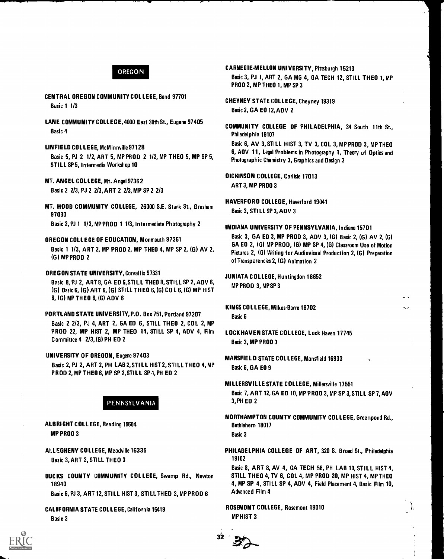# OREGON

- CENTRAL OREGON COMMUNITY COLLEGE, Bend 97701 Basic 1 1/3
- LANE COMMUNITY COLL EGE, 4000 East 30th St., Eugene 97405 Basic 4
- LINFIELO COLLEGE, McMinnville 97128 Basic 5, PJ 2 1/2, ART 5, MP PROD 2 1/2, MP THEO 5, MP SP 5, STILL SP 5, In termedia Workshop 10
- MT. ANGEL COLLEGE, Mt. Angel 97362 Basic 2 2/3, PJ 2 2/3, ART 2 2/3, MP SP 2 2/3
- MT. HOOD COMMUNITY COLLEGE, 26000 S.E. Stark St., Gresham 97030

Basic 2, PJ 1 1/3, MP PROD 1 1/3, Intermediate Photography 2

OREGON COLLEGE OF EDUCATION, Monmouth 97361

Basic 1 1/3, ART 2, MP PROD 2, MP THEO 4, MP SP 2, (G) AV 2, (G) MP PROD 2

- OREGON STATE UNIVERSITY, Corvallis 97331 Basic 8, PJ 2, ART 8, GA ED 6, STILL THEO 8, STILL SP 2, ADV 6, (G) Basic 6, (G) ART 6, (G) STILL THEO 6, (G) COL 6, (G) MP HIST
- 6, (G) MP THEO 6, (G) ADV 6 PORTLAND STATE UNIVERSITY, P.O. Box 751, Portland 97207

Basic 2 2/3, PJ 4, ART 2, GA ED 6, STILL THEO 2, COL 2, MP PROD 22, MP HIST 2, MP THEO 14, STILL SP 4, ADV 4, Film Committee 4 2/3, (G) PH ED 2

UNIVERSITY OF OREGON, Eugene 97403

Basic 2, PJ 2, ART 2, PH LAB 2, STILL HIST 2, STILL THEO 4, MP PROD 2, MP THEO 6, MP SP 2, STILL SP 4, PH ED 2

# PENNSYLVANIA

ALBRIGHT COLLEGE, Reading 19604 MP PROD 3

ALLEGHENY COLLEGE, Meadville 16335 Basic 3, ART 3, STILL THEO 3

BUCKS COUNTY COMMUNITY COLLEGE, Swamp Rd., Newton 18940

Basic 6, PJ 3, ART 12, STILL HIST 3, STILL THEO 3, MP PROD 6

CALIFORNIA STATE COLLEGE, California 15419 Basic 3

# CARNEGIE-MELLON UNIVERSITY, Pittsburgh 15213

Basic 3, PJ 1, ART 2, GA MG 4, GA TECH 12, STILL THEO 1, MP PROD 2, MP THEO 1, MP SP 3

CHEYNEY STATE COLLEGE, Cheyney 19319 Basic 2, GA ED 12, ADV 2

COMMUNITY COLLEGE OF PHILADELPHIA, 34 South 11th St., Philadelphia 19107

Basic 6, AV 3, STILL HIST 3, TV 3, COL 3, MP PROD 3, MP THEO 6, ADV 11, Legal Problems in Photography 1, Theory of Optics and Photographic Chemistry 3, Graphics and Design 3

DICKINSON COLLEGE, Carlisle 17013 ART 3, MP PROD 3

HAVERFORD COLLEGE, Haverford 19041 Basic 3, STILL SP 3, ADV 3

#### INDIANA UNIVERSITY OF PENNSYLVANIA, Indiana 15701

Basic 3, GA ED 3, MP PROD 3, ADV 3, (G) Basic 2, (G) AV 2, (G) GA ED 2, (G) MP PROD, (G) MP SP 4, (G) Classroom Use of Motion Pictures 2, (G) Writing for Audiovisual Production 2, (G) Preparation of Transparencies 2, (G) Animation 2

JUNIATA COLLEGE, Huntingdon 16652 MP PROD 3, MP SP 3

KINGS COLLEGE, Wilkes-Barre 18702 Basic 6

- LOCK HAVEN STATE COLLEGE, Lock Haven 17745 Basic 3, MP PROD 3
- MANSFIELD STATE COLLEGE, Mansfield 16933 Basic 6, GA ED 9
- MILLERSVILLE STATE COLLEGE, Millersville 17551 Basic 7, ART 12, GA ED 10, MP PROD 3, MP SP 3, STILL SP 7, ADV 3, PH ED 2

NORTHAMPTON COUNTY COMMUNITY COLLEGE, Greenpond Rd., Bethlehem 18017 Basic 3

PHILADELPHIA COLLEGE OF ART, 320 S. Broad St., Philadelphia 19102

Basic 8, ART 8, AV 4, GA TECH 58, PH LAB 10, STILL HIST 4, STILL THEO 4, TV 6, COL 4, MP PROD 20, MP HIST 4, MP THEO 4, MP SP 4, STILL SP 4, ADV 4, Field Placement 4, Basic Film 10, Advanced Film 4

ROSEMONT COLLEGE, Rosemont 19010 MP HIST 3

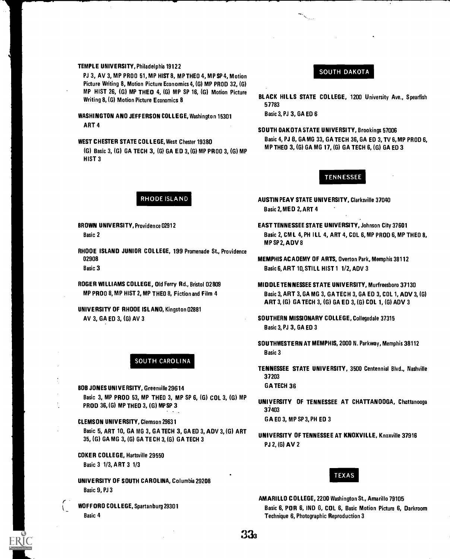#### TEMPLE UNIVERSITY, Philadelphia 19122

PJ 3, AV 3, MP PROD 51, MP HIST 8, MP THEO 4, MP SP 4, Motion Picture Writing 8, Motion Picture Economics 4, (G) MP PROD 32, (G) MP HIST 26, (G) MP THEO 4, (G) MP SP 16, (G) Motion Picture Writing 8, (G) Motion Picture Economics 8

WASHINGTON AND JEFFERSON COLLEGE, Washington 15301 ART 4

WEST CHESTER STATE COLLEGE, West Chester 19380 (G) Basic 3, (G) GA TECH 3, (G) GA ED 3, (G) MP PROD 3, (G) MP HIST 3

# SOUTH DAKOTA

BLACK HILLS STATE COLLEGE, 1200 University Ave., Spearfish 57783

Basic 3, PJ 3, GA ED 6

SOUTH DAKOTA STATE UNIVERSITY, Brookings 57006 Basic 4, PJ 8, GA MG 33, GA TECH 36, GA ED 3, TV 6, MP PROD 6, MP THEO 3, (G) GA MG 17, (G) GA TECH 6, (G) GA ED 3

# **TENNESSEE**

- RHODE ISLAND **AUSTIN PEAY STATE UNIVERSITY, Clarksville 37040** Basic 2, MED 2, ART 4
- BROWN UNIVERSITY, Providence 02912 EAST TENNESSEE STATE UNIVERSITY, Johnson City 37601 Basic 2 Basic 2, CM L 4, PH ILL 4, ART 4, COL 6, MP PROD 6, MP THEO 8, MPSP2,ADV8
	-
	- MP PROO 8, MP HIST 2, MP THEO 8, Fiction and Film 4 Basic 3, ART 3, GA MG 3, GA TECH 3, GA ED 3, COL 1, ADV 3, (G) ART 3, (G) GA TECH 3, (G) GA ED 3, (G) COL 1, (G) ADV 3
	- AV 3, GA ED 3, (G) AV 3 SOUTHERN MISSIONARY COLLEGE, Collegedale 37315 Basic 3, PJ 3, GA ED 3
		- SOUTHWESTERN AT MEMPHIS, 2000 N. Parkway, Memphis 38112 Basic 3
		- TENNESSEE STATE UNIVERSITY, 3500 Centennial Blvd., Nashville 37203
		-
		- PJ 2, (G) AV 2

# TEXAS

AMARILLO COLLEGE, 2200 Washington St., Amarillo 79105 WOFFORO COLLEGE, Spartanburg 29301 Basic 6, POR 6, IND 6, COL 6, Basic Motion Picture 6, Darkroom Basic 4 Technique 6, Photographic Reproduction 3

RHODE ISLAND JUNIOR COLLEGE, 199 Promenade St., Providence 02908 MEMPHIS ACADEMY OF ARTS, Overton Park, Memphis 38112 Basic 3 Basic 6, ART 10, STILL HIST 1 1/2, ADV 3

ROGER WILLIAMS COLLEGE, Old Ferry Rd., Bristol 02809 MIDDLE TENNESSEE STATE UNIVERSITY, Murfreesboro 37130

UNIVERSITY OF RHODE ISLAND, Kingston 02881

# SOUTH CAROLINA

BOB JONES UNIVERSITY, Greenville 29614 GA TECH 36

Basic 3, MP PROD 53, MP THEO 3, MP SP 6, (G) COL 3, (G) MP<br>PROD 36, (G) MP THEO 3, (G) MP SP 3<br>37403 37403

CLEMSON UNIVERSITY, Clemson 29631 GA ED 3, MP SP 3, PH ED 3

Basic 5, ART 10, GA MG 3, GA TECH 3, GA ED 3, ADV 3, (G) ART<br>35, (G) GA MG 3, (G) GA TECH 3, (G) GA TECH 3

COKER COLLEGE, Hartsville 29550

Basic 3 1/3, ART 3 1/3

UNIVERSITY OF SOUTH CAROLINA, Columbia 29208 Basic 9, PJ 3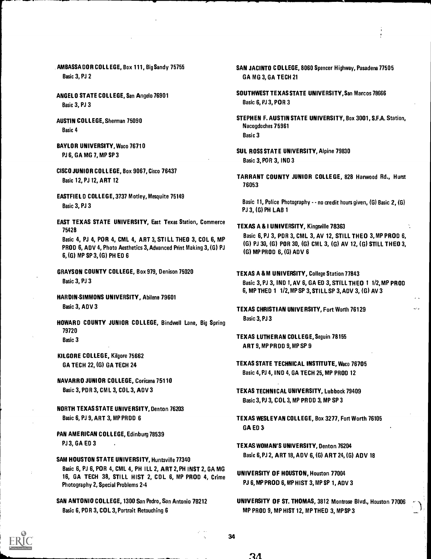AMBASSADOR COLLEGE, Box 111, Big Sandy 75755 Basic 3, PJ 2

ANGELO STATE COLLEGE, San Angelo 76901 Basic 3, PJ 3

AUSTIN COLLEGE, Sherman 75090 Basic 4

- BAYLOR UNIVERSITY, Waco 76710 PJ 6, GA MG 7, MP SP 3
- CISCO JUNIOR COLLEGE, Box 9067, Cisco 76437 Basic 12, PJ 12, ART 12
- EASTFIEL D COLLEGE, 3737 Motley, Mesquite 75149 Basic 3, PJ 3

EAST TEXAS STATE UNIVERSITY, East Texas Station, Commerce 75428

Basic 4, PJ 4, POR 4, CML 4, ART 3, STILL THEO 3, COL 6, MP PROD 6, ADV 4, Photo Aesthetics 3, Advanced Print Making 3, (G) PJ 6, (G) MP SP 3, (G) PH ED 6

GRAYSON COUNTY COLLEGE, Box 979, Denison 75020 Basic 3, PJ 3

HARDINSIMMONS UNIVERSITY, Abilene 79601 Basic 3, ADV 3

- HOWARD COUNTY JUNIOR COLLEGE, Bindwell Lane, Big Spring 79720 Basic 3
- KILGORE COLLEGE, Kilgore 75662 GA TECH 22, (G) GA TECH 24

NAVARRO JUNIOR COLLEGE, Coricana 75110 Basic 3, PDR 3, CML 3, COL 3, ADV 3

NORTH TEXAS STATE UNIVERSITY, Denton 76203 Basic 6, PJ 9, ART 3, MP PROD 6

PAN AMERICAN COLLEGE, Edinburg 78539 **PJ 3, GA ED 3** 

SAM HOUSTON STATE UNIVERSITY, Huntsville 77340 Basic 6, PJ 6, POR 4, CML 4, PH ILL 2, ART 2, PH INST 2, GA MG 16, GA TECH 38, STILL HIST 2, COL 6, MP PROD 4, Crime Photography 2, Special Problems 2.4

SAN ANTONIO COLLEGE, 1300 San Pedro, San Antonio 78212 Basic 6, PDR 3, COL 3, Portrait Retouching 6

- SAN JACINTO COLLEGE, 8060 Spencer Highway, Pasadena 77505 GA MG 3, GA TECH 21
- SOUTHWEST TEXAS STATE UNIVERSITY, San Marcos 78666 Basic 6, PJ 3, POR 3
- STEPHEN F. AUSTIN STATE UNIVERSITY, Box 3001, S.F.A. Station, Nacogdoches 75961 Basic 3
- SUL ROSS STATE UNIVERSITY, Alpine 79830 Basic 3, POR 3, IND 3
- TARRANT COUNTY JUNIOR COLLE GE, 828 Harwood Rd., Hurst 76053

Basic 11, Police Photography - - no credit hours given, (G) Basic 2, (G) PJ 3, (G) PH LAB 1

TEXAS A & I UNIVERSITY, Kingsville 78363

Basic 6, PJ 3, POR 3, CML 3, AV 12, STILL THEO 3, MP PROD 6, (G) PJ 30, (G) POR 30, (G) CML 3, (G) AV 12, (G) STILL THEO 3, (G) MP PROD 6, (G) ADV 6

TEXAS A &M UNIVERSITY, College Station 77843 Basic 3, PJ 3, IND 1, AV 6, GA ED 3, STILL THEO 1 1/2,MP PROD 6, MP THEO 1 1/2,MP SP 3, STILL SP 3, ADV 3, (G) AV 3

TEXAS CHRISTIAN UNIVERSITY, Fort Worth 76129 Basic 3, PJ 3

- TEXAS LUTHERAN COLLEGE, Seguin 78155 ART 9, MP PROD 9, MP SP 9
- TEXAS STATE TECHNICAL INSTITUTE, Waco 76705 Basic 4, PJ 4, IND 4, GA TECH 25, MP PROD 12
- TEXAS TECHNICAL UNIVERSITY, Lubbock 79409 Basic 3, PJ 3, COL 3, MP PROD 3, MP SP 3
- TEXAS WESLEYAN COLLEGE, Box 3277, Fort Worth 76105 GA ED 3
- TEXAS WOMAN'S UNIVERSITY, Denton 76204 Basic 6, PJ 2, ART 18, A DV 6, (G) ART 24, (G) ADV 18
- UNIVERSITY OF HOUSTON, Houston 77004 PJ 6, MP PROD 6, MP HIST 3, MP SP 1, ADV 3
- UNIVERSITY OF ST. THOMAS, 3812 Montrose Blvd., Houston 77006 MP PROD 9, MP HIST 12, MP THEO 3, MP SP 3

34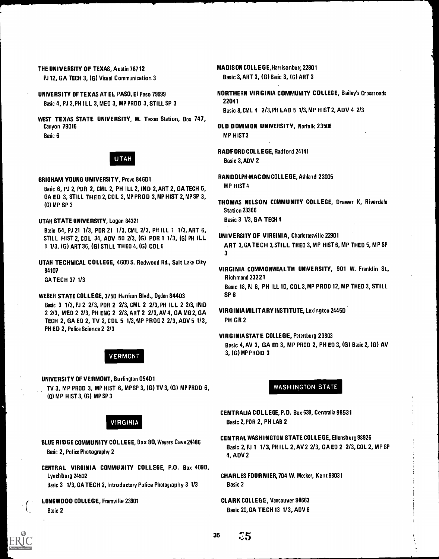PJ 12, GA TECH 3, (G) Visual Communication 3 Basic 3, ART 3, (G) Basic 3, (G) ART 3

- Basic 4, PJ 3, PH ILL 3, MED 3, MP PRDD 3, STILL SP 3
- WEST TEXAS STATE UNIVERSITY, W. Texas Station, Box 747, Canyon 79015 **Canyon 79015 OLD DOMINION UNIVERSITY, Norfolk 23508** Basic 6 MP HIST 3



Basic 6, PJ 2, PDR 2, CML 2, PH ILL 2, IND 2, ART 2, GA TECH 5, GA ED 3, STILL THEO 2, COL 3, MP PROD 3, MP HIST 2, MP SP 3,

UTAH STATE UNIVERSITY, Logan 84321 Basic 3 1/3, GA TECH 4

Basic 54, PJ 21 1/3, PDR 21 1/3, CML 2/3, PH ILL 1 1/3, ART 6,<br>STULL HIST 2, CDL 34, ADV 50 2/3, (C) PDR 1 1/3, (c) PH ILL UNIVERSITY OF VIRGINIA, Charlottesville 22901 STILL HIST 2, CDL 34, ADV 50 2/3, (G) PDR 1 1/3, (G) PH ILL

UTAH TECHNICAL COLLEGE, 4600 S. Redwood Rd., Salt Lake City 84107

GA TECH 37 1/3

WEBER STATE COLLEGE, 3750 Harrison Blvd., Ogden 84403 SP 6 Basic 3 1/3, PJ 2 2/3, PDR 2 2/3, CML 2 2/3, PH ILL 2 2/3, IND<br>2 2/3 MED 2 2/3 PH ENG 2 2/3 ART 2 2/3 AV 4 GA MG 2 GA NG VIRGINIA MILITARY INSTITUTE, Lexington 2445D 2 2/3, MED 2 2/3, PH ENG 2 2/3, ART 2 2/3, AV 4, GA MG 2, GA TECH 2, GA ED 2, TV 2, COL 5 1/3,MP PROD 2 2/3, ADV 5 1/3, PH GR 2 PH ED 2, Police Science 2 2/3

UNIVERSITY OF VERMONT, Burlington 05401 TV 3, MP PROD 3, MP HIST 6, MP SP 3, (G) TV 3, (G) MP PROD 6, (G) MP HIST 3, (G) MP SP 3

# VIRGINIA

- BLUE RIDGE COMMUNITY COLLEGE, Box 80, Weyers Cave 24486 Basic 2, Police Photography 2
- CENTRAL VIRGINIA COMMUNITY COLLEGE, P.O. Box 4098, Lynchburg 24502

Basic 3 1/3, GA TECH 2, Introductory Police Photography 3 1/3

LONGWOOD COLLEGE, Framville 23901 Basic 2

THE UNIVERSITY OF TEXAS, Austin 78712 MADISON COLLEGE, Harrisonburg 22801

UNIVERSITY OF TEXAS AT EL PASO, El Paso 79999 NORTHERN VIRGINIA COMMUNITY COLLEGE, Bailey's Crossroads<br>Pasia A B12 BH U L 2 MED 2 MB BRDD 2 STULSR 2

Basic 8, CML 4 2/3, PH LAB 5 1/3, MP HIST 2, ADV 4 2/3

- 
- RADFORD COLLEGE, Radford 24141 UTAH Basic 3, ADV 2

BRIGHAM YOUNG UNIVERSITY, Provo 846D1<br>RANDOLPH.MAC ON COLLEGE, Ashland 23005

- (G) MP SP 3 THOMAS NELSON COMMUNITY COLLEGE, Drawer K, Riverdale Station 23366
- 1 1/3, (G) ART 36, (G) STILL THEO 4, (G) CDL 6 ART 3, GA TECH 3, STILL THEO 3, MP HIST 6, MP THED 5, MP SP 3
	- VIRGINIA COMMONWEALTH UNIVERSITY, 901 W. Franklin St., Richmond 23221 Basic 18, PJ 6, PH ILL 10, COL 3, MP PROD 12, MP THEO 3, STILL

VIRGINIA STATE COLLEGE, Petersburg 23803 Basic 4, AV 3, GA ED 3, MP PROD 2, PH ED 3, (G) Basic 2, (G) AV VERMONT 3, (G) MP PROD 3

# WASHINGTON STATE

CENTRALIA COLLEGE, P.O. Box 639, Centralia 98531 Basic 2, FOR 2, PH LAB 2

CENTRAL WASHINGTON STATE COLLEGE, Ellensburg 98926 Basic 2, PJ 1 1/3, PH ILL 2, AV 2 2/3, GA ED 2 2/3, COL 2, MP SP 4, ADV 2

CHARLES FOURNIER, 704 W. Meeker, Kent 98031 Basic 2

CLARK COLLEGE, Vancouver 98663 Basic 20, GA TECH 13 1/3, ADV 6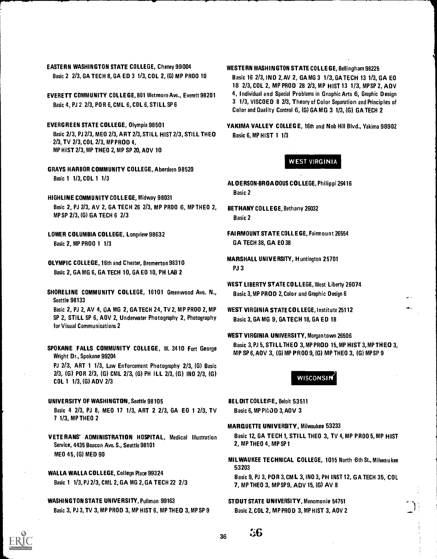EASTERN WASHINGTON STATE COLLEGE, Cheney 99004 Basic 2 2/3, GA TECH 8, GA ED 3 1/3, COL 2, (G) MP PROD 10

EVERETT COMMUNITY COLLEGE, 801 Wetmore Ave., Everett 98201 Basic 4, PJ 2 2/3, PO R 6, CML 6, COL 6, STILL SP 6

EVERGREEN STATE COLLEGE, Olympia 98501 Basic 2/3, PJ 2/3, MEO 2/3, ART 2/3, STILL HIST 2/3, STILL THEO 2/3, TV 2/3, COL 2/3, MP PROD 4, MP HIST 2/3, MP THEO 2, MP SP 20, ADV 10

GRAYS HARBOR COMMUNITY COLLEGE, Aberdeen 98520 Basic 1 1/3, COL 1 1/3

HIGHLINE COMMUNITY COLLEGE, Midway 98031 Basic 2, PJ 2/3, AV 2, GA TECH 26 2/3, MP PROD 6, MP THEO 2, MP SP 2/3, (G) GA TECH 6 2/3

LOWER COLUMBIA COLLEGE, Longview 98632 Basic 2, MP PROD 1 1/3

- OLYMPIC COLLEGE, 16th and Chester, Bremerton 98310 Basic 2, GA MG 6, GA TECH 10, GA ED 10, PH LAB 2
- SHORELINE COMMUNITY COLLEGE, 16101 Greenwood Ave. N., Seattle 98133

Basic 2, PJ 2, AV 4, GA MG 2, GA TECH 24, TV 2, MP PROD 2, MP SP 2, STILL SP 6, ADV 2, Underwater Photography 2, Photography for Visual Communications 2

SPOKANE FALLS COMMUNITY COLLEGE, W. 3410 Fort George Wright Dr., Spokane 99204

PJ 2/3, ART 1 1/3, Law Enforcement Photography 2/3, (G) Basic 2/3, (G) POR 2/3, (G) CML 2/3, (G) PH ILL 2/3, (G) IND 2/3, (G) COL 1 1/3, (G) ADV 2/3

- UNIVERSITY OF WASHINGTON, Seattle 98105 Basic 4 2/3, PJ 8, MED 17 1/3, ART 2 2/3, GA ED 1 2/3, TV 7 1/3, MP THEO 2
- VETE RANS' ADMINISTRATION HOSPITAL, Medical Illustration Service, 4435 Beacon Ave. S., Seattle 98101 MED 45, (G) MED 90

WALLA WALLA COLLEGE, College Place 99324 Basic 1 1/3, PJ 2/3, CML 2, GA MG 2, GA TECH 22 2/3

WASHINGTON STATE UNIVERSITY, Pullman 99163 Basic 3, PJ 3, TV 3, MP PROD 3, MP HIST 6, MP THEO 3, MP SP 9 WESTERN WASHINGTON STATE COLLEGE, Bellingham 98225 Basic 16 2/3, IND 2, AV 2, GA MG 3 1/3, GA TECH 13 1/3, GA ED 18 2/3, COL 2, MP PROD 28 2/3, MP HIST 13 1/3, MP SP 2, ADV 4, Individual and Special Problems in Graphic Arts 6, Graphic Design 3 1/3, VISCOED 8 2/3, Theory of Color Separation and Principles of Color and Quality Control 6, (G) GA MG 3 1/3, (G) GA TECH 2

YAKIMA VALLEY COLLEGE, 16th and Nob Hill Blvd., Yakima 98902 Basic 6, MP HIST 1 1/3

# WEST VIRGINIA

AL DERSON-BROADDUS COLLEGE, Philippi 26416 Basic 2

BETHANY COLLEGE, Bethany 26032 Basic 2

- FAIRMOUNT STATE COLLEGE, Fairmount 26554 GA TECH 38, GA ED 38
- MARSHALL UNIVERSITY, Huntington 25701 PJ 3
- WEST LIBERTY STATE COLLEGE, West Liberty 26074 Basic 3, MP PROD 2, Color and Graphic Design 6
- WEST VIRGINIA STATE COLLEGE, Institute 25112 Basic 3, GA MG 9, GA TECH 18, GA ED 18
- WEST VIRGINIA UNIVERSITY, Morgantown 26506 Basic 3, PJ 5, STILL THEO 3, MP PROD 15, MP HIST 3, MP THEO 3, MP SP 6, ADV 3, (G) MP PROD 9, (G) MP THEO 3, (G) MP SP 9

**WISCONSIN** 

BELOIT COLLERE, Beloit 53511 Basic 6, MP PHOD 3, AOV 3

### MARQUETTE UNIVERSITY, Milwaukee 53233

Basic 12, GA TECH 1, STILL THEO 3, TV 4, MP PROD 5, MP HIST 2, MP THEO 4, MP SP 1

MILWAUKEE TECHNICAL COLLEGE, 1015 North 6th St., Milwaukee 53203

Basic 9, PJ 3, PO R 3, CM L 3, IND 3, PH INST 12, GA TECH 35, COL 7, MP THEO 3, MP SP 9, ADV 15, (G) AV 8

#### STOUT STATE UNIVERSITY, Menomonie 54751

Basic 2, COL 2, MP PROD 3, MP HIST 3, ADV 2



 $36\qquad\qquad\ddots$ 6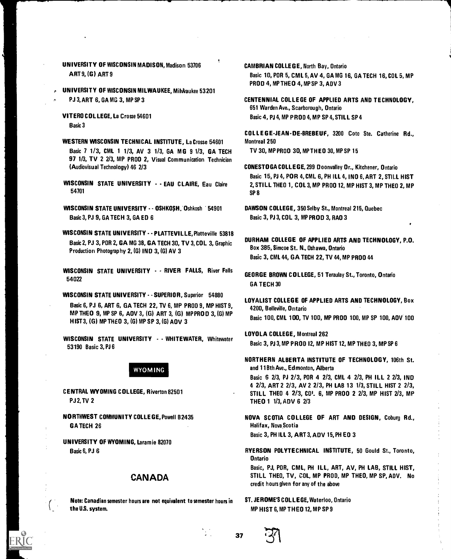UNIVERSITY OF WISCONSIN MADISON, Madison 53706 ART 9,(G) ART 9

UNIVERSITY OF WISCONSIN MILWAUKEE, Milwaukee 53201 PJ 3, ART 6, GA MG 3, MP SP 3

Basic 3

- WESTERN WISCONSIN TECHNICAL INSTITUTE, La Crosse 54601 Montreal 250 Basic 7 1/3, CML 1 1/3, AV 3 1/3, GA M G 9 1/3, GA TECH TV 30, MP PROD 31), MP THEO 30, MP SP 15 97 1/3, TV 2 2/3, MP PROD 2, Visual Communication Technician (Audiovisual Technology) 46 2/3 CONESTOGA COLLEGE, 299 Doonvalley Dr., Kitchener, Ontario
- $54701$  SP 8
- WISCONSIN STATE UNIVERSITY - OSHKOSH. Oshkosh 54901 DAWSON COLLEGE, 350 Selby St., Montreal 215, Quebec Basic 3, PJ 9, GA TECH 3, GA ED 6 Basic 3, PJ 3, COL 3, MP PROD 3, RAD 3
- WISCONSIN STATE UNIVERSITY - PLATTEVILLE, Platteville 53818<br>Besia 2, P. 12, PDP 2, CA MC 29, CA TECH 20, TV 2, COL 2, Creating DURHAM, COLLEGE, OF APPLIED ARTS AND TECHNOLOGY, P.O. Basic 2, PJ 3, POR 2, GA MG 38, GA TECH 30, TV 3, COL 3, Graphic DURHAM COLLEGE OF APPLIED ARTS<br>Box 3B5, Simcoe St. N., Oshawa, Ontario Production Photography 2, (G) IND 3, (G) AV 3
- WISCONSIN STATE UNIVERSITY - RIVER FALLS, River Falls **650000000 STATE ONTVERSITY TERMINER TALLS, RIVER TANS GEORGE BROWN COLLEGE, 51 Teraulay St., Toronto, Ontario**

WISCONSIN STATE UNIVERSITY - - SUPERIOR, Superior 54880 Basic 6, PJ 6, ART 6, GA TECH 22, TV 6, MP PROD 9, MP HIST 9, 4200, Belleville, Ontario HIST 3, (G) MP THEO 3, (G) MP SP 3, (G) ADV 3

LOYOLA COLLEGE, Montreal 262 WISCONSIN STATE UNIVERSITY - WHITEWATER, Whitewater 53190 Basic 3, PJ 6 Basic 3, PJ 3, MP PROD 12, MP HIST 12, MP THEO 3, MP SP 6

PJ 2, TV 2 THEO 1 1/3, ADV 6 2/3

NORTHWEST COMMUNITY COL LE GE, Powell 82435 GA TECH 26

UNIVERSITY OF WYOMING, Laramie 82070

# CANADA

Note: Canadian semester hours are not equivalent to semester hours in the U.S. system.

CAMBRIAN COLLEGE, North Bay, Ontario

Basic 10, POR 5, CML 5, AV 4, GA MG 16, GA TECH 16, COL 5, MP PROD 4, MP THEO 4, MP SP 3, ADV 3

CENTENNIAL COLLEGE OF APPLIED ARTS AND TECHNOLOGY, 651 Warden Ave., Scarborough, Ontario VITERO COL LEGE, La Crosse 54601 Basic 4, PJ 4, MP PROD 4, MP SP 4, STILL SP 4

COL L E G E-JEAN-DE-BREBEUF, 3200 Coto Ste. Catherine Rd.,

- Basic 15, PJ 4, POR 4, CML 6, PH ILL 4, IND 6, ART 2, STILL HIST WISCONSIN STATE UNIVERSITY - - EAU CLAIRE, Eau Claire 2, STILL THEO 1, COL 3, MP PROD 12, MP HIST 3, MP THEO 2, MP<br>Saper Line of a
	-
	- Basic 3, CML 44, GA TECH 22, TV 44, MP PROD 44

GA TECH 30

LOYALIST COLLEGE OF APPLIED ARTS AND TECHNOLOGY, Box MP THEO 9, MP SP 6, AOV 3, (G) ART 3, (G) MPPROD 3, (G) MP<br>11953 (G) 110 THEO 3, (G) 110 O 8, (G) 10 O 4, C) 6 C 3 (G) 10 O 5 (G) MP Basic 100, CML 100, TV 100, MP PROO 100, MP SP 100, AOV 100

NORTHERN ALBERTA INSTITUTE OF TECHNOLOGY, 106th St. WYOMING **and 118th Ave., Edmonton, Alberta** 

Basic 6 2/3, PJ 2/3, POR 4 2/3, CML 4 2/3, PH ILL 2 2/3, IND 4 2/3, ART 2 2/3, AV 2 2/3, PH LAB 13 1/3, STILL HIST 2 2/3, CENTRAL WYOMING COLLEGE, Riverton 82501 STILL THEO 4 2/3, COI. 6, MP PROD 2 2/3, MP HIST 2/3, MP

> NOVA SCOTIA COLLEGE OF ART AND DESIGN, Coburg Rd., Halifax, Nova Scotia

Basic 3, PH ILL 3, ART 3, ADV 15, PH ED 3

Basic 6, PJ 6 **RYERSON POLYTECHNICAL INSTITUTE**, 50 Gould St., Toronto, Ontario

> Basic, PJ, POR, CML, PH ILL, ART, AV, PH LAB, STILL HIST, STILL THEO, TV, COL, MP PROD, MP THEO, MP SP, ADV. No credit hours given for any of the above

ST. JEROME'S COL LEGE, Waterloo, Ontario MP HIST 6, MP THEO 12, MP SP 9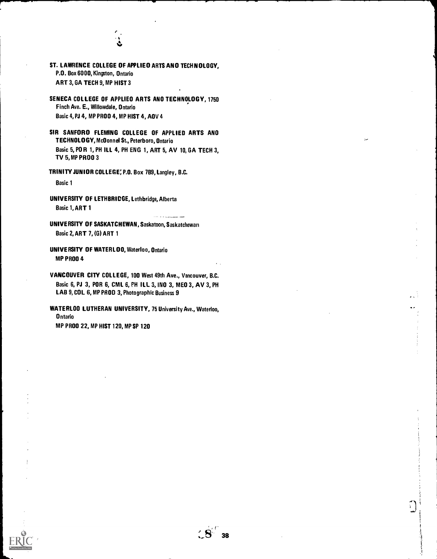

- ST. LAWRENCE COLLEGE OF APPLIED ARTS AND TECHNOLOGY, P.O. Box 6000, Kingston, Ontario ART 3, GA TECH 9, MP HIST 3
- SENECA COLLEGE OF APPLIED ARTS AND TECHNOLOGY, 1750 Finch Ave. E., Willowdale, Ontario Basic 4, PJ 4, MP PROD 4, MP HIST 4, ADV 4
- SIR SANFORD FLEMING COLLEGE OF APPLIED ARTS AND TECHNOLOGY, McDonnel St., Peterboro, Ontario Basic 5, PO R 1, PH ILL 4, PH ENG 1, ART 5, AV 10, GA TECH 3, TV 5,MP PROD 3

TRINITY JUNIOR COLLEGE: P.O. Box 789, Langley, B.C.

Basic 1

- UNIVERSITY OF LETHBRICGE, Lethbridge, Alberta Basic 1, ART 1
- UNIVERSITY OF SASKATCHEWAN, Saskatoon, Saskatchewan Basic 2, ART 7, (G) ART 1
- UNIVERSITY OF WATERLOO, Waterloo, Ontario MP PROD 4
- VANCOUVER CITY COLLEGE, 100 West 49th Ave., Vancouver, B.C. Basic 6, PJ 3, POR 6, CML 6, PH ILL 3, IND 3, MED 3, AV 3, PH LAB 9, COL 6, MP PROD 3, Photographic Business 9
- WATERLOO LUTHERAN UNIVERSITY, 75 University Ave., Waterloo, Ontario MP PROD 22, MP HIST 120, MP SP 120

ן<br>|<br>|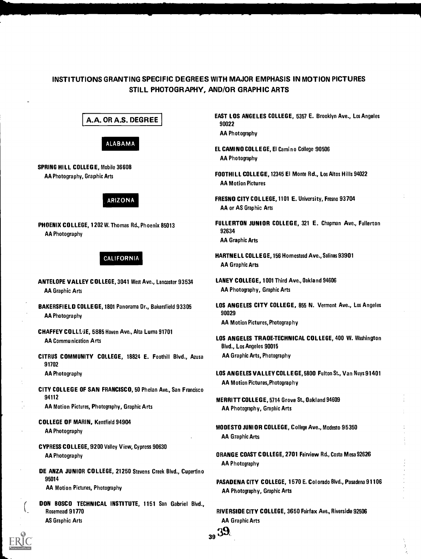# INSTITUTIONS GRANTING SPECIFIC DEGREES WITH MAJOR EMPHASIS IN MOTION PICTURES STILL PHOTOGRAPHY, AND/OR GRAPHIC ARTS

A.A. OR A.S. DEGREE



SPRING HILL COLLEGE, Mobile 36608 AA Photography, Graphic Arts

# ARIZONA

PHOENIX COLLEGE, 1202 W. Thomas Rd., Phoenix 85013 AA Photography

# CALIFORNIA

- ANTELOPE VALLEY COLLEGE, 3041 West Ave., Lancaster 93534 AA Graphic Arts
- BAKERSFIELD COLLEGE, 1801 Panorama Dr., Bakersfield 93305 AA Photography
- CHAFFEY COLLUE, 5885 Haven Ave., Alta Luma 91701 AA Communication Arts
- CITRUS COMMUNITY COLLEGE, 18824 E. Foothill Blvd., Azusa 91702

AA Photography

- CITY COLLEGE OF SAN FRANCISCO, 50 Phelan Ave., San Francisco 94112 AA Motion Pictures, Photography, Graphic Arts
- COLLEGE OF MARIN, Kentfield 94904 AA Photography
- CYPRESS COLLEGE, 9200 Valley View, Cypress 90630 AA Photography
- DE ANZA JUNIOR COLLEGE, 21250 Stevens Creek Blvd., Cupertino 95014 AA Motion Pictures, Photography
- DON BOSCO TECHNICAL INSTITUTE, 1151 San Gabriel Blvd., Rosemead 91770 AS Graphic Arts

EAST LOS ANGELES COLLEGE, 5357 E. Brooklyn Ave., Los Angeles 90022

AA Photography

EL CAMINO COLLEGE, El Camino College 90506 AA Photography

FOOTHILL COLLEGE, 12345 El Monte Rd., Los Altos Hills 94022 AA Motion Pictures

- FRESNO CITY COLLEGE, 1101 E. University, Fresno 93704 AA or AS Graphic Arts
- FULLERTON JUNIOR COLLEGE, 321 E. Chapman Ave., Fullerton 92634 AA Graphic Arts
- HARTNELL COLLEGE, 156 Homestead Ave., Salinas 93901 AA Graphic Arts
- LANEY COLLEGE, 1001 Third Ave., Oakland 94606 AA Photography, Graphic Arts
- LOS ANGELES CITY COLLEGE, 855 N. Vermont Ave., Los Angeles 90029 AA Motion Pictures, Photograp hy
- LOS ANGELES TRADE-TECHNICAL COLLEGE, 400 W. Washington Blvd., Los Angeles 90015 AA Graphic Arts, Photography
- LOS ANGELES VALLEY COLLEGE, 5800 Fulton St., Van Nuys 91401 AA Motion Pictures,Photography
- MERRITT COLLEGE, 5714 Grove St., Oakland 94609 AA Photography, Graphic Arts
- MODESTO JUNIOR COLLEGE, College Ave., Modesto 95350 AA Graphic Arts
- ORANGE COAST COLLEGE, 2701 Fairview Rd., Costa Mesa 92626 AA Photography
- PASADENA CITY COLLEGE, 1570 E. Colorado Blvd., Pasadena 91106 AA Photography, Graphic Arts
- RIVERSIDE CITY COLLEGE, 3650 Fairfax Ave., Riverside 92506 AA Graphic Arts

<sup>39</sup> 39.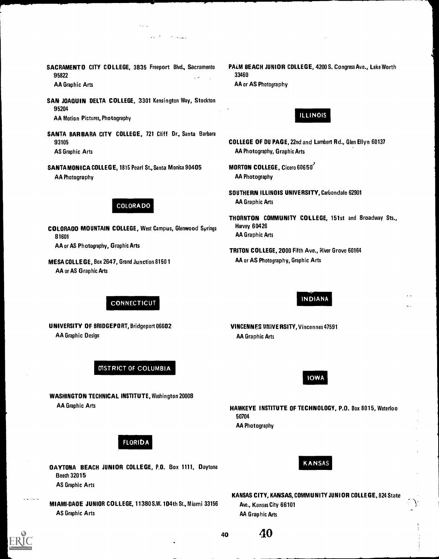95822 33460

- SAN JOAQUIN DELTA COLLEGE, 3301 Kensington Way, Stockton 95204 AA Motion Pictures, Photography ILLINOIS
- SANTA BARBARA CITY COLLEGE, 721 Cliff Dr., Santa Barbara 93105 COLLEGE OF DU PAGE, 22nd and Lambert Rd., Glen Ellyn 60137 AS Graphic Arts **AA Photography, Graphic Arts** AA Photography, Graphic Arts
- SANTA MONICA COLLEGE, 1815 Pearl St., Santa Monica 90405 MORTON COLLEGE, Cicero 60650 AA Photography **AA Photography AA Photography**

COLORADO MOUNTAIN COLLEGE, West Campus, Glenwood Springs Harvey 60426 **81601** AA Graphic Arts AA or AS Photography, Graphic Arts **TRITON COLLEGE, 2000 Fifth Ave.**, River Grove 60164

**CONNECTICUT** 

DISTRICT OF COLUMBIA

WASHINGTON TECHNICAL INSTITUTE, Washington 20008

MESA COLLEGE, Box 2647, Grand Junction 8150 1 AA OF AS Photography, Graphic Arts AA or AS Graphic Arts

UNIVERSITY OF BRIDGEPORT, Bridgeport 06602

AA Graphic Design

AA Graphic Arts

. . .

SACRAMENTO CITY COLLEGE, 3835 Freeport Blvd., Sacramento PALM BEACH JUNIOR COLLEGE, 4200 S. Congress Ave., Lake Worth AA Graphic Arts **AA OF ACCIDENT ACCOUNT** AA or AS Photography

- 
- 
- SOUTHERN ILLINOIS UNIVERSITY, Carbondale 62901 COLORA DO **AA Graphic Arts** 
	- THORNTON COMMUNITY COLLEGE, 151st and Broadway Sts.,
	-

# INDIANA

VINCENNES UNIVERSITY, Vincennes 47591 AA Graphic Arts

IOWA

HAWKEYE INSTITUTE OF TECHNOLOGY, P.O. Box 8015, Waterloo 50704

AA Photography

KANSAS

Beach 32015 AS Graphic Arts

DAYTONA BEACH JUNIOR COLLEGE, P.O. Box 1111, Daytona

FLORIDA

- MIAMI-DADE JUNIOR COLLEGE, 11380 S.W. 104th St., Miami 33156 AS Graphic Arts
- KANSAS CITY, KANSAS, COMMUNITY JUNIOR COLLEGE, 824 State Ave., Kansas City 66101 AA Graphic Arts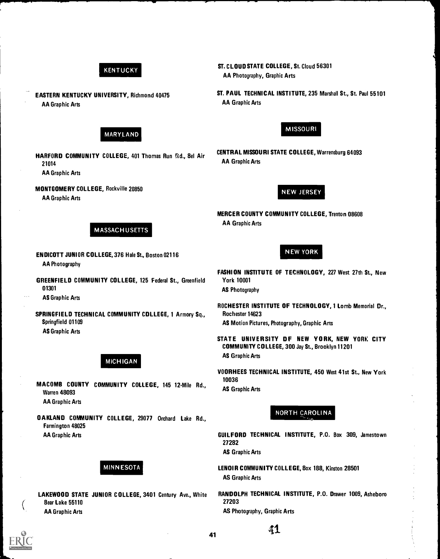# KENTUCKY

EASTERN KENTUCKY UNIVERSITY, Richmond 40475 AA Graphic Arts

# MARYLAND

- HARFORD COMMUNITY COLLEGE, 401 Thomas Run Rd., 8el Air 21014 AA Graphic Arts
- MONTGOMERY COLLEGE, Rockville 20850

AA Graphic Arts

# MASSACHUSETTS

- ENDICOTT JUNIOR COLLEGE, 376 Hale St., Boston 02116 NEW YORK AA Photography
- GREENFIELD COMMUNITY COLLEGE, 125 Federal St., Greenfield York 10001 **01301 AS Photography**

AS Graphic Arts

- SPRINGFIELD TECHNICAL COMMUNITY CDLLEGE, 1 Armory Sq., Rochester 14623 Springfield 01109 **AS Motion Pictures, Photography, Graphic Arts** AS Graphic Arts
	- MICHIGAN
- MACOMB COUNTY COMMUNITY COLLEGE, 145 12-Mile Rd., AS Graphic Arts Warren 48093 AA Graphic Arts
- OAKLAND COMMUNITY COLLEGE, 29077 Orchard Lake Rd., Farmington 48025

Bear Lake 55110 27203 AA Graphic Arts **AS Photography, Graphic Arts** AS Photography, Graphic Arts

ST. CLOUD STATE COLLEGE, St. Cloud 56301 AA Photography, Graphic Arts

ST. PAUL TECHNICAL INSTITUTE, 235 Marshall St., St. Paul 55101 AA Graphic Arts



CENTRAL MISSOURI STATE COLLEGE, Warrensburg 64093 AA Graphic Arts

**NEW JERSEY** 

MERCER COUNTY COMMUNITY COLLEGE, Trenton 08608 AA Graphic Arts

- FASHION INSTITUTE OF TECHNOLOGY, 227 West 27th St., New
- ROCHESTER INSTITUTE OF TECHNOLOGY, 1 Lomb Memorial Dr.,
- STATE UNIVERSITY OF NEW YORK, NEW YORK CITY COMMUNITY COLLEGE, 300 Jay St., Brooklyn 11201 AS Graphic Arts
- VOORHEES TECHNICAL INSTITUTE, 450 West 41st St., New York 10036

# NORTH CAROLINA

- AA Graphic Arts GUILFORD TECHNICAL INSTITUTE, P.O. Box 309, Jamestown 27282 AS Graphic Arts
	- MINNESOTA LENOIR COMMUNITY COLLEGE, 8ox 188, Kinston 28501 AS Graphic Arts
- LAKEWOOD STATE JUNIOR COLLEGE, 3401 Century Ave., White RANDOLPH TECHNICAL INSTITUTE, P.O. Drawer 1009, Asheboro

41

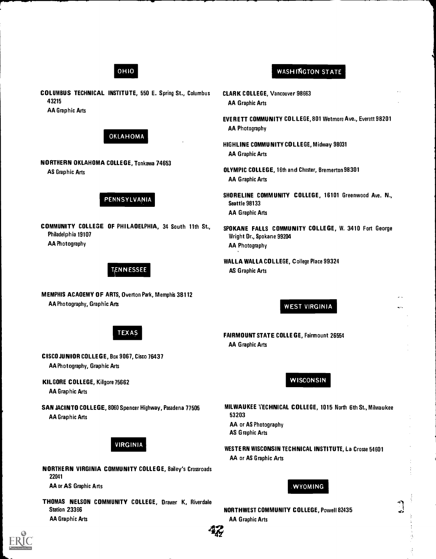# OHIO

COLUMBUS TECHNICAL INSTITUTE, 550 E. Spring St., Columbus 43215 AA Graphic Arts



NORTHERN OKLAHOMA COLLEGE, Tonkawa 74653 AS Graphic Arts

# PENNSYLVANIA

COMMUNITY COLLEGE OF PHILADELPHIA, 34 South 11th St., Philadelphia 19107 AA Photography

# TENNESSEE

TEXAS

MEMPHIS ACADEMY OF ARTS, Overton Park, Memphis 38112 AA Photography, Graphic Arts

CISCO JUNIOR COLLEGE, Box 9067, Cisco 76437

AA Photography, Graphic Arts

KILGORE COLLEGE, Kilgore 75662

AA Graphic Arts

AA Graphic Arts



# WASHINGTON STATE

- CLARK COLLEGE, Vancouver 98663 AA Graphic Arts
- EVERETT COMMUNITY COLLEGE, 801 Wetmore Ave., Everett 98201 AA Photography
- HIGHLINE COMMUNITY COLLEGE, Midway 98031 AA Graphic Arts
- OLYMPIC COLLEGE, 16th and Chester, Bremerton 98301 AA Graphic Arts
- SHORELINE COMMUNITY COLLEGE, 16101 Greenwood Ave. N., Seattle 98133 AA Graphic Arts
- SPOKANE FALLS COMMUNITY COLLEGE, W. 3410 Fort George Wright Dr., Spokane 99204 AA Photography
- WALLA WALLA COLLEGE, College Place 99324 AS Graphic Arts

WEST VIRGINIA

FAIRMOUNT STATE COLLEGE, Fairmount 26554 AA Graphic Arts

**WISCONSIN** 

MILWAUKEE TECHNICAL COLLEGE, 1015 North 6th St., Milwaukee 53203 AA or AS Photography AS Graphic Arts

WESTERN WISCONSIN TECHNICAL INSTITUTE, La Crosse 54601 AA or AS Graphic Arts



NORTHWEST COMMUNITY COLLEGE, Powell 82435 AA Graphic Arts



SAN JACINTO COLLEGE, 8060 Spencer Highway, Pasadena 77505

NORTHERN VIRGINIA COMMUNITY COLLEGE, Bailey's Crossroads 22041 AA or AS Graphic Arts

THOMAS NELSON COMMUNITY COLLEGE, Drawer K, Riverdale Station 23366 AA Graphic Arts



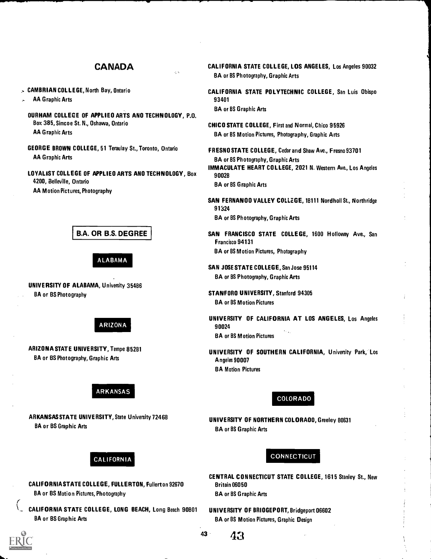# CANADA

, CAMBRIAN COLLEGE, North Bay, Ontario

AA Graphic Arts

- DURHAM COLLEGE OF APPLIED ARTS AND TECHNOLOGY, P.O. Box 385, Simcoe St. N., Oshawa, Ontario AA Graphic Arts
- GEORGE BROWN COLLEGE, 51 Teraulay St., Toronto, Ontario AA Graphic Arts
- LOYALIST COLLEGE OF APPLIED ARTS AND TECHNOLOGY, Box 4200, Belleville, Ontario AA Motion Pictures, Photography

B.A. OR B.S. DEGREE

ALABAMA

UNIVERSITY OF ALABAMA, University 35486 BA or BS Photography



ARIZONA STATE UNIVERSITY, Tempe 85281 BA or BS Photography, Graphic Arts

# ARKANSAS

ARKANSAS STATE UNIVERSITY, State University 72468 BA or BS Graphic Arts

# CALIFORNIA STATE COLLEGE, LOS ANGELES, Los Angeles 90032 BA or BS Photography, Graphic Arts

CALIFORNIA STATE POLYTECHNIC COLLEGE, San Luis Obispo 93401 BA or BS Graphic Arts

CHICO STATE COLLEGE, First and Normal, Chico 95926 BA or BS Motion Pictures, Photography, Graphic Arts

FRESNO STATE COLLEGE, Cedar and Shaw Ave., Fresno 93701 BA or BS Photography, Graphic Arts IMMACULATE HEART COLLEGE, 2021 N. Western Ave., Los Angeles 90028

BA or BS Graphic Arts

SAN FERNANDO VALLEY COLLEGE, 18111 Nordholl St., Northridge 91324 BA or BS Photography, Graphic Arts

SAN FRANCISCO STATE COLLEGE, 1600 Holloway Ave., San Francisco 94131 BA or BS Motion Pictures, PhotographY

SAN JOSE STATE COLLEGE, San Jose 95114 BA or BS Photography, Graphic Arts

STANFORD UNIVERSITY, Stanford 94305 BA or BS Motion Pictures

UNIVERSITY OF CALIFORNIA AT LOS ANGELES, Los Angeles 90024 BA or BS Motion Pictures

UNIVERSITY OF SOUTHERN CALIFORNIA, University Park, Los Angeles 90007 BA Motion Pictures

COLORADO

UNIVERSITY OF NORTHERN COLORADO, Greeley 80631 BA or BS Graphic Arts

# CALIFORNIA

CALIFORNIA STATE COLLEGE, FULLERTON, Fullerton 92670 BA or BS Motion Pictures, Photography

\_ CALIFORNIA STATE COLLEGE, LONG BEACH, Long Beach 90801 BA or BS Graphic Arts

CENTRAL CONNECTICUT STATE COLLEGE, 1615 Stanley St., New Britain 06050 BA or BS Graphic Arts

**CONNECTICUT** 

UNIVERSITY OF BRIDGEPORT, Bridgeport 06602 BA or BS Motion Pictures, Graphic Design

 $43 \frac{1}{3}$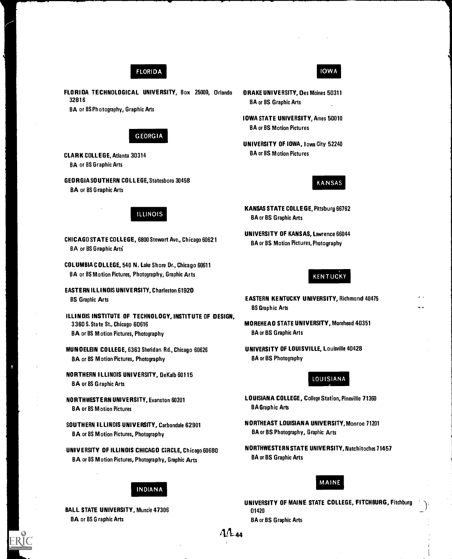# FLORIDA

FLORIDA TECHNOLOGICAL UNIVERSITY, Box 25009, Orlando 32816

BA or BS Photography, Graphic Arts

# GEORGIA

CLARK COLLEGE, Atlanta 30314 BA or BS Graphic Arts

GEORGIA SOUTHERN COLLEGE, Statesboro 30458 BA or BS Graphic Arts

# ILLINOIS

CHICAGO STATE COLLEGE, 6800 Stewart Ave., Chicago 60621 **BA or BS Graphic Arts** 

COLUMBIA COLLEGE, 540 N. Lake Shore Dr., Chicago 60611 BA or BS Motion Pictures, Photography, Graphic Arts

EASTERN ILLINOIS UNIVERSITY, Charleston 61920 BS Graphic Arts

ILLINOIS INSTITUTE OF TECHNOLOGY, INSTITUTE OF DESIGN, 3360 S. State St., Chicago 60616 BA or BS M otion Pictures, Photography

MUNDELEIN COLLEGE, 6363 Sheridan Rd., Chicago 60626 BA or BS Motion Pictures, Photography

NORTHERN ILLINOIS UNIVERSITY, DeKalb 60115 BA or BS Graphic Arts

NORTHWESTERN UNIVERSITY, Evanston 60201 BA or BS Motion Pictures

SOUTHERN ILLINOIS UNIVERSITY, Carbondale 62901 BA or BS Motion Pictures, Photography

UNIVERSITY OF ILLINOIS CHICAGO CIRCLE, Chicago 60680 BA or BS Motion Pictures, Photography, Graphic Arts

# INDIANA

BALL STATE UNIVERSITY, Muncie 47306 BA or BS Graphic Arts

# DRAKE UNIVERSITY, Des Moines 50311

IOWA STATE UNIVERSITY, Ames 50010 BA or BS Motion Pictures

BA or BS Graphic Arts

UNIVERSITY OF IOWA, Iowa City 52240 BA or BS Motion Pictures

### KANSAS

IOWA

KANSAS STATE COLLEGE, Pittsburg 66762 BA or BS Graphic Arts

UNIVERSITY OF KANSAS, Lawrence 66044 BA or BS Motion Pictures, Photography

# **KENTUCKY**

EASTERN KENTUCKY UNIVERSITY, Richmond 40475 BS Graphic Arts

MOREHEAD STATE UNIVERSITY, Morehead 40351 BA or BS Graphic Arts

UNIVERSITY OF LOUISVILLE, Louisville 40428 BA or BS Photography

### LOUISIANA

- LOUISIANA COLLEGE, College Station, Pineville 71360 BA Graphic Arts
- N ORTHEAST LOUISIANA UNIVERSITY, Monroe 71201 BA or BS Photography, Graphic Arts
- N ORTHWESTERN STATE UNIVERSITY, Natchitoches 71457 BA or BS Graphic Arts

# MAINE

UNIVERSITY OF MAINE STATE COLLEGE, FITCHBURG, Fitchburg 01420 BA or BS Graphic Arts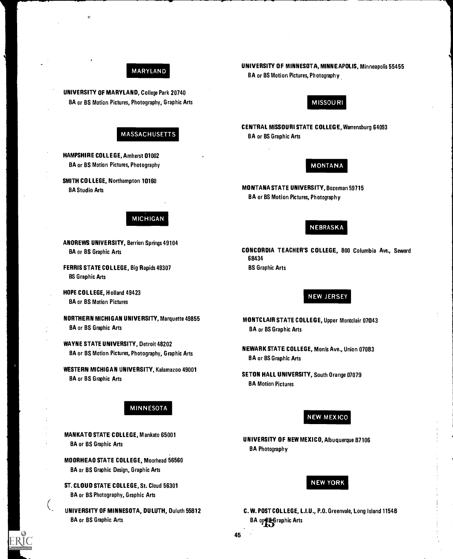# MARYLAND

UNIVERSITY OF MARYLAND, College Park 20740 BA or BS Motion Pictures, Photography, Graphic Arts

# MASSACHUSETTS

HAMPSHIRE COLLEGE, Amherst 01002 BA or BS Motion Pictures, Photography

SMITH COLLEGE, Northampton 10160 BA Studio Arts

# MICHIGAN

ANDREWS UNIVERSITY, Berrien Springs 49104 BA or BS Graphic Arts

FERRIS STATE COLLEGE, Big Rapids 49307 BS Graphic Arts

HOPE COLLEGE, Holland 49423 BA or BS Motion Pictures

NORTHERN MICHIGAN UNIVERSITY, Marquette 49855 BA or BS Graphic Arts

WAYNE STATE UNIVERSITY, Detroit 48202 BA or BS Motion Pictures, Photography, Graphic Arts

WESTERN MICHIGAN UNIVERSITY, Kalamazoo 49001 BA or BS Graphic Arts

# MINNESOTA

MANKATO STATE COLLEGE, Mankato 65001 BA or BS Graphic Arts

MOORHEAD STATE COLLEGE, Moorhead 56560 BA or BS Graphic Design, Graphic Arts

ST. CLOUD STATE COLLEGE, St. Cloud 56301 BA or BS Photography, Graphic Arts

UNIVERSITY OF MINNESOTA, DULUTH, Duluth 55812 BA or BS Graphic Arts

UNIVERSITY OF MINNESOTA, MINNEAPOLIS, Minneapolis 55455 BA or BS Motion Pictures, Photography

# MISSOU RI

CENTRAL MISSOURI STATE COLLEGE, Warrensburg 64093 BA or BS Graphic Arts

# MONTANA

MONTANA STATE UNIVERSITY, Bozeman 59715 BA or BS Motion Pictures, Photography

# NEBRASKA

CONCORDIA TEACHER'S COLLEGE, 800 Columbia Ave., Seward 68434 BS Graphic Arts

### NEW JERSEY

- MONTCLAIR STATE COLLEGE, Upper Montclair 07043 BA or BS Graphic Arts
- NEWARK STATE COLLEGE, Morris Ave., Union 07083 BA or BS Graphic Arts
- SETON HALL UNIVERSITY, South Orange 07079 BA Motion Pictures

# **NEW MEXICO**

UNIVERSITY OF NEW MEXICO, Albuquerque 87106 BA Photography

# NEW YORK

C. W. POST COLLEGE, L.I.U., P.O. Greenvale, Long Island 11548 BA or Base Graphic Arts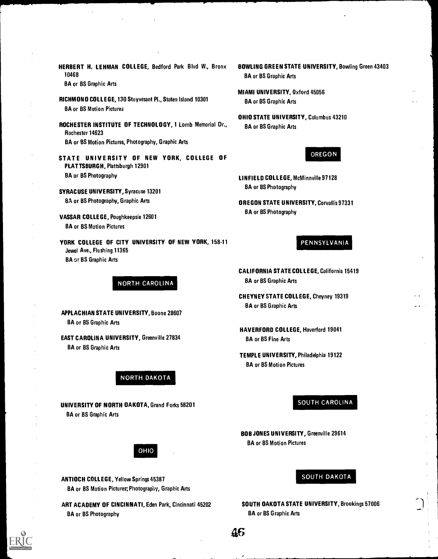HERBERT H. LEHMAN COLLEGE, Bedford Park Blvd W., Bronx 10468

BA or BS Graphic Arts

- RICHMOND COLLEGE, 130 Stuyvesant Pl., Staten Island 10301 BA or BS Motion Pictures
- ROCHESTER INSTITUTE OF TECHNOLOGY, 1 Lomb Memorial Dr., Rochester 14623 BA or BS Motion Pictures, Photography, Graphic Arts
- STATE UNIVE RSITY OF NEW YORK, COLLEGE OF PLATTSBURGH, Plattsburgh 12901 BA or BS Photography
- SYRACUSE UNIVERSITY, Syracuse 13201 BA or BS Photography, Graphic Arts
- VASSAR COLLEGE, Poughkeepsie 12601 BA or BS Motion Pictures
- YORK COLLEGE OF CITY UNIVERSITY OF NEW YORK, 158-11 Jewel Ave., Flushing 11365 BA or BS Graphic Arts

NORTH CAROLINA

APPLACHIAN STATE UNIVERSITY, Boone 28607 BA or BS Graphic Arts

EAST CAROLINA UNIVERSITY, Greenville 27834 BA or BS Graphic Arts

NORTH DAKOTA

UNIVERSITY OF NORTH DAKOTA, Grand Forks 58201 BA or BS Graphic Arts

OHIO

ANTIOCH COLLEGE, Yellow Springs 45387 BA or BS Motion Pictures; Photography, Graphic Arts

ART ACADEMY OF CINCINNATI, Eden Park, Cincinnati 45202 BA or BS Photography

- BOWLING GREEN STATE UNIVERSITY, Bowling Green 43403 BA or BS Graphic Arts
- MIAMI UNIVERSITY, Oxford 45056 BA or BS Graphic Arts
- OHIO STATE UNIVERSITY, Columbus 43210 BA or BS Graphic Arts

# OREGON

- LINFIELD COLLEGE, McMinnville 97128 BA or BS Photography
- OREGON STATE UNIVERSITY, Corvallis 97331 BA or BS Photography

# PENNSYLVANIA

- CALIFORNIA STATE COLLEGE, California 15419 BA or BS Graphic Arts
- CHEYNEY STATE COLLEGE, Cheyney 19319 BA or BS Graphic Arts
- HAVERFORD COLLEGE, Haverford 19041 BA or BS Fine Arts
- TEMPLE UNIVERSITY, Philadelphia 19122 BA or BS Motion Pictures

# SOUTH CAROLINA

BOB JONES UNIVERSITY, Greenville 29614 BA or BS Motion Pictures

# SOUTH DAKOTA

SOUTH DAKOTA STATE UNIVERSITY, Brookings 57006 BA or BS Graphic Arts

AG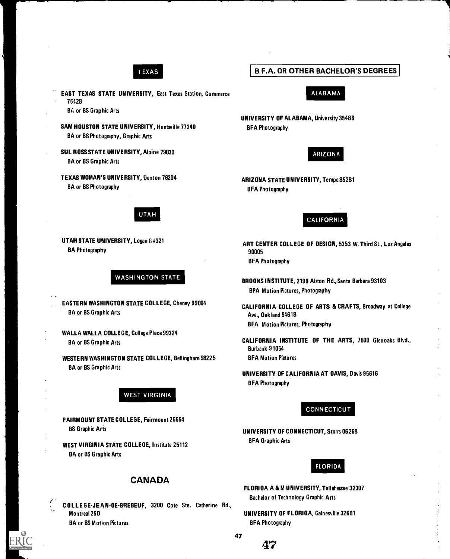

EAST TEXAS STATE UNIVERSITY, East Texas Station, Commerce 75428

BA or BS Graphic Arts

- SAM HOUSTON STATE UNIVERSITY, Huntsville 77340 BA or BS Photography, Graphic Arts
- SUL ROSS STATE UNIVERSITY, Alpine 79830 BA or BS Graphic Arts
- TEXAS WOMAN'S UNIVERSITY, Denton 76204 BA or BS Photography

# UTAH

UTAH STATE UNIVERSITY, Logan 84321 BA Photography

# WASHINGTON STATE

EASTERN WASHINGTON STATE COLLEGE, Cheney 99004 BA or BS Graphic Arts

WALLA WALLA COLLEGE, College Place 99324 BA or BS Graphic Arts

WESTERN WASHINGTON STATE COLLEGE, Bellingham 98225 BA or BS Graphic Arts

# WEST VIRGINIA

FAIRMOUNT STATE COLLEGE, Fairmount 26554 BS Graphic Aris

WEST VIRGINIA STATE COLLEGE, Institute 25112 BA or BS Graphic Arts

# CANADA

COLLEGEJEAN-DE-BREBEUF, 3200 Cote Ste. Catherine Rd., Montreal 250 BA or BS Motion Pictures

# B.F.A. OR OTHER BACHELOR'S DEGREES

# ALABAMA

UNIVERSITY OF ALABAMA, University 35486 BFA Photography

# ARIZONA

ARIZONA STATE UNIVERSITY, Tempe 85281 BFA Photography

# **CALIFORNIA**

ART CENTER COLLEGE OF DESIGN, 5353 W. Third St., Los Angeles 90005 BFA Photography

- BROOKS INSTITUTE, 2190 Alston Rd., Santa Barbara 93103 BPA Motion Pictures, Photography
- CALIFORNIA COLLEGE OF ARTS & CRAFTS, Broadway at College Ave., Oakland 94618 BFA Motion Pictures, Photography
- CALIFORNIA INSTITUTE OF THE ARTS, 7500 Glenoaks Blvd., Burbank 91054 BFA Motion Pictures
- UNIVERSITY OF CALIFORNIA AT DAVIS, Davis 95616 BFA Photography

# **CONNECTICUT**

UNIVERSITY OF CONNECTICUT, Storrs 06268 BFA Graphic Arts

### FLORIDA

- FLORIDA A & M UNIVERSITY, Tallahassee 32307 Bachelor of Technology Graphic Arts
- UNIVERSITY OF FLORIDA, Gainesville 32601 BFA Photography

47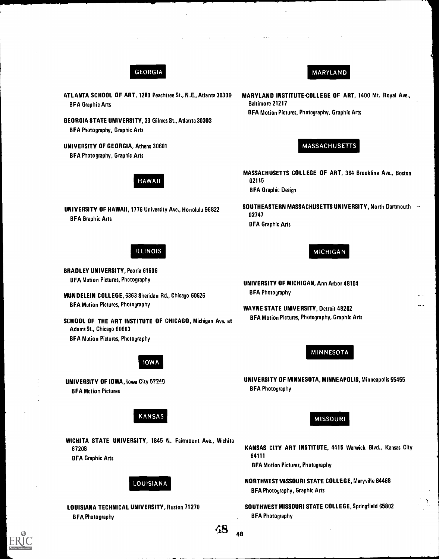# GEORGIA

- ATLANTA SCHOOL OF ART, 1280 Peachtree St., N.E., Atlanta 30309 BFA Graphic Arts
- GEORGIA STATE UNIVERSITY, 33 Gilmes St., Atlanta 30303 BFA Photography, Graphic Arts
- UNIVERSITY OF GEORGIA, Athens 30601 BFA Photography, Graphic Arts

# HAWAII

UNIVERSITY OF HAWAII, 1776 University Ave., Honolulu 96822 BFA Graphic Arts

# ILLINOIS

BRADLEY UNIVERSITY, Peoria 61606 BFA Motion Pictures, Photography

MUNDELEIN COLLEGE, 6363 Sheridan Rd., Chicago 60626 BFA Motion Pictures, Photography

SCHOOL OF THE ART INSTITUTE OF CHICAGO, Michigan Ave. at Adams St., Chicago 60603 BFA Motion Pictures, Photography

# IOW A

UNIVERSITY OF IOWA, Iowa City 5?249 BFA Motion Pictures

# KANSAS

WICHITA STATE UNIVERSITY, 1845 N. Fairmount Ave., Wichita 67208 BFA Graphic Arts

# LOUISIANA

BFA Photography

# MARYLAND

MARYLAND INSTITUTE-COLLEGE OF ART, 1400 Mt. Royal Ave., Baltimore 21217 BFA Motion Pictures, Photography, Graphic Arts

# MASSACHUSETTS

MASSACHUSETTS COLLEGE OF ART, 364 Brookline Ave., Boston 02115 BFA Graphic Design

SOUTHEASTERN MASSACHUSETTS UNIVERSITY, North Dartmouth of 02747 BFA Graphic Arts

# MICHIGAN

- UNIVERSITY OF MICHIGAN, Ann Arbor 48104 BFA Photography
- WAYNE STATE UNIVERSITY, Detroit 48202 BFA Motion Pictures, Photography, Graphic Arts

# MINNESOTA

UNIVERSITY OF MINNESOTA, MINNEAPOLIS, Minneapolis 55455 BFA Photography

# MISSOURI

KANSAS CITY ART INSTITUTE, 4415 Warwick Blvd., Kansas City 64111

BFA Motion Pictures, Photography

NORTHWEST MISSOURI STATE COLLEGE, Maryville 64468 BFA Photography, Graphic Arts

LOUISIANA TECHNICAL UNIVERSITY, Ruston 71270 SOUTHWEST MISSOURI STATE COLLEGE, Springfield 65802 BFA Photography

 $48_{\;\;\;\;48}$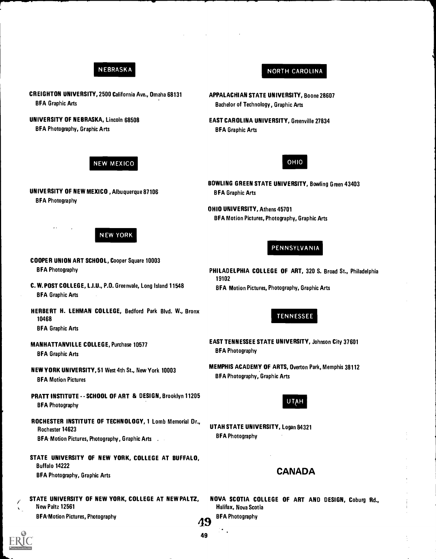# NEBRASKA

CREIGHTON UNIVERSITY, 2500 California Ave., Omaha 68131 BFA Graphic Arts

UNIVERSITY OF NEBRASKA, Lincoln 68508 BFA Photography, Graphic Arts

# NEW MEXICO

UNIVERSITY OF NEW MEXICO , Albuquerque 87106 BFA Photography

# N EW YORK

COOPER UNION ART SCHOOL, Cooper Square 10003 BFA Photography

C. W. POST COLLEGE, L.I.U., P.O. Greenvale, Long Island 11548 BFA Graphic Arts

HERBERT H. LEHMAN COLLEGE, Bedford Park Blvd. W., Bronx <sup>10468</sup> TENNESSEE

BFA Graphic Arts

**BFA Graphic Arts** 

BFA Photography, Graphic Arts<br>BFA Motion Pictures

PRATT INSTITUTE - - SCHOOL OF ART & DESIGN, Brooklyn 11205<br>BFA Photography

ROCHESTER INSTITUTE OF TECHNOLOGY, 1 Lomb Memorial Or., Rochester 14623<br>
Rochester 14623<br>
REA Motion Pictures Photography Craphic Arts<br>
BEA Photography BFA: Motion Pictures, Photography, Graphic Arts . . .

STATE UNIVERSITY OF NEW YORK, COLLEGE AT BUFFALO, Buffalo 14222 BFA Photography, Graphic Arts CANADA

STATE UNIVERSITY OF NEW YORK, COLLEGE AT NEW PALTZ, New Paltz 12561 BFA Motion Pictures, Photography and the state of the BFA Photography BFA Photography

NOVA SCOTIA COLLEGE OF ART AND DESIGN, Coburg Rd., Halifax, Nova Scotia



APPALACHIAN STATE UNIVERSITY, Boone 28607 Bachelor of Technology, Graphic Arts

EAST CAROLINA UNIVERSITY, Greenville 27834 BFA Graphic Arts



NORTH CAROLINA

BOWLING GREEN STATE UNIVERSITY, Bowling Green 43403 BFA Graphic Arts

OHIO UNIVERSITY, Athens 45701 BFA Motion Pictures, Photography, Graphic Arts

# PENNSYLVANIA

PHILADELPHIA COLLEGE OF ART, 320 S. Broad St., Philadelphia 19102 BFA Motion Pictures, Photography, Graphic Arts

MANHATTANVILLE COLLEGE, Purchase 10577 EAST TENNESSEE STATE UNIVERSITY, Johnson City 37601<br>BFA Photography

NEW YORK UNIVERSITY, 51 West 4th St., New York 10003 MEMPHIS ACADEMY OF ARTS, Overton Park, Memphis 38112

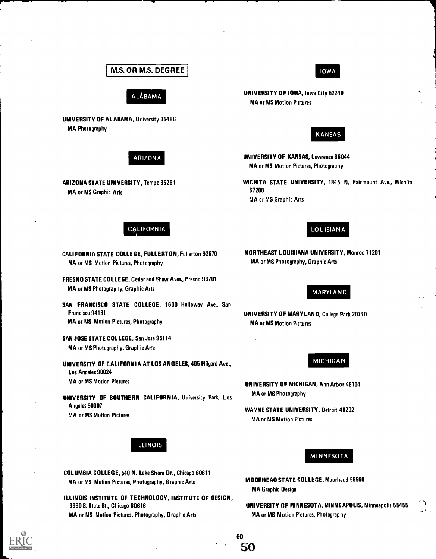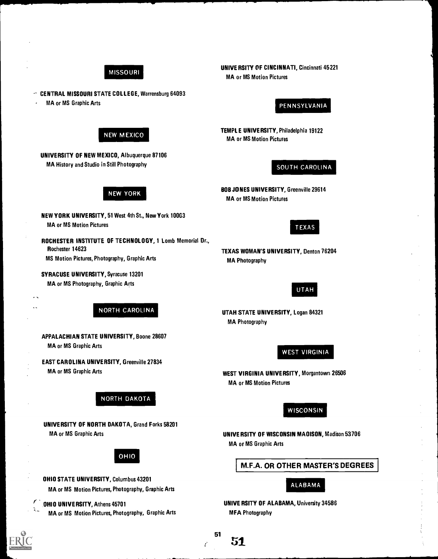

**NEW MEXICO** 

NEW YORK

NEW YORK UNIVERSITY, 51 West 4th St., New York 10003

CENTRAL MISSOURI STATE COLLEGE, Warrensburg 64093

UNIVERSITY OF NEW MEXICO, Albuquerque 87106 MA History and Studio in Still Photography

MA or MS Graphic Arts

MA or MS Motion Pictures

Rochester 14623

UNIVERSITY OF CINCINNATI, Cincinnati 45221 MA or MS Motion Pictures

# PENNSYLVANIA

TEMPLE UNIVERSITY, Philadelphia 19122 MA or MS Motion Pictures

# SOUTH CAROLINA

BOB JONES UNIVERSITY, Greenville 29614 MA or MS Motion Pictures

# TEXAS

TEXAS WOMAN'S UNIVERSITY, Denton 76204 MA Photography

# UTAH

UTAH STATE UNIVERSITY, Logan 84321 MA Photography

WEST VIRGINIA

WEST VIRGINIA UNIVERSITY, Morgantown 26506 MA or MS Motion Pictures

**WISCONSIN** 

UNIVERSITY OF WISCONSIN MADISON, Madison 53706 MA or MS Graphic Arts

M.F.A. OR OTHER MASTER'S DEGREES

ALABAMA

UNIVERSITY OF ALABAMA, University 34586 MFA Photography

#### 51  ${\bf 51}$

# ROCHESTER INSTITUTE OF TECHNOLOGY, 1 Lomb Memorial Dr.,

MA or MS Photography, Graphic Arts

SYRACUSE UNIVERSITY, Syracuse 13201

MS Motion Pictures, Photography, Graphic Arts

NORTH CAROLINA

APPALACHIAN STATE UNIVERSITY, Boone 28607 MA or MS Graphic Arts

EAST CAROLINA UNIVERSITY, Greenville 27834 MA or MS Graphic Arts

# NORTH DAKOTA

UNIVERSITY OF NORTH DAKOTA, Grand Forks 58201 MA or MS Graphic Arts

OHIO

OHIO STATE UNIVERSITY, Columbus 43201 MA or MS Motion Pictures, Photography, Graphic Arts

OHIO UNIVERSITY, Athens 45701 MA or MS Motion Pictures, Photography, Graphic Arts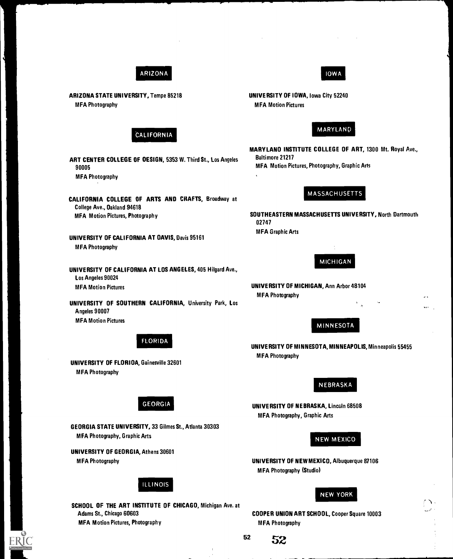

ARIZONA STATE UNIVERSITY, Tempe 85218 MFA Photography



ART CENTER COLLEGE OF DESIGN, 5353 W. Third St., Los Angeles 90005 MFA Photography

CALIFORNIA COLLEGE OF ARTS AND CRAFTS, Broadway at College Ave., Oakland 94618 MFA Motion Pictures, Photography

UNIVERSITY OF CALIFORNIA AT DAVIS, Davis 95161 **MFA Photography** 

UNIVERSITY OF CALIFORNIA AT LOS ANGELES, 405 Hilgard Ave., Los Angeles 90024 MFA Motion Pictures UNIVERSITY OF MICHIGAN, Ann Arbor 48104

UNIVERSITY OF SOUTHERN CALIFORNIA, University Park, Los Angeles 90007 MFA Motion Pictures

FLORIDA

UNIVERSITY OF FLORIDA, Gainesville 32601 **MFA Photography** 

GEORGIA

GEORGIA STATE UNIVERSITY, 33 Gilmes St., Atlanta 30303 MFA Photography, Graphic Arts

UNIVERSITY OF GEORGIA, Athens 30601 MFA Photography

ILLINOIS

SCHOOL OF THE ART INSTITUTE OF CHICAGO, Michigan Ave. at Adams St., Chicago 60603 MFA Motion Pictures, Photography

# IOWA

UNIVERSITY OF IOWA, Iowa City 52240 MFA Motion Pictures

# MARYLAND

MARYLAND INSTITUTE COLLEGE OF ART, 1300 Mt. Royal Ave., Baltimore 21217 MFA Motion Pictures, Photography, Graphic Arts

# MASSACHUSETTS

SOUTHEASTERN MASSACHUSETTS UNIVERSITY, North Dartmouth 02747 MFA Graphic Arts

MICHIGAN

**MFA Photography** 

# MINNESOTA

UNIVERSITY OF MINNESOTA, MINNEAPOLIS, Minneapolis 55455 **MFA Photography** 

# NEBRASKA

UNIVERSITY OF NEBRASKA, Lincoln 68508 MFA Photography, Graphic Arts

# NEW MEXICO

UNIVERSITY OF NEW MEXICO, Albuquerque 87106 M FA Photography (Studio)

# NEW YORK

COOPER UNION ART SCHOOL, Cooper Square 10003 **MFA Photography** 

<sup>52</sup> S2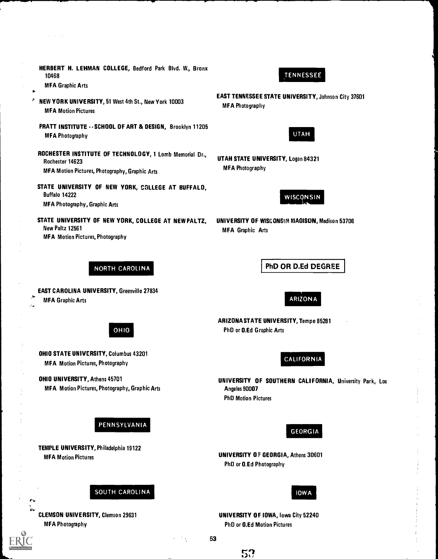HERBERT H. LEHMAN COLLEGE, Bedford Park Blvd. W., Bronx 10468

**MFA Graphic Arts** 

- ÷ NEW YORK UNIVERSITY, 51 West 4th St., New York 10003 **MFA Motion Pictures** 
	- PRATT INSTITUTE -SCHOOL OF ART & DESIGN, Brooklyn 11205 **MFA Photography**
	- ROCHESTER INSTITUTE OF TECHNOLOGY, 1 Lomb Memorial Dr., Rochester 14623 MFA Motion Pictures, Photography, Graphic Arts
	- STATE UNIVERSITY OF NEW YORK, COLLEGE AT BUFFALO, Buffalo 14222 MFA Photography, Graphic Arts
	- STATE UNIVERSITY OF NEW YORK, COLLEGE AT NEW PALTZ, UNIVERSITY OF WISCONSAM MAOISON, Madison 53706 New Paltz 12561 MEA Graphic Arts MFA Motion Pictures, Photography

# TENNESSEE

EAST TENNESSEE STATE UNIVERSITY, Johnson City 37601 MFA Photography



UTAH STATE UNIVERSITY, Logan 84321 **MFA Photography** 



NORTH CAROLINA

EAST CAROLINA UNIVERSITY, Greenville 27834 MFA Graphic Arts

OHIO

OHIO STATE UNIVERSITY, Columbus 43201 **MFA Motion Pictures, Photography** 

OHIO UNIVERSITY, Athens 45701 MFA Motion Pictures, Photography, Graphic Arts

PENNSYLVANIA

TEMPLE UNIVERSITY, Philadelphia 19122 MFA Motion Pictures

SOUTH CAROLINA

CLEMSON UNIVERSITY, Clemson 29631 MFA Photography

ARIZONA

PhD OR D.Ed DEGREE

ARIZONA STATE UNIVERSITY, Tempe 85281 PhD or D.Ed Graphic Arts

CALIFORNIA

UNIVERSITY OF SOUTHERN CALIFORNIA, University Park, Los Angeles 90007 PhD Motion Pictures



UNIVERSITY OF GEORGIA, Athens 30601 PhD or D.Ed Photography



UNIVERSITY OF IOWA, Iowa City 52240 PhD or D.Ed Motion Pictures

53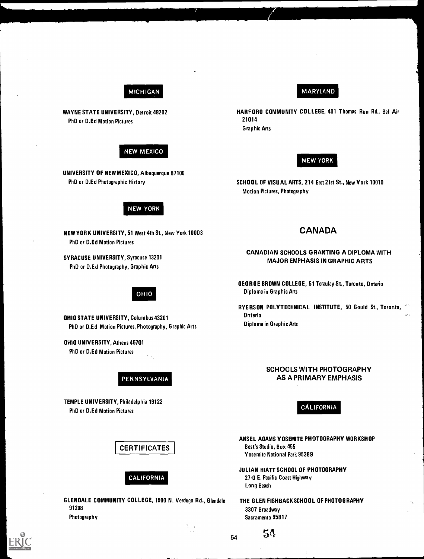# MICHIGAN

WAYNE STATE UNIVERSITY, Detroit 48202 PhD or D.Ed Motion Pictures

# **NEW MEXICO**

UNIVERSITY OF NEW MEXICO, Albuquerque 87106 PhD or D.Ed Photographic History

# **NEW YORK**

NEW YORK UNIVERSITY, 51 West 4th St., New York 10003 PhD or D.Ed Motion Pictures

SYRACUSE UNIVERSITY, Syracuse 13201 PhD or D.Ed Photography, Graphic Arts

# OHIO

OHIO STATE UNIVERSITY, Columbus 43201 PhD or D.Ed Motion Pictures, Photography, Graphic Arts

OHIO UNIVERSITY, Athens 45701 PhD or D.Ed Motion Pictures

PENNSYLVANIA

TEMPLE UNIVERSITY, Philadelphia 19122 PhD or D.Ed Motion Pictures CALIFORNIA

GLENOALE COMMUNITY COLLEGE, 1500 N. Verdugo Rd., Glendale THE GLEN FISHBACK SCHOOL OF PHOTOGRAPHY<br>3307 Broadway Photography Sacramento 95817

# MARYLAND

HARFORD COMMUNITY COLLEGE, 401 Thomas Run Rd., Bel Air 21014

Graphic Arts

# **NEW YORK**

SCHOOL OF VISUAL ARTS, 214 East 21st St., New York 10010 Motion Pictures, Photography

# CANADA

# CANADIAN SCHOOLS GRANTING A DIPLOMA WITH MAJOR EMPHASIS IN GRAPHIC ARTS

GEORGE BROWN COLLEGE, 51 Teraulay St., Toronto, Ontario Diploma in Graphic Arts

RYERSON POLYTECHNICAL INSTITUTE, 50 Gould St., Toronto, Ontario - Diploma in Graphic Arts

# SCHOOLS WITH PHOTOGRAPHY AS A PRIMARY EMPHASIS

ANSEL ADAMS YOSEMITE PHOTOGRAPHY WORKSHOP CERTIFICATES | Best's Studio, Box 455 Yosemite National Park 95389

JULIAN HIATT SCHOOL OF PHOTOGRAPHY CALIFORNIA 27-0 E. Pacific Coast Highway Long Beach

3307 Broadway

54

54

 $\mathcal{L}$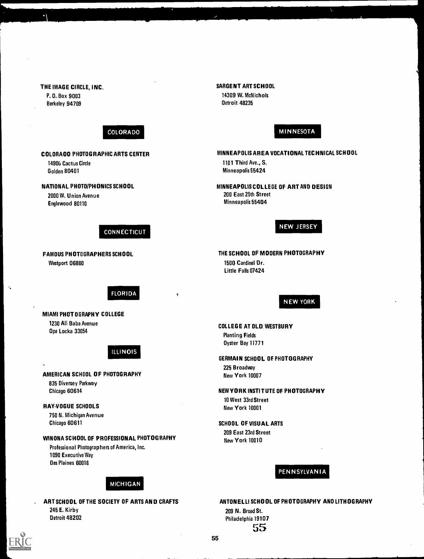THE IMAGE CIRCLE, INC. P. 0. Box 9 003 Berkeley 94709 COLORADO COLORADO PHOTOGRAPHIC ARTS CENTER 14906 Cactus Circle Golden 80401 NATIONAL PHOTO/PHONICS SCHOOL 2000 W. Union Avenue Englewood 80110 **CONNECTICUT** FAMOUS PHOTOGRAPHERS SCHOOL Westport 06880 FLORIDA MIAMI PHOTOGRAPHY COLLEGE 1230 Ali Baba Avenue Dpa Locka 33054 ILLINOIS AMERICAN SCHOOL OF PHOTOGRAPHY 835 Diversey Parkway Chicago 60614 RAY-VOGUE SCHOOLS 750 N. Michigan Avenue Chicago 60611 WINONA SCHOOL OF PROFESSIONAL PHOTOGRAPHY Professional Photographers of America, Inc. 1090 Execu tive Way Des Plaines 60018 MICHIGAN e SARGENT ART SCHOOL 14309 W. McNichols Detroit 48235 MINNESOTA MINNEAPOLIS AREA VOCATIONAL TECHNICAL SCHOOL 1101 Third Ave., S. Minneapolis 55424 MINNEAPOLIS COLLEGE OF ART AND DESIGN 200 East 25th Street Minneapolis 55404 **NEW JERSEY** THE SCHOOL OF MODERN PHOTOGRAPHY 1500 Cardinal Dr. Little Falls 07424 NEW YORK COLLEGE AT OLD. WESTBURY Planting Fields Dyster Bay 11771 GERMAIN SCHOOL OF PHOTOGRAPHY 225 Broadway New York 10007 NEW YORK INSTITUTE OF PHOTOGRAPHY 10 West 33rd Street New York 10001 SCHOOL OF VISUAL ARTS 209 East 23rd Street New York 10010 PENNSYLVANIA

# ART SCHOOL OF THE SOCIETY OF ARTS AND CRAFTS 245 E. Kirby Detroit 48202

ANTONELLI SCHOOL OF PHOTOGRAPHY AND LITHOGRAPHY 209 N. Broad St. Philadelphia 19107 55



Ń,